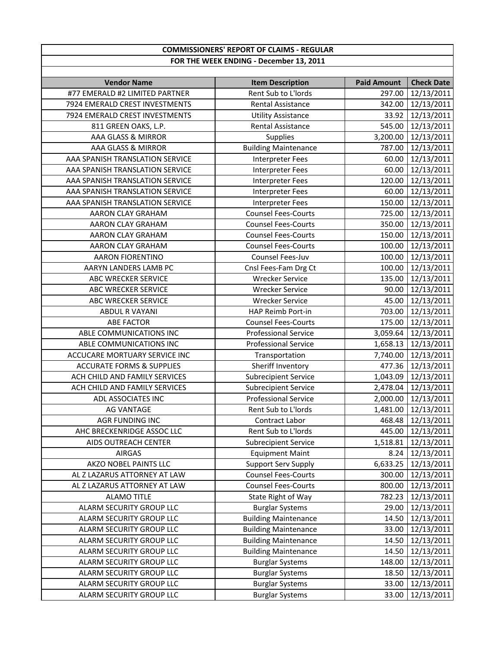## **COMMISSIONERS' REPORT OF CLAIMS ‐ REGULAR FOR THE WEEK ENDING ‐ December 13, 2011**

| <b>Vendor Name</b>                   | <b>Item Description</b>     | <b>Paid Amount</b> | <b>Check Date</b>   |
|--------------------------------------|-----------------------------|--------------------|---------------------|
| #77 EMERALD #2 LIMITED PARTNER       | Rent Sub to L'Iords         | 297.00             | 12/13/2011          |
| 7924 EMERALD CREST INVESTMENTS       | <b>Rental Assistance</b>    | 342.00             | 12/13/2011          |
| 7924 EMERALD CREST INVESTMENTS       | <b>Utility Assistance</b>   | 33.92              | 12/13/2011          |
| 811 GREEN OAKS, L.P.                 | <b>Rental Assistance</b>    | 545.00             | 12/13/2011          |
| AAA GLASS & MIRROR                   | Supplies                    | 3,200.00           | 12/13/2011          |
| AAA GLASS & MIRROR                   | <b>Building Maintenance</b> | 787.00             | 12/13/2011          |
| AAA SPANISH TRANSLATION SERVICE      | <b>Interpreter Fees</b>     | 60.00              | 12/13/2011          |
| AAA SPANISH TRANSLATION SERVICE      | <b>Interpreter Fees</b>     | 60.00              | 12/13/2011          |
| AAA SPANISH TRANSLATION SERVICE      | Interpreter Fees            | 120.00             | 12/13/2011          |
| AAA SPANISH TRANSLATION SERVICE      | <b>Interpreter Fees</b>     | 60.00              | 12/13/2011          |
| AAA SPANISH TRANSLATION SERVICE      | <b>Interpreter Fees</b>     | 150.00             | 12/13/2011          |
| AARON CLAY GRAHAM                    | <b>Counsel Fees-Courts</b>  | 725.00             | 12/13/2011          |
| AARON CLAY GRAHAM                    | <b>Counsel Fees-Courts</b>  | 350.00             | 12/13/2011          |
| AARON CLAY GRAHAM                    | <b>Counsel Fees-Courts</b>  | 150.00             | 12/13/2011          |
| AARON CLAY GRAHAM                    | <b>Counsel Fees-Courts</b>  | 100.00             | 12/13/2011          |
| <b>AARON FIORENTINO</b>              | Counsel Fees-Juv            | 100.00             | 12/13/2011          |
| AARYN LANDERS LAMB PC                | Cnsl Fees-Fam Drg Ct        | 100.00             | 12/13/2011          |
| ABC WRECKER SERVICE                  | <b>Wrecker Service</b>      | 135.00             | 12/13/2011          |
| ABC WRECKER SERVICE                  | <b>Wrecker Service</b>      | 90.00              | 12/13/2011          |
| <b>ABC WRECKER SERVICE</b>           | <b>Wrecker Service</b>      | 45.00              | 12/13/2011          |
| <b>ABDUL R VAYANI</b>                | HAP Reimb Port-in           | 703.00             | 12/13/2011          |
| <b>ABE FACTOR</b>                    | <b>Counsel Fees-Courts</b>  | 175.00             | 12/13/2011          |
| ABLE COMMUNICATIONS INC              | <b>Professional Service</b> | 3,059.64           | 12/13/2011          |
| ABLE COMMUNICATIONS INC              | <b>Professional Service</b> | 1,658.13           | 12/13/2011          |
| ACCUCARE MORTUARY SERVICE INC        | Transportation              | 7,740.00           | 12/13/2011          |
| <b>ACCURATE FORMS &amp; SUPPLIES</b> | Sheriff Inventory           | 477.36             | 12/13/2011          |
| ACH CHILD AND FAMILY SERVICES        | <b>Subrecipient Service</b> | 1,043.09           | 12/13/2011          |
| ACH CHILD AND FAMILY SERVICES        | <b>Subrecipient Service</b> | 2,478.04           | 12/13/2011          |
| ADL ASSOCIATES INC                   | <b>Professional Service</b> | 2,000.00           | 12/13/2011          |
| <b>AG VANTAGE</b>                    | Rent Sub to L'Iords         | 1,481.00           | 12/13/2011          |
| AGR FUNDING INC                      | Contract Labor              | 468.48             | 12/13/2011          |
| AHC BRECKENRIDGE ASSOC LLC           | Rent Sub to L'Iords         | 445.00             | 12/13/2011          |
| AIDS OUTREACH CENTER                 | <b>Subrecipient Service</b> | 1,518.81           | 12/13/2011          |
| <b>AIRGAS</b>                        | <b>Equipment Maint</b>      | 8.24               | 12/13/2011          |
| AKZO NOBEL PAINTS LLC                | <b>Support Serv Supply</b>  |                    | 6,633.25 12/13/2011 |
| AL Z LAZARUS ATTORNEY AT LAW         | <b>Counsel Fees-Courts</b>  | 300.00             | 12/13/2011          |
| AL Z LAZARUS ATTORNEY AT LAW         | <b>Counsel Fees-Courts</b>  | 800.00             | 12/13/2011          |
| <b>ALAMO TITLE</b>                   | State Right of Way          | 782.23             | 12/13/2011          |
| ALARM SECURITY GROUP LLC             | <b>Burglar Systems</b>      | 29.00              | 12/13/2011          |
| ALARM SECURITY GROUP LLC             | <b>Building Maintenance</b> | 14.50              | 12/13/2011          |
| ALARM SECURITY GROUP LLC             | <b>Building Maintenance</b> | 33.00              | 12/13/2011          |
| ALARM SECURITY GROUP LLC             | <b>Building Maintenance</b> | 14.50              | 12/13/2011          |
| ALARM SECURITY GROUP LLC             | <b>Building Maintenance</b> | 14.50              | 12/13/2011          |
| ALARM SECURITY GROUP LLC             | <b>Burglar Systems</b>      | 148.00             | 12/13/2011          |
| ALARM SECURITY GROUP LLC             | <b>Burglar Systems</b>      | 18.50              | 12/13/2011          |
| ALARM SECURITY GROUP LLC             | <b>Burglar Systems</b>      | 33.00              | 12/13/2011          |
| ALARM SECURITY GROUP LLC             | <b>Burglar Systems</b>      | 33.00              | 12/13/2011          |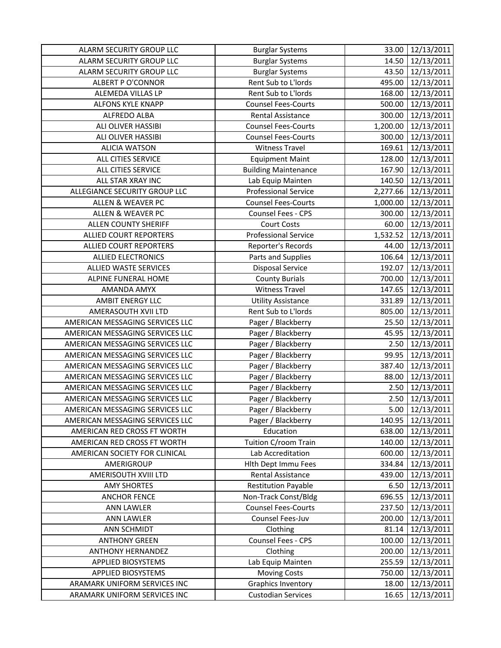| ALARM SECURITY GROUP LLC        | <b>Burglar Systems</b>      | 33.00    | 12/13/2011      |
|---------------------------------|-----------------------------|----------|-----------------|
| ALARM SECURITY GROUP LLC        | <b>Burglar Systems</b>      | 14.50    | 12/13/2011      |
| ALARM SECURITY GROUP LLC        | <b>Burglar Systems</b>      | 43.50    | 12/13/2011      |
| <b>ALBERT P O'CONNOR</b>        | Rent Sub to L'Iords         | 495.00   | 12/13/2011      |
| ALEMEDA VILLAS LP               | Rent Sub to L'Iords         | 168.00   | 12/13/2011      |
| <b>ALFONS KYLE KNAPP</b>        | <b>Counsel Fees-Courts</b>  | 500.00   | 12/13/2011      |
| ALFREDO ALBA                    | <b>Rental Assistance</b>    | 300.00   | 12/13/2011      |
| ALI OLIVER HASSIBI              | <b>Counsel Fees-Courts</b>  | 1,200.00 | 12/13/2011      |
| <b>ALI OLIVER HASSIBI</b>       | <b>Counsel Fees-Courts</b>  | 300.00   | 12/13/2011      |
| <b>ALICIA WATSON</b>            | <b>Witness Travel</b>       | 169.61   | 12/13/2011      |
| <b>ALL CITIES SERVICE</b>       | <b>Equipment Maint</b>      | 128.00   | 12/13/2011      |
| ALL CITIES SERVICE              | <b>Building Maintenance</b> | 167.90   | 12/13/2011      |
| ALL STAR XRAY INC               | Lab Equip Mainten           | 140.50   | 12/13/2011      |
| ALLEGIANCE SECURITY GROUP LLC   | <b>Professional Service</b> | 2,277.66 | 12/13/2011      |
| ALLEN & WEAVER PC               | <b>Counsel Fees-Courts</b>  | 1,000.00 | 12/13/2011      |
| <b>ALLEN &amp; WEAVER PC</b>    | Counsel Fees - CPS          | 300.00   | 12/13/2011      |
| <b>ALLEN COUNTY SHERIFF</b>     | <b>Court Costs</b>          | 60.00    | 12/13/2011      |
| <b>ALLIED COURT REPORTERS</b>   | <b>Professional Service</b> | 1,532.52 | 12/13/2011      |
| <b>ALLIED COURT REPORTERS</b>   | Reporter's Records          | 44.00    | 12/13/2011      |
| <b>ALLIED ELECTRONICS</b>       | Parts and Supplies          | 106.64   | 12/13/2011      |
| ALLIED WASTE SERVICES           | <b>Disposal Service</b>     | 192.07   | 12/13/2011      |
| ALPINE FUNERAL HOME             | <b>County Burials</b>       | 700.00   | 12/13/2011      |
| AMANDA AMYX                     | <b>Witness Travel</b>       | 147.65   | 12/13/2011      |
| <b>AMBIT ENERGY LLC</b>         | <b>Utility Assistance</b>   | 331.89   | 12/13/2011      |
| AMERASOUTH XVII LTD             | Rent Sub to L'Iords         | 805.00   | 12/13/2011      |
| AMERICAN MESSAGING SERVICES LLC | Pager / Blackberry          | 25.50    | 12/13/2011      |
| AMERICAN MESSAGING SERVICES LLC | Pager / Blackberry          | 45.95    | 12/13/2011      |
| AMERICAN MESSAGING SERVICES LLC | Pager / Blackberry          | 2.50     | 12/13/2011      |
| AMERICAN MESSAGING SERVICES LLC | Pager / Blackberry          | 99.95    | 12/13/2011      |
| AMERICAN MESSAGING SERVICES LLC | Pager / Blackberry          | 387.40   | 12/13/2011      |
| AMERICAN MESSAGING SERVICES LLC | Pager / Blackberry          | 88.00    | 12/13/2011      |
| AMERICAN MESSAGING SERVICES LLC | Pager / Blackberry          | 2.50     | 12/13/2011      |
| AMERICAN MESSAGING SERVICES LLC | Pager / Blackberry          | 2.50     | 12/13/2011      |
| AMERICAN MESSAGING SERVICES LLC | Pager / Blackberry          |          | 5.00 12/13/2011 |
| AMERICAN MESSAGING SERVICES LLC | Pager / Blackberry          | 140.95   | 12/13/2011      |
| AMERICAN RED CROSS FT WORTH     | Education                   | 638.00   | 12/13/2011      |
| AMERICAN RED CROSS FT WORTH     | Tuition C/room Train        | 140.00   | 12/13/2011      |
| AMERICAN SOCIETY FOR CLINICAL   | Lab Accreditation           | 600.00   | 12/13/2011      |
| AMERIGROUP                      | Hith Dept Immu Fees         | 334.84   | 12/13/2011      |
| AMERISOUTH XVIII LTD            | Rental Assistance           | 439.00   | 12/13/2011      |
| <b>AMY SHORTES</b>              | <b>Restitution Payable</b>  | 6.50     | 12/13/2011      |
| <b>ANCHOR FENCE</b>             | Non-Track Const/Bldg        | 696.55   | 12/13/2011      |
| <b>ANN LAWLER</b>               | <b>Counsel Fees-Courts</b>  | 237.50   | 12/13/2011      |
| <b>ANN LAWLER</b>               | Counsel Fees-Juv            | 200.00   | 12/13/2011      |
| ANN SCHMIDT                     | Clothing                    | 81.14    | 12/13/2011      |
| <b>ANTHONY GREEN</b>            | Counsel Fees - CPS          | 100.00   | 12/13/2011      |
| <b>ANTHONY HERNANDEZ</b>        | Clothing                    | 200.00   | 12/13/2011      |
| APPLIED BIOSYSTEMS              | Lab Equip Mainten           | 255.59   | 12/13/2011      |
| <b>APPLIED BIOSYSTEMS</b>       | <b>Moving Costs</b>         | 750.00   | 12/13/2011      |
| ARAMARK UNIFORM SERVICES INC    | <b>Graphics Inventory</b>   | 18.00    | 12/13/2011      |
| ARAMARK UNIFORM SERVICES INC    | <b>Custodian Services</b>   | 16.65    | 12/13/2011      |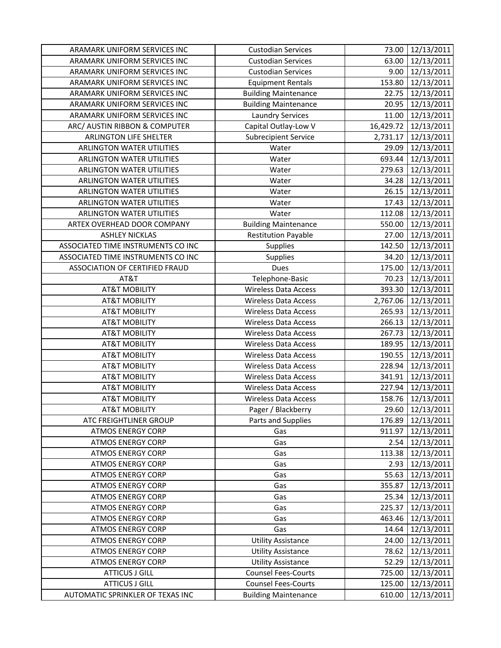| ARAMARK UNIFORM SERVICES INC       | <b>Custodian Services</b>   | 73.00     | 12/13/2011       |
|------------------------------------|-----------------------------|-----------|------------------|
| ARAMARK UNIFORM SERVICES INC       | <b>Custodian Services</b>   | 63.00     | 12/13/2011       |
| ARAMARK UNIFORM SERVICES INC       | <b>Custodian Services</b>   | 9.00      | 12/13/2011       |
| ARAMARK UNIFORM SERVICES INC       | <b>Equipment Rentals</b>    | 153.80    | 12/13/2011       |
| ARAMARK UNIFORM SERVICES INC       | <b>Building Maintenance</b> | 22.75     | 12/13/2011       |
| ARAMARK UNIFORM SERVICES INC       | <b>Building Maintenance</b> | 20.95     | 12/13/2011       |
| ARAMARK UNIFORM SERVICES INC       | <b>Laundry Services</b>     | 11.00     | 12/13/2011       |
| ARC/ AUSTIN RIBBON & COMPUTER      | Capital Outlay-Low V        | 16,429.72 | 12/13/2011       |
| <b>ARLINGTON LIFE SHELTER</b>      | <b>Subrecipient Service</b> | 2,731.17  | 12/13/2011       |
| <b>ARLINGTON WATER UTILITIES</b>   | Water                       | 29.09     | 12/13/2011       |
| <b>ARLINGTON WATER UTILITIES</b>   | Water                       | 693.44    | 12/13/2011       |
| ARLINGTON WATER UTILITIES          | Water                       | 279.63    | 12/13/2011       |
| ARLINGTON WATER UTILITIES          | Water                       | 34.28     | 12/13/2011       |
| ARLINGTON WATER UTILITIES          | Water                       | 26.15     | 12/13/2011       |
| <b>ARLINGTON WATER UTILITIES</b>   | Water                       | 17.43     | 12/13/2011       |
| <b>ARLINGTON WATER UTILITIES</b>   | Water                       | 112.08    | 12/13/2011       |
| ARTEX OVERHEAD DOOR COMPANY        | <b>Building Maintenance</b> | 550.00    | 12/13/2011       |
| <b>ASHLEY NICKLAS</b>              | <b>Restitution Payable</b>  | 27.00     | 12/13/2011       |
| ASSOCIATED TIME INSTRUMENTS CO INC | Supplies                    | 142.50    | 12/13/2011       |
| ASSOCIATED TIME INSTRUMENTS CO INC | Supplies                    | 34.20     | 12/13/2011       |
| ASSOCIATION OF CERTIFIED FRAUD     | Dues                        | 175.00    | 12/13/2011       |
| AT&T                               | Telephone-Basic             | 70.23     | 12/13/2011       |
| <b>AT&amp;T MOBILITY</b>           | <b>Wireless Data Access</b> | 393.30    | 12/13/2011       |
| <b>AT&amp;T MOBILITY</b>           | <b>Wireless Data Access</b> | 2,767.06  | 12/13/2011       |
| <b>AT&amp;T MOBILITY</b>           | <b>Wireless Data Access</b> | 265.93    | 12/13/2011       |
| <b>AT&amp;T MOBILITY</b>           | <b>Wireless Data Access</b> | 266.13    | 12/13/2011       |
| <b>AT&amp;T MOBILITY</b>           | <b>Wireless Data Access</b> | 267.73    | 12/13/2011       |
| <b>AT&amp;T MOBILITY</b>           | <b>Wireless Data Access</b> | 189.95    | 12/13/2011       |
| <b>AT&amp;T MOBILITY</b>           | <b>Wireless Data Access</b> | 190.55    | 12/13/2011       |
| <b>AT&amp;T MOBILITY</b>           | <b>Wireless Data Access</b> | 228.94    | 12/13/2011       |
| <b>AT&amp;T MOBILITY</b>           | <b>Wireless Data Access</b> | 341.91    | 12/13/2011       |
| <b>AT&amp;T MOBILITY</b>           | <b>Wireless Data Access</b> | 227.94    | 12/13/2011       |
| <b>AT&amp;T MOBILITY</b>           | <b>Wireless Data Access</b> | 158.76    | 12/13/2011       |
| <b>AT&amp;T MOBILITY</b>           | Pager / Blackberry          |           | 29.60 12/13/2011 |
| ATC FREIGHTLINER GROUP             | Parts and Supplies          | 176.89    | 12/13/2011       |
| <b>ATMOS ENERGY CORP</b>           | Gas                         | 911.97    | 12/13/2011       |
| <b>ATMOS ENERGY CORP</b>           | Gas                         | 2.54      | 12/13/2011       |
| <b>ATMOS ENERGY CORP</b>           | Gas                         | 113.38    | 12/13/2011       |
| <b>ATMOS ENERGY CORP</b>           | Gas                         | 2.93      | 12/13/2011       |
| <b>ATMOS ENERGY CORP</b>           | Gas                         | 55.63     | 12/13/2011       |
| <b>ATMOS ENERGY CORP</b>           | Gas                         | 355.87    | 12/13/2011       |
| <b>ATMOS ENERGY CORP</b>           | Gas                         | 25.34     | 12/13/2011       |
| <b>ATMOS ENERGY CORP</b>           | Gas                         | 225.37    | 12/13/2011       |
| <b>ATMOS ENERGY CORP</b>           | Gas                         | 463.46    | 12/13/2011       |
| <b>ATMOS ENERGY CORP</b>           | Gas                         | 14.64     | 12/13/2011       |
| <b>ATMOS ENERGY CORP</b>           | <b>Utility Assistance</b>   | 24.00     | 12/13/2011       |
| <b>ATMOS ENERGY CORP</b>           | <b>Utility Assistance</b>   | 78.62     | 12/13/2011       |
| <b>ATMOS ENERGY CORP</b>           | <b>Utility Assistance</b>   | 52.29     | 12/13/2011       |
| <b>ATTICUS J GILL</b>              | <b>Counsel Fees-Courts</b>  | 725.00    | 12/13/2011       |
| <b>ATTICUS J GILL</b>              | <b>Counsel Fees-Courts</b>  | 125.00    | 12/13/2011       |
| AUTOMATIC SPRINKLER OF TEXAS INC   | <b>Building Maintenance</b> | 610.00    | 12/13/2011       |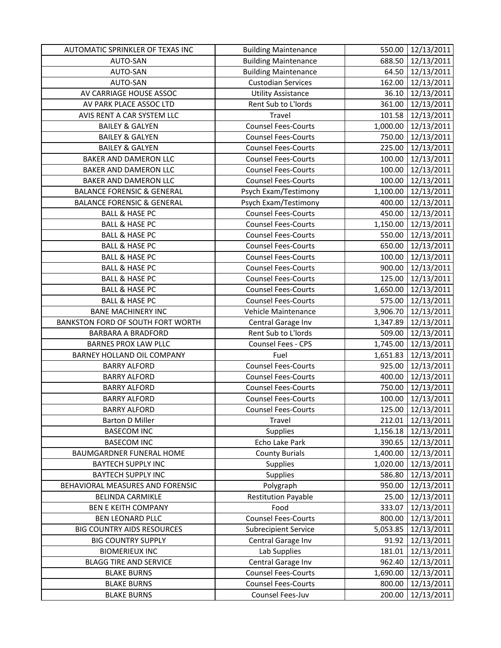| AUTOMATIC SPRINKLER OF TEXAS INC      | <b>Building Maintenance</b> | 550.00   | 12/13/2011        |
|---------------------------------------|-----------------------------|----------|-------------------|
| AUTO-SAN                              | <b>Building Maintenance</b> | 688.50   | 12/13/2011        |
| AUTO-SAN                              | <b>Building Maintenance</b> | 64.50    | 12/13/2011        |
| AUTO-SAN                              | <b>Custodian Services</b>   | 162.00   | 12/13/2011        |
| AV CARRIAGE HOUSE ASSOC               | <b>Utility Assistance</b>   | 36.10    | 12/13/2011        |
| AV PARK PLACE ASSOC LTD               | Rent Sub to L'Iords         | 361.00   | 12/13/2011        |
| AVIS RENT A CAR SYSTEM LLC            | Travel                      | 101.58   | 12/13/2011        |
| <b>BAILEY &amp; GALYEN</b>            | <b>Counsel Fees-Courts</b>  | 1,000.00 | 12/13/2011        |
| <b>BAILEY &amp; GALYEN</b>            | <b>Counsel Fees-Courts</b>  | 750.00   | 12/13/2011        |
| <b>BAILEY &amp; GALYEN</b>            | <b>Counsel Fees-Courts</b>  | 225.00   | 12/13/2011        |
| BAKER AND DAMERON LLC                 | <b>Counsel Fees-Courts</b>  | 100.00   | 12/13/2011        |
| BAKER AND DAMERON LLC                 | <b>Counsel Fees-Courts</b>  | 100.00   | 12/13/2011        |
| <b>BAKER AND DAMERON LLC</b>          | <b>Counsel Fees-Courts</b>  | 100.00   | 12/13/2011        |
| <b>BALANCE FORENSIC &amp; GENERAL</b> | Psych Exam/Testimony        | 1,100.00 | 12/13/2011        |
| <b>BALANCE FORENSIC &amp; GENERAL</b> | Psych Exam/Testimony        | 400.00   | 12/13/2011        |
| <b>BALL &amp; HASE PC</b>             | <b>Counsel Fees-Courts</b>  | 450.00   | 12/13/2011        |
| <b>BALL &amp; HASE PC</b>             | <b>Counsel Fees-Courts</b>  | 1,150.00 | 12/13/2011        |
| <b>BALL &amp; HASE PC</b>             | <b>Counsel Fees-Courts</b>  | 550.00   | 12/13/2011        |
| <b>BALL &amp; HASE PC</b>             | <b>Counsel Fees-Courts</b>  | 650.00   | 12/13/2011        |
| <b>BALL &amp; HASE PC</b>             | <b>Counsel Fees-Courts</b>  | 100.00   | 12/13/2011        |
| <b>BALL &amp; HASE PC</b>             | <b>Counsel Fees-Courts</b>  | 900.00   | 12/13/2011        |
| <b>BALL &amp; HASE PC</b>             | <b>Counsel Fees-Courts</b>  | 125.00   | 12/13/2011        |
| <b>BALL &amp; HASE PC</b>             | <b>Counsel Fees-Courts</b>  | 1,650.00 | 12/13/2011        |
| <b>BALL &amp; HASE PC</b>             | <b>Counsel Fees-Courts</b>  | 575.00   | 12/13/2011        |
| <b>BANE MACHINERY INC</b>             | Vehicle Maintenance         | 3,906.70 | 12/13/2011        |
| BANKSTON FORD OF SOUTH FORT WORTH     | Central Garage Inv          | 1,347.89 | 12/13/2011        |
| <b>BARBARA A BRADFORD</b>             | Rent Sub to L'Iords         | 509.00   | 12/13/2011        |
| <b>BARNES PROX LAW PLLC</b>           | Counsel Fees - CPS          | 1,745.00 | 12/13/2011        |
| BARNEY HOLLAND OIL COMPANY            | Fuel                        | 1,651.83 | 12/13/2011        |
| <b>BARRY ALFORD</b>                   | <b>Counsel Fees-Courts</b>  | 925.00   | 12/13/2011        |
| <b>BARRY ALFORD</b>                   | <b>Counsel Fees-Courts</b>  | 400.00   | 12/13/2011        |
| <b>BARRY ALFORD</b>                   | <b>Counsel Fees-Courts</b>  | 750.00   | 12/13/2011        |
| <b>BARRY ALFORD</b>                   | <b>Counsel Fees-Courts</b>  | 100.00   | 12/13/2011        |
| <b>BARRY ALFORD</b>                   | <b>Counsel Fees-Courts</b>  |          | 125.00 12/13/2011 |
| <b>Barton D Miller</b>                | Travel                      | 212.01   | 12/13/2011        |
| <b>BASECOM INC</b>                    | <b>Supplies</b>             | 1,156.18 | 12/13/2011        |
| <b>BASECOM INC</b>                    | Echo Lake Park              | 390.65   | 12/13/2011        |
| BAUMGARDNER FUNERAL HOME              | <b>County Burials</b>       | 1,400.00 | 12/13/2011        |
| <b>BAYTECH SUPPLY INC</b>             | Supplies                    | 1,020.00 | 12/13/2011        |
| <b>BAYTECH SUPPLY INC</b>             | Supplies                    | 586.80   | 12/13/2011        |
| BEHAVIORAL MEASURES AND FORENSIC      | Polygraph                   | 950.00   | 12/13/2011        |
| <b>BELINDA CARMIKLE</b>               | <b>Restitution Payable</b>  | 25.00    | 12/13/2011        |
| <b>BEN E KEITH COMPANY</b>            | Food                        | 333.07   | 12/13/2011        |
| <b>BEN LEONARD PLLC</b>               | <b>Counsel Fees-Courts</b>  | 800.00   | 12/13/2011        |
| <b>BIG COUNTRY AIDS RESOURCES</b>     | <b>Subrecipient Service</b> | 5,053.85 | 12/13/2011        |
| <b>BIG COUNTRY SUPPLY</b>             | Central Garage Inv          | 91.92    | 12/13/2011        |
| <b>BIOMERIEUX INC</b>                 | Lab Supplies                | 181.01   | 12/13/2011        |
| <b>BLAGG TIRE AND SERVICE</b>         | Central Garage Inv          | 962.40   | 12/13/2011        |
| <b>BLAKE BURNS</b>                    | <b>Counsel Fees-Courts</b>  | 1,690.00 | 12/13/2011        |
| <b>BLAKE BURNS</b>                    | <b>Counsel Fees-Courts</b>  | 800.00   | 12/13/2011        |
| <b>BLAKE BURNS</b>                    | Counsel Fees-Juv            | 200.00   | 12/13/2011        |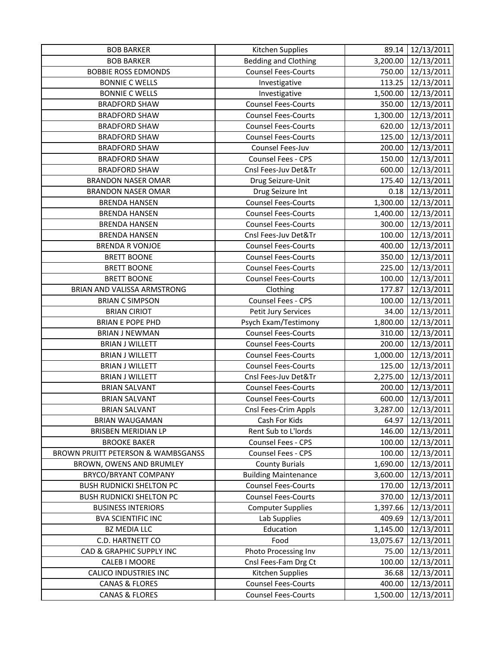| <b>BOB BARKER</b>                  | Kitchen Supplies            | 89.14     | 12/13/2011          |
|------------------------------------|-----------------------------|-----------|---------------------|
| <b>BOB BARKER</b>                  | <b>Bedding and Clothing</b> | 3,200.00  | 12/13/2011          |
| <b>BOBBIE ROSS EDMONDS</b>         | <b>Counsel Fees-Courts</b>  | 750.00    | 12/13/2011          |
| <b>BONNIE C WELLS</b>              | Investigative               | 113.25    | 12/13/2011          |
| <b>BONNIE C WELLS</b>              | Investigative               | 1,500.00  | 12/13/2011          |
| <b>BRADFORD SHAW</b>               | <b>Counsel Fees-Courts</b>  | 350.00    | 12/13/2011          |
| <b>BRADFORD SHAW</b>               | <b>Counsel Fees-Courts</b>  | 1,300.00  | 12/13/2011          |
| <b>BRADFORD SHAW</b>               | <b>Counsel Fees-Courts</b>  | 620.00    | 12/13/2011          |
| <b>BRADFORD SHAW</b>               | <b>Counsel Fees-Courts</b>  | 125.00    | 12/13/2011          |
| <b>BRADFORD SHAW</b>               | Counsel Fees-Juv            | 200.00    | 12/13/2011          |
| <b>BRADFORD SHAW</b>               | Counsel Fees - CPS          | 150.00    | 12/13/2011          |
| <b>BRADFORD SHAW</b>               | Cnsl Fees-Juv Det&Tr        | 600.00    | 12/13/2011          |
| <b>BRANDON NASER OMAR</b>          | Drug Seizure-Unit           | 175.40    | 12/13/2011          |
| <b>BRANDON NASER OMAR</b>          | Drug Seizure Int            | 0.18      | 12/13/2011          |
| <b>BRENDA HANSEN</b>               | <b>Counsel Fees-Courts</b>  | 1,300.00  | 12/13/2011          |
| <b>BRENDA HANSEN</b>               | <b>Counsel Fees-Courts</b>  | 1,400.00  | 12/13/2011          |
| <b>BRENDA HANSEN</b>               | <b>Counsel Fees-Courts</b>  | 300.00    | 12/13/2011          |
| <b>BRENDA HANSEN</b>               | Cnsl Fees-Juv Det&Tr        | 100.00    | 12/13/2011          |
| <b>BRENDA R VONJOE</b>             | <b>Counsel Fees-Courts</b>  | 400.00    | 12/13/2011          |
| <b>BRETT BOONE</b>                 | <b>Counsel Fees-Courts</b>  | 350.00    | 12/13/2011          |
| <b>BRETT BOONE</b>                 | <b>Counsel Fees-Courts</b>  | 225.00    | 12/13/2011          |
| <b>BRETT BOONE</b>                 | <b>Counsel Fees-Courts</b>  | 100.00    | 12/13/2011          |
| BRIAN AND VALISSA ARMSTRONG        | Clothing                    | 177.87    | 12/13/2011          |
| <b>BRIAN C SIMPSON</b>             | Counsel Fees - CPS          | 100.00    | 12/13/2011          |
| <b>BRIAN CIRIOT</b>                | Petit Jury Services         | 34.00     | 12/13/2011          |
| <b>BRIAN E POPE PHD</b>            | Psych Exam/Testimony        | 1,800.00  | 12/13/2011          |
| <b>BRIAN J NEWMAN</b>              | <b>Counsel Fees-Courts</b>  | 310.00    | 12/13/2011          |
| <b>BRIAN J WILLETT</b>             | <b>Counsel Fees-Courts</b>  | 200.00    | 12/13/2011          |
| <b>BRIAN J WILLETT</b>             | <b>Counsel Fees-Courts</b>  | 1,000.00  | 12/13/2011          |
| <b>BRIAN J WILLETT</b>             | <b>Counsel Fees-Courts</b>  | 125.00    | 12/13/2011          |
| <b>BRIAN J WILLETT</b>             | Cnsl Fees-Juv Det&Tr        | 2,275.00  | 12/13/2011          |
| <b>BRIAN SALVANT</b>               | <b>Counsel Fees-Courts</b>  | 200.00    | 12/13/2011          |
| <b>BRIAN SALVANT</b>               | <b>Counsel Fees-Courts</b>  | 600.00    | 12/13/2011          |
| <b>BRIAN SALVANT</b>               | Cnsl Fees-Crim Appls        |           | 3,287.00 12/13/2011 |
| <b>BRIAN WAUGAMAN</b>              | Cash For Kids               | 64.97     | 12/13/2011          |
| <b>BRISBEN MERIDIAN LP</b>         | Rent Sub to L'Iords         | 146.00    | 12/13/2011          |
| <b>BROOKE BAKER</b>                | Counsel Fees - CPS          | 100.00    | 12/13/2011          |
| BROWN PRUITT PETERSON & WAMBSGANSS | Counsel Fees - CPS          | 100.00    | 12/13/2011          |
| BROWN, OWENS AND BRUMLEY           | <b>County Burials</b>       | 1,690.00  | 12/13/2011          |
| BRYCO/BRYANT COMPANY               | <b>Building Maintenance</b> | 3,600.00  | 12/13/2011          |
| <b>BUSH RUDNICKI SHELTON PC</b>    | <b>Counsel Fees-Courts</b>  | 170.00    | 12/13/2011          |
| <b>BUSH RUDNICKI SHELTON PC</b>    | <b>Counsel Fees-Courts</b>  | 370.00    | 12/13/2011          |
| <b>BUSINESS INTERIORS</b>          | <b>Computer Supplies</b>    | 1,397.66  | 12/13/2011          |
| <b>BVA SCIENTIFIC INC</b>          | Lab Supplies                | 409.69    | 12/13/2011          |
| <b>BZ MEDIA LLC</b>                | Education                   | 1,145.00  | 12/13/2011          |
| C.D. HARTNETT CO                   | Food                        | 13,075.67 | 12/13/2011          |
| CAD & GRAPHIC SUPPLY INC           | Photo Processing Inv        | 75.00     | 12/13/2011          |
| <b>CALEB I MOORE</b>               | Cnsl Fees-Fam Drg Ct        | 100.00    | 12/13/2011          |
| <b>CALICO INDUSTRIES INC</b>       | Kitchen Supplies            | 36.68     | 12/13/2011          |
| <b>CANAS &amp; FLORES</b>          | <b>Counsel Fees-Courts</b>  | 400.00    | 12/13/2011          |
| <b>CANAS &amp; FLORES</b>          | <b>Counsel Fees-Courts</b>  | 1,500.00  | 12/13/2011          |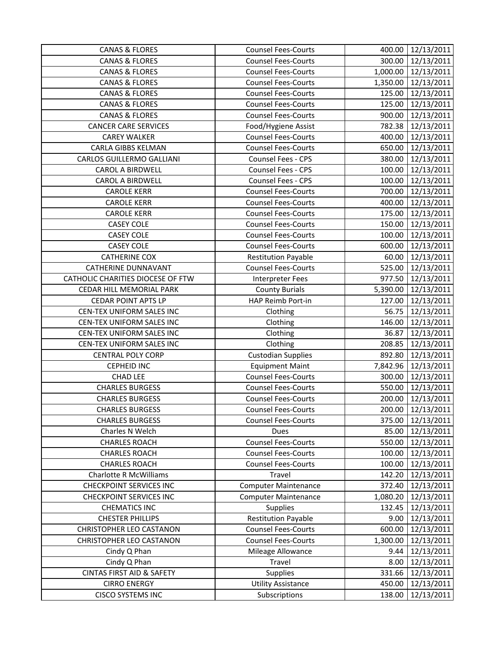| <b>CANAS &amp; FLORES</b>            | <b>Counsel Fees-Courts</b>  | 400.00   | 12/13/2011          |
|--------------------------------------|-----------------------------|----------|---------------------|
| <b>CANAS &amp; FLORES</b>            | <b>Counsel Fees-Courts</b>  | 300.00   | 12/13/2011          |
| <b>CANAS &amp; FLORES</b>            | <b>Counsel Fees-Courts</b>  |          | 1,000.00 12/13/2011 |
| <b>CANAS &amp; FLORES</b>            | <b>Counsel Fees-Courts</b>  |          | 1,350.00 12/13/2011 |
| <b>CANAS &amp; FLORES</b>            | <b>Counsel Fees-Courts</b>  | 125.00   | 12/13/2011          |
| <b>CANAS &amp; FLORES</b>            | <b>Counsel Fees-Courts</b>  | 125.00   | 12/13/2011          |
| <b>CANAS &amp; FLORES</b>            | <b>Counsel Fees-Courts</b>  | 900.00   | 12/13/2011          |
| <b>CANCER CARE SERVICES</b>          | Food/Hygiene Assist         | 782.38   | 12/13/2011          |
| <b>CAREY WALKER</b>                  | <b>Counsel Fees-Courts</b>  | 400.00   | 12/13/2011          |
| CARLA GIBBS KELMAN                   | <b>Counsel Fees-Courts</b>  | 650.00   | 12/13/2011          |
| CARLOS GUILLERMO GALLIANI            | Counsel Fees - CPS          | 380.00   | 12/13/2011          |
| CAROL A BIRDWELL                     | Counsel Fees - CPS          | 100.00   | 12/13/2011          |
| <b>CAROL A BIRDWELL</b>              | Counsel Fees - CPS          | 100.00   | 12/13/2011          |
| <b>CAROLE KERR</b>                   | <b>Counsel Fees-Courts</b>  | 700.00   | 12/13/2011          |
| <b>CAROLE KERR</b>                   | <b>Counsel Fees-Courts</b>  | 400.00   | 12/13/2011          |
| <b>CAROLE KERR</b>                   | <b>Counsel Fees-Courts</b>  | 175.00   | 12/13/2011          |
| <b>CASEY COLE</b>                    | <b>Counsel Fees-Courts</b>  | 150.00   | 12/13/2011          |
| <b>CASEY COLE</b>                    | <b>Counsel Fees-Courts</b>  | 100.00   | 12/13/2011          |
| <b>CASEY COLE</b>                    | <b>Counsel Fees-Courts</b>  | 600.00   | 12/13/2011          |
| <b>CATHERINE COX</b>                 | <b>Restitution Payable</b>  | 60.00    | 12/13/2011          |
| <b>CATHERINE DUNNAVANT</b>           | <b>Counsel Fees-Courts</b>  | 525.00   | 12/13/2011          |
| CATHOLIC CHARITIES DIOCESE OF FTW    | <b>Interpreter Fees</b>     |          | 977.50 12/13/2011   |
| CEDAR HILL MEMORIAL PARK             | <b>County Burials</b>       | 5,390.00 | 12/13/2011          |
| <b>CEDAR POINT APTS LP</b>           | HAP Reimb Port-in           | 127.00   | 12/13/2011          |
| CEN-TEX UNIFORM SALES INC            | Clothing                    | 56.75    | 12/13/2011          |
| CEN-TEX UNIFORM SALES INC            | Clothing                    | 146.00   | 12/13/2011          |
| CEN-TEX UNIFORM SALES INC            | Clothing                    | 36.87    | 12/13/2011          |
| CEN-TEX UNIFORM SALES INC            | Clothing                    | 208.85   | 12/13/2011          |
| <b>CENTRAL POLY CORP</b>             | <b>Custodian Supplies</b>   | 892.80   | 12/13/2011          |
| <b>CEPHEID INC</b>                   | <b>Equipment Maint</b>      |          | 7,842.96 12/13/2011 |
| <b>CHAD LEE</b>                      | <b>Counsel Fees-Courts</b>  | 300.00   | 12/13/2011          |
| <b>CHARLES BURGESS</b>               | <b>Counsel Fees-Courts</b>  | 550.00   | 12/13/2011          |
| <b>CHARLES BURGESS</b>               | <b>Counsel Fees-Courts</b>  | 200.00   | 12/13/2011          |
| <b>CHARLES BURGESS</b>               | <b>Counsel Fees-Courts</b>  |          | 200.00 12/13/2011   |
| <b>CHARLES BURGESS</b>               | <b>Counsel Fees-Courts</b>  | 375.00   | 12/13/2011          |
| Charles N Welch                      | Dues                        | 85.00    | 12/13/2011          |
| <b>CHARLES ROACH</b>                 | <b>Counsel Fees-Courts</b>  | 550.00   | 12/13/2011          |
| <b>CHARLES ROACH</b>                 | <b>Counsel Fees-Courts</b>  | 100.00   | 12/13/2011          |
| <b>CHARLES ROACH</b>                 | <b>Counsel Fees-Courts</b>  | 100.00   | 12/13/2011          |
| <b>Charlotte R McWilliams</b>        | Travel                      | 142.20   | 12/13/2011          |
| <b>CHECKPOINT SERVICES INC</b>       | Computer Maintenance        | 372.40   | 12/13/2011          |
| <b>CHECKPOINT SERVICES INC</b>       | <b>Computer Maintenance</b> | 1,080.20 | 12/13/2011          |
| <b>CHEMATICS INC</b>                 | Supplies                    | 132.45   | 12/13/2011          |
| <b>CHESTER PHILLIPS</b>              | <b>Restitution Payable</b>  | 9.00     | 12/13/2011          |
| <b>CHRISTOPHER LEO CASTANON</b>      | <b>Counsel Fees-Courts</b>  | 600.00   | 12/13/2011          |
| CHRISTOPHER LEO CASTANON             | <b>Counsel Fees-Courts</b>  | 1,300.00 | 12/13/2011          |
| Cindy Q Phan                         | Mileage Allowance           | 9.44     | 12/13/2011          |
| Cindy Q Phan                         | Travel                      | 8.00     | 12/13/2011          |
| <b>CINTAS FIRST AID &amp; SAFETY</b> | Supplies                    | 331.66   | 12/13/2011          |
| <b>CIRRO ENERGY</b>                  | <b>Utility Assistance</b>   | 450.00   | 12/13/2011          |
| <b>CISCO SYSTEMS INC</b>             | Subscriptions               | 138.00   | 12/13/2011          |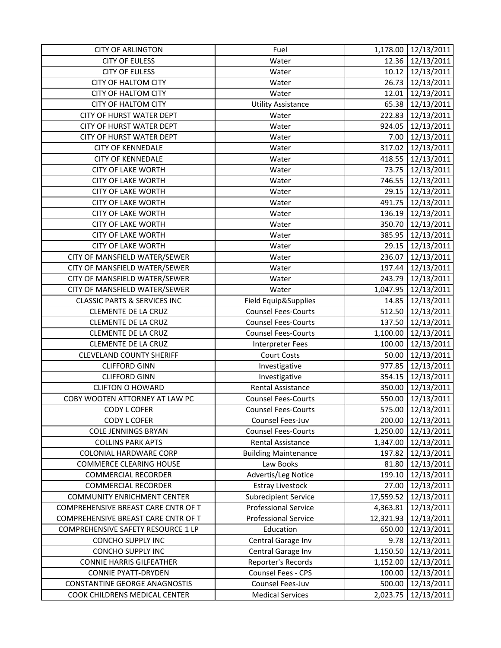| <b>CITY OF ARLINGTON</b>                | Fuel                        | 1,178.00  | 12/13/2011          |
|-----------------------------------------|-----------------------------|-----------|---------------------|
| <b>CITY OF EULESS</b>                   | Water                       |           | 12.36 12/13/2011    |
| <b>CITY OF EULESS</b>                   | Water                       |           | 10.12 12/13/2011    |
| <b>CITY OF HALTOM CITY</b>              | Water                       | 26.73     | 12/13/2011          |
| <b>CITY OF HALTOM CITY</b>              | Water                       | 12.01     | 12/13/2011          |
| CITY OF HALTOM CITY                     | <b>Utility Assistance</b>   | 65.38     | 12/13/2011          |
| CITY OF HURST WATER DEPT                | Water                       | 222.83    | 12/13/2011          |
| CITY OF HURST WATER DEPT                | Water                       |           | 924.05   12/13/2011 |
| <b>CITY OF HURST WATER DEPT</b>         | Water                       |           | 7.00 12/13/2011     |
| <b>CITY OF KENNEDALE</b>                | Water                       | 317.02    | 12/13/2011          |
| <b>CITY OF KENNEDALE</b>                | Water                       |           | 418.55 12/13/2011   |
| <b>CITY OF LAKE WORTH</b>               | Water                       | 73.75     | 12/13/2011          |
| <b>CITY OF LAKE WORTH</b>               | Water                       | 746.55    | 12/13/2011          |
| <b>CITY OF LAKE WORTH</b>               | Water                       | 29.15     | 12/13/2011          |
| <b>CITY OF LAKE WORTH</b>               | Water                       | 491.75    | 12/13/2011          |
| <b>CITY OF LAKE WORTH</b>               | Water                       |           | 136.19 12/13/2011   |
| <b>CITY OF LAKE WORTH</b>               | Water                       |           | 350.70 12/13/2011   |
| <b>CITY OF LAKE WORTH</b>               | Water                       | 385.95    | 12/13/2011          |
| <b>CITY OF LAKE WORTH</b>               | Water                       | 29.15     | 12/13/2011          |
| CITY OF MANSFIELD WATER/SEWER           | Water                       | 236.07    | 12/13/2011          |
| CITY OF MANSFIELD WATER/SEWER           | Water                       | 197.44    | 12/13/2011          |
| CITY OF MANSFIELD WATER/SEWER           | Water                       | 243.79    | 12/13/2011          |
| CITY OF MANSFIELD WATER/SEWER           | Water                       | 1,047.95  | 12/13/2011          |
| <b>CLASSIC PARTS &amp; SERVICES INC</b> | Field Equip&Supplies        | 14.85     | 12/13/2011          |
| <b>CLEMENTE DE LA CRUZ</b>              | <b>Counsel Fees-Courts</b>  | 512.50    | 12/13/2011          |
| <b>CLEMENTE DE LA CRUZ</b>              | <b>Counsel Fees-Courts</b>  |           | 137.50 12/13/2011   |
| <b>CLEMENTE DE LA CRUZ</b>              | <b>Counsel Fees-Courts</b>  | 1,100.00  | 12/13/2011          |
| <b>CLEMENTE DE LA CRUZ</b>              | <b>Interpreter Fees</b>     | 100.00    | 12/13/2011          |
| <b>CLEVELAND COUNTY SHERIFF</b>         | <b>Court Costs</b>          | 50.00     | 12/13/2011          |
| <b>CLIFFORD GINN</b>                    | Investigative               | 977.85    | 12/13/2011          |
| <b>CLIFFORD GINN</b>                    | Investigative               | 354.15    | 12/13/2011          |
| <b>CLIFTON O HOWARD</b>                 | Rental Assistance           | 350.00    | 12/13/2011          |
| COBY WOOTEN ATTORNEY AT LAW PC          | <b>Counsel Fees-Courts</b>  | 550.00    | 12/13/2011          |
| <b>CODY L COFER</b>                     | <b>Counsel Fees-Courts</b>  |           | 575.00 12/13/2011   |
| CODY L COFER                            | Counsel Fees-Juv            | 200.00    | 12/13/2011          |
| <b>COLE JENNINGS BRYAN</b>              | <b>Counsel Fees-Courts</b>  | 1,250.00  | 12/13/2011          |
| <b>COLLINS PARK APTS</b>                | Rental Assistance           | 1,347.00  | 12/13/2011          |
| <b>COLONIAL HARDWARE CORP</b>           | <b>Building Maintenance</b> | 197.82    | 12/13/2011          |
| <b>COMMERCE CLEARING HOUSE</b>          | Law Books                   | 81.80     | 12/13/2011          |
| <b>COMMERCIAL RECORDER</b>              | Advertis/Leg Notice         | 199.10    | 12/13/2011          |
| <b>COMMERCIAL RECORDER</b>              | <b>Estray Livestock</b>     | 27.00     | 12/13/2011          |
| <b>COMMUNITY ENRICHMENT CENTER</b>      | <b>Subrecipient Service</b> | 17,559.52 | 12/13/2011          |
| COMPREHENSIVE BREAST CARE CNTR OF T     | <b>Professional Service</b> | 4,363.81  | 12/13/2011          |
| COMPREHENSIVE BREAST CARE CNTR OF T     | <b>Professional Service</b> | 12,321.93 | 12/13/2011          |
| COMPREHENSIVE SAFETY RESOURCE 1 LP      | Education                   | 650.00    | 12/13/2011          |
| CONCHO SUPPLY INC                       | Central Garage Inv          | 9.78      | 12/13/2011          |
| CONCHO SUPPLY INC                       | Central Garage Inv          | 1,150.50  | 12/13/2011          |
| <b>CONNIE HARRIS GILFEATHER</b>         | Reporter's Records          | 1,152.00  | 12/13/2011          |
| <b>CONNIE PYATT-DRYDEN</b>              | Counsel Fees - CPS          | 100.00    | 12/13/2011          |
| <b>CONSTANTINE GEORGE ANAGNOSTIS</b>    | Counsel Fees-Juv            | 500.00    | 12/13/2011          |
| COOK CHILDRENS MEDICAL CENTER           | <b>Medical Services</b>     | 2,023.75  | 12/13/2011          |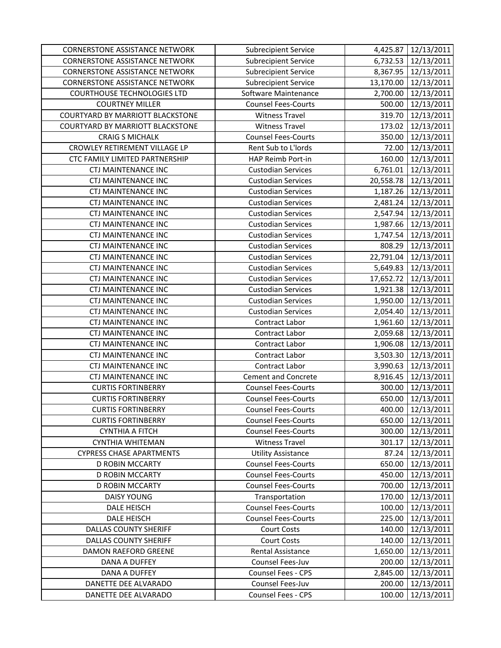| <b>CORNERSTONE ASSISTANCE NETWORK</b>   | <b>Subrecipient Service</b> | 4,425.87  | 12/13/2011           |
|-----------------------------------------|-----------------------------|-----------|----------------------|
| <b>CORNERSTONE ASSISTANCE NETWORK</b>   | <b>Subrecipient Service</b> | 6,732.53  | 12/13/2011           |
| <b>CORNERSTONE ASSISTANCE NETWORK</b>   | <b>Subrecipient Service</b> |           | 8,367.95 12/13/2011  |
| <b>CORNERSTONE ASSISTANCE NETWORK</b>   | <b>Subrecipient Service</b> | 13,170.00 | 12/13/2011           |
| <b>COURTHOUSE TECHNOLOGIES LTD</b>      | Software Maintenance        | 2,700.00  | 12/13/2011           |
| <b>COURTNEY MILLER</b>                  | <b>Counsel Fees-Courts</b>  | 500.00    | 12/13/2011           |
| <b>COURTYARD BY MARRIOTT BLACKSTONE</b> | <b>Witness Travel</b>       | 319.70    | 12/13/2011           |
| COURTYARD BY MARRIOTT BLACKSTONE        | <b>Witness Travel</b>       | 173.02    | 12/13/2011           |
| <b>CRAIG S MICHALK</b>                  | <b>Counsel Fees-Courts</b>  | 350.00    | 12/13/2011           |
| CROWLEY RETIREMENT VILLAGE LP           | Rent Sub to L'Iords         | 72.00     | 12/13/2011           |
| CTC FAMILY LIMITED PARTNERSHIP          | HAP Reimb Port-in           | 160.00    | 12/13/2011           |
| <b>CTJ MAINTENANCE INC</b>              | <b>Custodian Services</b>   | 6,761.01  | 12/13/2011           |
| CTJ MAINTENANCE INC                     | <b>Custodian Services</b>   | 20,558.78 | 12/13/2011           |
| <b>CTJ MAINTENANCE INC</b>              | <b>Custodian Services</b>   | 1,187.26  | 12/13/2011           |
| <b>CTJ MAINTENANCE INC</b>              | <b>Custodian Services</b>   | 2,481.24  | 12/13/2011           |
| <b>CTJ MAINTENANCE INC</b>              | <b>Custodian Services</b>   | 2,547.94  | 12/13/2011           |
| <b>CTJ MAINTENANCE INC</b>              | <b>Custodian Services</b>   | 1,987.66  | 12/13/2011           |
| <b>CTJ MAINTENANCE INC</b>              | <b>Custodian Services</b>   | 1,747.54  | 12/13/2011           |
| <b>CTJ MAINTENANCE INC</b>              | <b>Custodian Services</b>   | 808.29    | 12/13/2011           |
| <b>CTJ MAINTENANCE INC</b>              | <b>Custodian Services</b>   |           | 22,791.04 12/13/2011 |
| <b>CTJ MAINTENANCE INC</b>              | <b>Custodian Services</b>   | 5,649.83  | 12/13/2011           |
| <b>CTJ MAINTENANCE INC</b>              | <b>Custodian Services</b>   |           | 17,652.72 12/13/2011 |
| <b>CTJ MAINTENANCE INC</b>              | <b>Custodian Services</b>   | 1,921.38  | 12/13/2011           |
| <b>CTJ MAINTENANCE INC</b>              | <b>Custodian Services</b>   | 1,950.00  | 12/13/2011           |
| <b>CTJ MAINTENANCE INC</b>              | <b>Custodian Services</b>   | 2,054.40  | 12/13/2011           |
| <b>CTJ MAINTENANCE INC</b>              | Contract Labor              | 1,961.60  | 12/13/2011           |
| <b>CTJ MAINTENANCE INC</b>              | <b>Contract Labor</b>       | 2,059.68  | 12/13/2011           |
| <b>CTJ MAINTENANCE INC</b>              | Contract Labor              | 1,906.08  | 12/13/2011           |
| <b>CTJ MAINTENANCE INC</b>              | Contract Labor              | 3,503.30  | 12/13/2011           |
| <b>CTJ MAINTENANCE INC</b>              | Contract Labor              | 3,990.63  | 12/13/2011           |
| CTJ MAINTENANCE INC                     | <b>Cement and Concrete</b>  | 8,916.45  | 12/13/2011           |
| <b>CURTIS FORTINBERRY</b>               | <b>Counsel Fees-Courts</b>  | 300.00    | 12/13/2011           |
| <b>CURTIS FORTINBERRY</b>               | <b>Counsel Fees-Courts</b>  | 650.00    | 12/13/2011           |
| <b>CURTIS FORTINBERRY</b>               | <b>Counsel Fees-Courts</b>  |           | 400.00 12/13/2011    |
| <b>CURTIS FORTINBERRY</b>               | <b>Counsel Fees-Courts</b>  | 650.00    | 12/13/2011           |
| <b>CYNTHIA A FITCH</b>                  | <b>Counsel Fees-Courts</b>  | 300.00    | 12/13/2011           |
| <b>CYNTHIA WHITEMAN</b>                 | <b>Witness Travel</b>       | 301.17    | 12/13/2011           |
| <b>CYPRESS CHASE APARTMENTS</b>         | <b>Utility Assistance</b>   | 87.24     | 12/13/2011           |
| D ROBIN MCCARTY                         | <b>Counsel Fees-Courts</b>  | 650.00    | 12/13/2011           |
| <b>D ROBIN MCCARTY</b>                  | <b>Counsel Fees-Courts</b>  | 450.00    | 12/13/2011           |
| <b>D ROBIN MCCARTY</b>                  | <b>Counsel Fees-Courts</b>  | 700.00    | 12/13/2011           |
| <b>DAISY YOUNG</b>                      | Transportation              | 170.00    | 12/13/2011           |
| <b>DALE HEISCH</b>                      | <b>Counsel Fees-Courts</b>  | 100.00    | 12/13/2011           |
| <b>DALE HEISCH</b>                      | <b>Counsel Fees-Courts</b>  | 225.00    | 12/13/2011           |
| <b>DALLAS COUNTY SHERIFF</b>            | <b>Court Costs</b>          | 140.00    | 12/13/2011           |
| <b>DALLAS COUNTY SHERIFF</b>            | <b>Court Costs</b>          | 140.00    | 12/13/2011           |
| DAMON RAEFORD GREENE                    | Rental Assistance           | 1,650.00  | 12/13/2011           |
| <b>DANA A DUFFEY</b>                    | Counsel Fees-Juv            | 200.00    | 12/13/2011           |
| DANA A DUFFEY                           | Counsel Fees - CPS          | 2,845.00  | 12/13/2011           |
| DANETTE DEE ALVARADO                    | Counsel Fees-Juv            | 200.00    | 12/13/2011           |
| DANETTE DEE ALVARADO                    | Counsel Fees - CPS          | 100.00    | 12/13/2011           |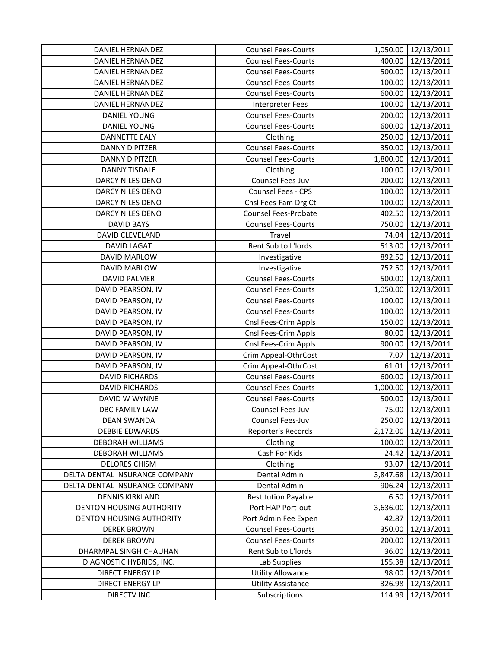| DANIEL HERNANDEZ                | <b>Counsel Fees-Courts</b> | 1,050.00 | 12/13/2011          |
|---------------------------------|----------------------------|----------|---------------------|
| <b>DANIEL HERNANDEZ</b>         | <b>Counsel Fees-Courts</b> | 400.00   | 12/13/2011          |
| DANIEL HERNANDEZ                | <b>Counsel Fees-Courts</b> |          | 500.00 12/13/2011   |
| DANIEL HERNANDEZ                | <b>Counsel Fees-Courts</b> |          | 100.00 12/13/2011   |
| DANIEL HERNANDEZ                | <b>Counsel Fees-Courts</b> | 600.00   | 12/13/2011          |
| DANIEL HERNANDEZ                | Interpreter Fees           | 100.00   | 12/13/2011          |
| <b>DANIEL YOUNG</b>             | <b>Counsel Fees-Courts</b> | 200.00   | 12/13/2011          |
| <b>DANIEL YOUNG</b>             | <b>Counsel Fees-Courts</b> |          | 600.00 12/13/2011   |
| <b>DANNETTE EALY</b>            | Clothing                   | 250.00   | 12/13/2011          |
| DANNY D PITZER                  | <b>Counsel Fees-Courts</b> | 350.00   | 12/13/2011          |
| <b>DANNY D PITZER</b>           | <b>Counsel Fees-Courts</b> | 1,800.00 | 12/13/2011          |
| <b>DANNY TISDALE</b>            | Clothing                   | 100.00   | 12/13/2011          |
| DARCY NILES DENO                | Counsel Fees-Juv           |          | 200.00 12/13/2011   |
| DARCY NILES DENO                | Counsel Fees - CPS         |          | 100.00 12/13/2011   |
| DARCY NILES DENO                | Cnsl Fees-Fam Drg Ct       | 100.00   | 12/13/2011          |
| <b>DARCY NILES DENO</b>         | Counsel Fees-Probate       | 402.50   | 12/13/2011          |
| <b>DAVID BAYS</b>               | <b>Counsel Fees-Courts</b> |          | 750.00 12/13/2011   |
| DAVID CLEVELAND                 | Travel                     | 74.04    | 12/13/2011          |
| <b>DAVID LAGAT</b>              | Rent Sub to L'Iords        | 513.00   | 12/13/2011          |
| DAVID MARLOW                    | Investigative              | 892.50   | 12/13/2011          |
| DAVID MARLOW                    | Investigative              |          | 752.50 12/13/2011   |
| <b>DAVID PALMER</b>             | <b>Counsel Fees-Courts</b> |          | 500.00 12/13/2011   |
| DAVID PEARSON, IV               | <b>Counsel Fees-Courts</b> |          | 1,050.00 12/13/2011 |
| DAVID PEARSON, IV               | <b>Counsel Fees-Courts</b> | 100.00   | 12/13/2011          |
| DAVID PEARSON, IV               | <b>Counsel Fees-Courts</b> | 100.00   | 12/13/2011          |
| DAVID PEARSON, IV               | Cnsl Fees-Crim Appls       | 150.00   | 12/13/2011          |
| DAVID PEARSON, IV               | Cnsl Fees-Crim Appls       | 80.00    | 12/13/2011          |
| DAVID PEARSON, IV               | Cnsl Fees-Crim Appls       | 900.00   | 12/13/2011          |
| DAVID PEARSON, IV               | Crim Appeal-OthrCost       | 7.07     | 12/13/2011          |
| DAVID PEARSON, IV               | Crim Appeal-OthrCost       | 61.01    | 12/13/2011          |
| <b>DAVID RICHARDS</b>           | <b>Counsel Fees-Courts</b> |          | 600.00 12/13/2011   |
| <b>DAVID RICHARDS</b>           | <b>Counsel Fees-Courts</b> |          | 1,000.00 12/13/2011 |
| DAVID W WYNNE                   | <b>Counsel Fees-Courts</b> | 500.00   | 12/13/2011          |
| DBC FAMILY LAW                  | Counsel Fees-Juv           |          | 75.00 12/13/2011    |
| <b>DEAN SWANDA</b>              | Counsel Fees-Juv           | 250.00   | 12/13/2011          |
| <b>DEBBIE EDWARDS</b>           | Reporter's Records         |          | 2,172.00 12/13/2011 |
| <b>DEBORAH WILLIAMS</b>         | Clothing                   | 100.00   | 12/13/2011          |
| DEBORAH WILLIAMS                | Cash For Kids              | 24.42    | 12/13/2011          |
| <b>DELORES CHISM</b>            | Clothing                   | 93.07    | 12/13/2011          |
| DELTA DENTAL INSURANCE COMPANY  | Dental Admin               | 3,847.68 | 12/13/2011          |
| DELTA DENTAL INSURANCE COMPANY  | Dental Admin               | 906.24   | 12/13/2011          |
| <b>DENNIS KIRKLAND</b>          | <b>Restitution Payable</b> | 6.50     | 12/13/2011          |
| <b>DENTON HOUSING AUTHORITY</b> | Port HAP Port-out          | 3,636.00 | 12/13/2011          |
| DENTON HOUSING AUTHORITY        | Port Admin Fee Expen       | 42.87    | 12/13/2011          |
| <b>DEREK BROWN</b>              | <b>Counsel Fees-Courts</b> | 350.00   | 12/13/2011          |
| <b>DEREK BROWN</b>              | <b>Counsel Fees-Courts</b> | 200.00   | 12/13/2011          |
| DHARMPAL SINGH CHAUHAN          | Rent Sub to L'Iords        | 36.00    | 12/13/2011          |
| DIAGNOSTIC HYBRIDS, INC.        | Lab Supplies               | 155.38   | 12/13/2011          |
| <b>DIRECT ENERGY LP</b>         | <b>Utility Allowance</b>   | 98.00    | 12/13/2011          |
| <b>DIRECT ENERGY LP</b>         | <b>Utility Assistance</b>  | 326.98   | 12/13/2011          |
| <b>DIRECTV INC</b>              | Subscriptions              | 114.99   | 12/13/2011          |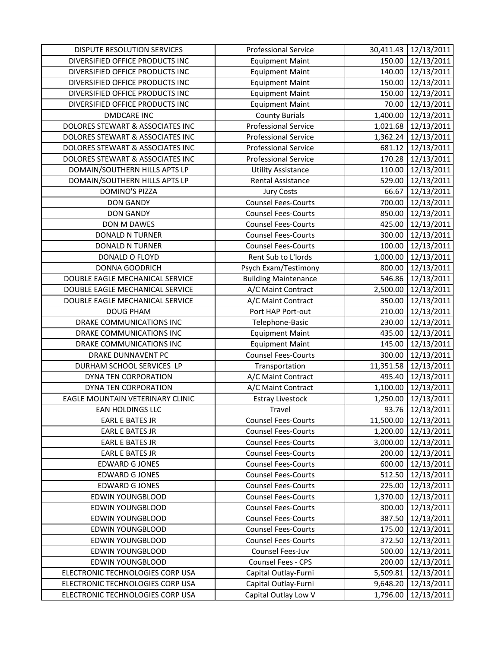| <b>DISPUTE RESOLUTION SERVICES</b> | <b>Professional Service</b> | 30,411.43 | 12/13/2011       |
|------------------------------------|-----------------------------|-----------|------------------|
| DIVERSIFIED OFFICE PRODUCTS INC    | <b>Equipment Maint</b>      | 150.00    | 12/13/2011       |
| DIVERSIFIED OFFICE PRODUCTS INC    | <b>Equipment Maint</b>      | 140.00    | 12/13/2011       |
| DIVERSIFIED OFFICE PRODUCTS INC    | <b>Equipment Maint</b>      | 150.00    | 12/13/2011       |
| DIVERSIFIED OFFICE PRODUCTS INC    | <b>Equipment Maint</b>      | 150.00    | 12/13/2011       |
| DIVERSIFIED OFFICE PRODUCTS INC    | <b>Equipment Maint</b>      | 70.00     | 12/13/2011       |
| <b>DMDCARE INC</b>                 | <b>County Burials</b>       | 1,400.00  | 12/13/2011       |
| DOLORES STEWART & ASSOCIATES INC   | <b>Professional Service</b> | 1,021.68  | 12/13/2011       |
| DOLORES STEWART & ASSOCIATES INC   | <b>Professional Service</b> | 1,362.24  | 12/13/2011       |
| DOLORES STEWART & ASSOCIATES INC   | <b>Professional Service</b> | 681.12    | 12/13/2011       |
| DOLORES STEWART & ASSOCIATES INC   | <b>Professional Service</b> | 170.28    | 12/13/2011       |
| DOMAIN/SOUTHERN HILLS APTS LP      | <b>Utility Assistance</b>   | 110.00    | 12/13/2011       |
| DOMAIN/SOUTHERN HILLS APTS LP      | <b>Rental Assistance</b>    | 529.00    | 12/13/2011       |
| <b>DOMINO'S PIZZA</b>              | <b>Jury Costs</b>           | 66.67     | 12/13/2011       |
| <b>DON GANDY</b>                   | <b>Counsel Fees-Courts</b>  | 700.00    | 12/13/2011       |
| <b>DON GANDY</b>                   | <b>Counsel Fees-Courts</b>  | 850.00    | 12/13/2011       |
| DON M DAWES                        | <b>Counsel Fees-Courts</b>  | 425.00    | 12/13/2011       |
| <b>DONALD N TURNER</b>             | <b>Counsel Fees-Courts</b>  | 300.00    | 12/13/2011       |
| <b>DONALD N TURNER</b>             | <b>Counsel Fees-Courts</b>  | 100.00    | 12/13/2011       |
| DONALD O FLOYD                     | Rent Sub to L'Iords         | 1,000.00  | 12/13/2011       |
| DONNA GOODRICH                     | Psych Exam/Testimony        | 800.00    | 12/13/2011       |
| DOUBLE EAGLE MECHANICAL SERVICE    | <b>Building Maintenance</b> | 546.86    | 12/13/2011       |
| DOUBLE EAGLE MECHANICAL SERVICE    | A/C Maint Contract          | 2,500.00  | 12/13/2011       |
| DOUBLE EAGLE MECHANICAL SERVICE    | A/C Maint Contract          | 350.00    | 12/13/2011       |
| <b>DOUG PHAM</b>                   | Port HAP Port-out           | 210.00    | 12/13/2011       |
| DRAKE COMMUNICATIONS INC           | Telephone-Basic             | 230.00    | 12/13/2011       |
| DRAKE COMMUNICATIONS INC           | <b>Equipment Maint</b>      | 435.00    | 12/13/2011       |
| DRAKE COMMUNICATIONS INC           | <b>Equipment Maint</b>      | 145.00    | 12/13/2011       |
| DRAKE DUNNAVENT PC                 | <b>Counsel Fees-Courts</b>  | 300.00    | 12/13/2011       |
| DURHAM SCHOOL SERVICES LP          | Transportation              | 11,351.58 | 12/13/2011       |
| DYNA TEN CORPORATION               | A/C Maint Contract          | 495.40    | 12/13/2011       |
| DYNA TEN CORPORATION               | A/C Maint Contract          | 1,100.00  | 12/13/2011       |
| EAGLE MOUNTAIN VETERINARY CLINIC   | <b>Estray Livestock</b>     | 1,250.00  | 12/13/2011       |
| EAN HOLDINGS LLC                   | Travel                      |           | 93.76 12/13/2011 |
| EARL E BATES JR                    | <b>Counsel Fees-Courts</b>  | 11,500.00 | 12/13/2011       |
| <b>EARL E BATES JR</b>             | <b>Counsel Fees-Courts</b>  | 1,200.00  | 12/13/2011       |
| <b>EARL E BATES JR</b>             | <b>Counsel Fees-Courts</b>  | 3,000.00  | 12/13/2011       |
| <b>EARL E BATES JR</b>             | <b>Counsel Fees-Courts</b>  | 200.00    | 12/13/2011       |
| <b>EDWARD G JONES</b>              | <b>Counsel Fees-Courts</b>  | 600.00    | 12/13/2011       |
| <b>EDWARD G JONES</b>              | <b>Counsel Fees-Courts</b>  | 512.50    | 12/13/2011       |
| <b>EDWARD G JONES</b>              | <b>Counsel Fees-Courts</b>  | 225.00    | 12/13/2011       |
| <b>EDWIN YOUNGBLOOD</b>            | <b>Counsel Fees-Courts</b>  | 1,370.00  | 12/13/2011       |
| <b>EDWIN YOUNGBLOOD</b>            | <b>Counsel Fees-Courts</b>  | 300.00    | 12/13/2011       |
| <b>EDWIN YOUNGBLOOD</b>            | <b>Counsel Fees-Courts</b>  | 387.50    | 12/13/2011       |
| <b>EDWIN YOUNGBLOOD</b>            | <b>Counsel Fees-Courts</b>  | 175.00    | 12/13/2011       |
| EDWIN YOUNGBLOOD                   | <b>Counsel Fees-Courts</b>  | 372.50    | 12/13/2011       |
| EDWIN YOUNGBLOOD                   | Counsel Fees-Juv            | 500.00    | 12/13/2011       |
| EDWIN YOUNGBLOOD                   | Counsel Fees - CPS          | 200.00    | 12/13/2011       |
| ELECTRONIC TECHNOLOGIES CORP USA   | Capital Outlay-Furni        | 5,509.81  | 12/13/2011       |
| ELECTRONIC TECHNOLOGIES CORP USA   | Capital Outlay-Furni        | 9,648.20  | 12/13/2011       |
| ELECTRONIC TECHNOLOGIES CORP USA   | Capital Outlay Low V        | 1,796.00  | 12/13/2011       |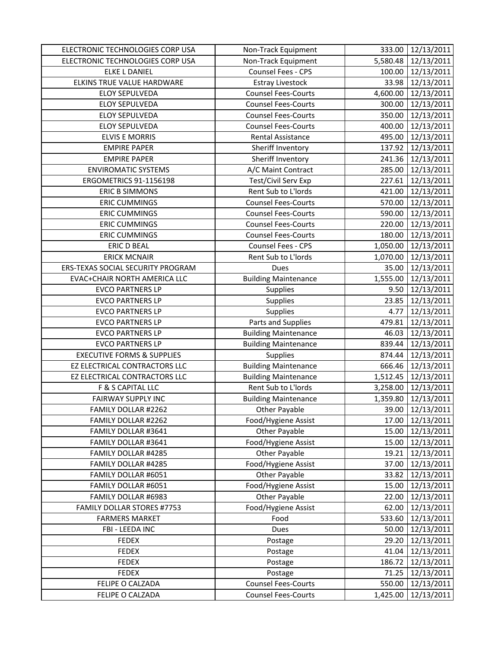| 5,580.48<br>12/13/2011<br>ELECTRONIC TECHNOLOGIES CORP USA<br>Non-Track Equipment<br>12/13/2011<br><b>ELKE L DANIEL</b><br>Counsel Fees - CPS<br>100.00<br>ELKINS TRUE VALUE HARDWARE<br><b>Estray Livestock</b><br>33.98<br>12/13/2011<br><b>Counsel Fees-Courts</b><br>4,600.00<br>12/13/2011<br><b>ELOY SEPULVEDA</b><br>12/13/2011<br><b>ELOY SEPULVEDA</b><br><b>Counsel Fees-Courts</b><br>300.00<br><b>ELOY SEPULVEDA</b><br><b>Counsel Fees-Courts</b><br>350.00<br>12/13/2011<br>12/13/2011<br><b>ELOY SEPULVEDA</b><br><b>Counsel Fees-Courts</b><br>400.00<br><b>ELVIS E MORRIS</b><br>Rental Assistance<br>495.00<br>12/13/2011<br>Sheriff Inventory<br><b>EMPIRE PAPER</b><br>137.92<br>12/13/2011<br><b>EMPIRE PAPER</b><br>Sheriff Inventory<br>241.36<br>12/13/2011<br><b>ENVIROMATIC SYSTEMS</b><br>A/C Maint Contract<br>285.00<br>12/13/2011<br>ERGOMETRICS 91-1156198<br>Test/Civil Serv Exp<br>227.61<br>12/13/2011<br>Rent Sub to L'Iords<br><b>ERIC B SIMMONS</b><br>12/13/2011<br>421.00<br><b>Counsel Fees-Courts</b><br>12/13/2011<br><b>ERIC CUMMINGS</b><br>570.00<br><b>ERIC CUMMINGS</b><br>590.00<br><b>Counsel Fees-Courts</b><br>12/13/2011<br><b>ERIC CUMMINGS</b><br>220.00<br>12/13/2011<br><b>Counsel Fees-Courts</b><br><b>ERIC CUMMINGS</b><br><b>Counsel Fees-Courts</b><br>180.00<br>12/13/2011<br>Counsel Fees - CPS<br>12/13/2011<br><b>ERIC D BEAL</b><br>1,050.00<br><b>ERICK MCNAIR</b><br>Rent Sub to L'Iords<br>12/13/2011<br>1,070.00<br>ERS-TEXAS SOCIAL SECURITY PROGRAM<br>12/13/2011<br>Dues<br>35.00<br><b>EVAC+CHAIR NORTH AMERICA LLC</b><br><b>Building Maintenance</b><br>1,555.00<br>12/13/2011<br>12/13/2011<br><b>EVCO PARTNERS LP</b><br>Supplies<br>9.50<br><b>EVCO PARTNERS LP</b><br>Supplies<br>23.85<br>12/13/2011<br><b>EVCO PARTNERS LP</b><br>Supplies<br>12/13/2011<br>4.77<br><b>EVCO PARTNERS LP</b><br>479.81<br>12/13/2011<br>Parts and Supplies<br><b>Building Maintenance</b><br>12/13/2011<br><b>EVCO PARTNERS LP</b><br>46.03<br><b>Building Maintenance</b><br><b>EVCO PARTNERS LP</b><br>839.44<br>12/13/2011<br><b>EXECUTIVE FORMS &amp; SUPPLIES</b><br>Supplies<br>12/13/2011<br>874.44<br>EZ ELECTRICAL CONTRACTORS LLC<br>666.46<br>12/13/2011<br><b>Building Maintenance</b><br><b>Building Maintenance</b><br>1,512.45<br>12/13/2011<br>EZ ELECTRICAL CONTRACTORS LLC<br>Rent Sub to L'Iords<br>12/13/2011<br>F & S CAPITAL LLC<br>3,258.00<br>12/13/2011<br><b>FAIRWAY SUPPLY INC</b><br><b>Building Maintenance</b><br>1,359.80<br>39.00 12/13/2011<br>FAMILY DOLLAR #2262<br>Other Payable<br>12/13/2011<br>Food/Hygiene Assist<br>17.00<br>FAMILY DOLLAR #2262<br>Other Payable<br>15.00<br>12/13/2011<br>FAMILY DOLLAR #3641<br>Food/Hygiene Assist<br>FAMILY DOLLAR #3641<br>15.00<br>12/13/2011<br>Other Payable<br>FAMILY DOLLAR #4285<br>12/13/2011<br>19.21<br>Food/Hygiene Assist<br>FAMILY DOLLAR #4285<br>37.00<br>12/13/2011<br>Other Payable<br>12/13/2011<br>FAMILY DOLLAR #6051<br>33.82<br>Food/Hygiene Assist<br>FAMILY DOLLAR #6051<br>15.00<br>12/13/2011<br>Other Payable<br>FAMILY DOLLAR #6983<br>22.00<br>12/13/2011<br><b>FAMILY DOLLAR STORES #7753</b><br>Food/Hygiene Assist<br>12/13/2011<br>62.00<br>533.60<br>12/13/2011<br><b>FARMERS MARKET</b><br>Food | ELECTRONIC TECHNOLOGIES CORP USA | Non-Track Equipment | 333.00 | 12/13/2011 |
|-----------------------------------------------------------------------------------------------------------------------------------------------------------------------------------------------------------------------------------------------------------------------------------------------------------------------------------------------------------------------------------------------------------------------------------------------------------------------------------------------------------------------------------------------------------------------------------------------------------------------------------------------------------------------------------------------------------------------------------------------------------------------------------------------------------------------------------------------------------------------------------------------------------------------------------------------------------------------------------------------------------------------------------------------------------------------------------------------------------------------------------------------------------------------------------------------------------------------------------------------------------------------------------------------------------------------------------------------------------------------------------------------------------------------------------------------------------------------------------------------------------------------------------------------------------------------------------------------------------------------------------------------------------------------------------------------------------------------------------------------------------------------------------------------------------------------------------------------------------------------------------------------------------------------------------------------------------------------------------------------------------------------------------------------------------------------------------------------------------------------------------------------------------------------------------------------------------------------------------------------------------------------------------------------------------------------------------------------------------------------------------------------------------------------------------------------------------------------------------------------------------------------------------------------------------------------------------------------------------------------------------------------------------------------------------------------------------------------------------------------------------------------------------------------------------------------------------------------------------------------------------------------------------------------------------------------------------------------------------------------------------------------------------------------------------------------------------------------------------------------------------------------------------------------------------------------------------------------------------------------------------------------------------|----------------------------------|---------------------|--------|------------|
|                                                                                                                                                                                                                                                                                                                                                                                                                                                                                                                                                                                                                                                                                                                                                                                                                                                                                                                                                                                                                                                                                                                                                                                                                                                                                                                                                                                                                                                                                                                                                                                                                                                                                                                                                                                                                                                                                                                                                                                                                                                                                                                                                                                                                                                                                                                                                                                                                                                                                                                                                                                                                                                                                                                                                                                                                                                                                                                                                                                                                                                                                                                                                                                                                                                                                   |                                  |                     |        |            |
|                                                                                                                                                                                                                                                                                                                                                                                                                                                                                                                                                                                                                                                                                                                                                                                                                                                                                                                                                                                                                                                                                                                                                                                                                                                                                                                                                                                                                                                                                                                                                                                                                                                                                                                                                                                                                                                                                                                                                                                                                                                                                                                                                                                                                                                                                                                                                                                                                                                                                                                                                                                                                                                                                                                                                                                                                                                                                                                                                                                                                                                                                                                                                                                                                                                                                   |                                  |                     |        |            |
|                                                                                                                                                                                                                                                                                                                                                                                                                                                                                                                                                                                                                                                                                                                                                                                                                                                                                                                                                                                                                                                                                                                                                                                                                                                                                                                                                                                                                                                                                                                                                                                                                                                                                                                                                                                                                                                                                                                                                                                                                                                                                                                                                                                                                                                                                                                                                                                                                                                                                                                                                                                                                                                                                                                                                                                                                                                                                                                                                                                                                                                                                                                                                                                                                                                                                   |                                  |                     |        |            |
|                                                                                                                                                                                                                                                                                                                                                                                                                                                                                                                                                                                                                                                                                                                                                                                                                                                                                                                                                                                                                                                                                                                                                                                                                                                                                                                                                                                                                                                                                                                                                                                                                                                                                                                                                                                                                                                                                                                                                                                                                                                                                                                                                                                                                                                                                                                                                                                                                                                                                                                                                                                                                                                                                                                                                                                                                                                                                                                                                                                                                                                                                                                                                                                                                                                                                   |                                  |                     |        |            |
|                                                                                                                                                                                                                                                                                                                                                                                                                                                                                                                                                                                                                                                                                                                                                                                                                                                                                                                                                                                                                                                                                                                                                                                                                                                                                                                                                                                                                                                                                                                                                                                                                                                                                                                                                                                                                                                                                                                                                                                                                                                                                                                                                                                                                                                                                                                                                                                                                                                                                                                                                                                                                                                                                                                                                                                                                                                                                                                                                                                                                                                                                                                                                                                                                                                                                   |                                  |                     |        |            |
|                                                                                                                                                                                                                                                                                                                                                                                                                                                                                                                                                                                                                                                                                                                                                                                                                                                                                                                                                                                                                                                                                                                                                                                                                                                                                                                                                                                                                                                                                                                                                                                                                                                                                                                                                                                                                                                                                                                                                                                                                                                                                                                                                                                                                                                                                                                                                                                                                                                                                                                                                                                                                                                                                                                                                                                                                                                                                                                                                                                                                                                                                                                                                                                                                                                                                   |                                  |                     |        |            |
|                                                                                                                                                                                                                                                                                                                                                                                                                                                                                                                                                                                                                                                                                                                                                                                                                                                                                                                                                                                                                                                                                                                                                                                                                                                                                                                                                                                                                                                                                                                                                                                                                                                                                                                                                                                                                                                                                                                                                                                                                                                                                                                                                                                                                                                                                                                                                                                                                                                                                                                                                                                                                                                                                                                                                                                                                                                                                                                                                                                                                                                                                                                                                                                                                                                                                   |                                  |                     |        |            |
|                                                                                                                                                                                                                                                                                                                                                                                                                                                                                                                                                                                                                                                                                                                                                                                                                                                                                                                                                                                                                                                                                                                                                                                                                                                                                                                                                                                                                                                                                                                                                                                                                                                                                                                                                                                                                                                                                                                                                                                                                                                                                                                                                                                                                                                                                                                                                                                                                                                                                                                                                                                                                                                                                                                                                                                                                                                                                                                                                                                                                                                                                                                                                                                                                                                                                   |                                  |                     |        |            |
|                                                                                                                                                                                                                                                                                                                                                                                                                                                                                                                                                                                                                                                                                                                                                                                                                                                                                                                                                                                                                                                                                                                                                                                                                                                                                                                                                                                                                                                                                                                                                                                                                                                                                                                                                                                                                                                                                                                                                                                                                                                                                                                                                                                                                                                                                                                                                                                                                                                                                                                                                                                                                                                                                                                                                                                                                                                                                                                                                                                                                                                                                                                                                                                                                                                                                   |                                  |                     |        |            |
|                                                                                                                                                                                                                                                                                                                                                                                                                                                                                                                                                                                                                                                                                                                                                                                                                                                                                                                                                                                                                                                                                                                                                                                                                                                                                                                                                                                                                                                                                                                                                                                                                                                                                                                                                                                                                                                                                                                                                                                                                                                                                                                                                                                                                                                                                                                                                                                                                                                                                                                                                                                                                                                                                                                                                                                                                                                                                                                                                                                                                                                                                                                                                                                                                                                                                   |                                  |                     |        |            |
|                                                                                                                                                                                                                                                                                                                                                                                                                                                                                                                                                                                                                                                                                                                                                                                                                                                                                                                                                                                                                                                                                                                                                                                                                                                                                                                                                                                                                                                                                                                                                                                                                                                                                                                                                                                                                                                                                                                                                                                                                                                                                                                                                                                                                                                                                                                                                                                                                                                                                                                                                                                                                                                                                                                                                                                                                                                                                                                                                                                                                                                                                                                                                                                                                                                                                   |                                  |                     |        |            |
|                                                                                                                                                                                                                                                                                                                                                                                                                                                                                                                                                                                                                                                                                                                                                                                                                                                                                                                                                                                                                                                                                                                                                                                                                                                                                                                                                                                                                                                                                                                                                                                                                                                                                                                                                                                                                                                                                                                                                                                                                                                                                                                                                                                                                                                                                                                                                                                                                                                                                                                                                                                                                                                                                                                                                                                                                                                                                                                                                                                                                                                                                                                                                                                                                                                                                   |                                  |                     |        |            |
|                                                                                                                                                                                                                                                                                                                                                                                                                                                                                                                                                                                                                                                                                                                                                                                                                                                                                                                                                                                                                                                                                                                                                                                                                                                                                                                                                                                                                                                                                                                                                                                                                                                                                                                                                                                                                                                                                                                                                                                                                                                                                                                                                                                                                                                                                                                                                                                                                                                                                                                                                                                                                                                                                                                                                                                                                                                                                                                                                                                                                                                                                                                                                                                                                                                                                   |                                  |                     |        |            |
|                                                                                                                                                                                                                                                                                                                                                                                                                                                                                                                                                                                                                                                                                                                                                                                                                                                                                                                                                                                                                                                                                                                                                                                                                                                                                                                                                                                                                                                                                                                                                                                                                                                                                                                                                                                                                                                                                                                                                                                                                                                                                                                                                                                                                                                                                                                                                                                                                                                                                                                                                                                                                                                                                                                                                                                                                                                                                                                                                                                                                                                                                                                                                                                                                                                                                   |                                  |                     |        |            |
|                                                                                                                                                                                                                                                                                                                                                                                                                                                                                                                                                                                                                                                                                                                                                                                                                                                                                                                                                                                                                                                                                                                                                                                                                                                                                                                                                                                                                                                                                                                                                                                                                                                                                                                                                                                                                                                                                                                                                                                                                                                                                                                                                                                                                                                                                                                                                                                                                                                                                                                                                                                                                                                                                                                                                                                                                                                                                                                                                                                                                                                                                                                                                                                                                                                                                   |                                  |                     |        |            |
|                                                                                                                                                                                                                                                                                                                                                                                                                                                                                                                                                                                                                                                                                                                                                                                                                                                                                                                                                                                                                                                                                                                                                                                                                                                                                                                                                                                                                                                                                                                                                                                                                                                                                                                                                                                                                                                                                                                                                                                                                                                                                                                                                                                                                                                                                                                                                                                                                                                                                                                                                                                                                                                                                                                                                                                                                                                                                                                                                                                                                                                                                                                                                                                                                                                                                   |                                  |                     |        |            |
|                                                                                                                                                                                                                                                                                                                                                                                                                                                                                                                                                                                                                                                                                                                                                                                                                                                                                                                                                                                                                                                                                                                                                                                                                                                                                                                                                                                                                                                                                                                                                                                                                                                                                                                                                                                                                                                                                                                                                                                                                                                                                                                                                                                                                                                                                                                                                                                                                                                                                                                                                                                                                                                                                                                                                                                                                                                                                                                                                                                                                                                                                                                                                                                                                                                                                   |                                  |                     |        |            |
|                                                                                                                                                                                                                                                                                                                                                                                                                                                                                                                                                                                                                                                                                                                                                                                                                                                                                                                                                                                                                                                                                                                                                                                                                                                                                                                                                                                                                                                                                                                                                                                                                                                                                                                                                                                                                                                                                                                                                                                                                                                                                                                                                                                                                                                                                                                                                                                                                                                                                                                                                                                                                                                                                                                                                                                                                                                                                                                                                                                                                                                                                                                                                                                                                                                                                   |                                  |                     |        |            |
|                                                                                                                                                                                                                                                                                                                                                                                                                                                                                                                                                                                                                                                                                                                                                                                                                                                                                                                                                                                                                                                                                                                                                                                                                                                                                                                                                                                                                                                                                                                                                                                                                                                                                                                                                                                                                                                                                                                                                                                                                                                                                                                                                                                                                                                                                                                                                                                                                                                                                                                                                                                                                                                                                                                                                                                                                                                                                                                                                                                                                                                                                                                                                                                                                                                                                   |                                  |                     |        |            |
|                                                                                                                                                                                                                                                                                                                                                                                                                                                                                                                                                                                                                                                                                                                                                                                                                                                                                                                                                                                                                                                                                                                                                                                                                                                                                                                                                                                                                                                                                                                                                                                                                                                                                                                                                                                                                                                                                                                                                                                                                                                                                                                                                                                                                                                                                                                                                                                                                                                                                                                                                                                                                                                                                                                                                                                                                                                                                                                                                                                                                                                                                                                                                                                                                                                                                   |                                  |                     |        |            |
|                                                                                                                                                                                                                                                                                                                                                                                                                                                                                                                                                                                                                                                                                                                                                                                                                                                                                                                                                                                                                                                                                                                                                                                                                                                                                                                                                                                                                                                                                                                                                                                                                                                                                                                                                                                                                                                                                                                                                                                                                                                                                                                                                                                                                                                                                                                                                                                                                                                                                                                                                                                                                                                                                                                                                                                                                                                                                                                                                                                                                                                                                                                                                                                                                                                                                   |                                  |                     |        |            |
|                                                                                                                                                                                                                                                                                                                                                                                                                                                                                                                                                                                                                                                                                                                                                                                                                                                                                                                                                                                                                                                                                                                                                                                                                                                                                                                                                                                                                                                                                                                                                                                                                                                                                                                                                                                                                                                                                                                                                                                                                                                                                                                                                                                                                                                                                                                                                                                                                                                                                                                                                                                                                                                                                                                                                                                                                                                                                                                                                                                                                                                                                                                                                                                                                                                                                   |                                  |                     |        |            |
|                                                                                                                                                                                                                                                                                                                                                                                                                                                                                                                                                                                                                                                                                                                                                                                                                                                                                                                                                                                                                                                                                                                                                                                                                                                                                                                                                                                                                                                                                                                                                                                                                                                                                                                                                                                                                                                                                                                                                                                                                                                                                                                                                                                                                                                                                                                                                                                                                                                                                                                                                                                                                                                                                                                                                                                                                                                                                                                                                                                                                                                                                                                                                                                                                                                                                   |                                  |                     |        |            |
|                                                                                                                                                                                                                                                                                                                                                                                                                                                                                                                                                                                                                                                                                                                                                                                                                                                                                                                                                                                                                                                                                                                                                                                                                                                                                                                                                                                                                                                                                                                                                                                                                                                                                                                                                                                                                                                                                                                                                                                                                                                                                                                                                                                                                                                                                                                                                                                                                                                                                                                                                                                                                                                                                                                                                                                                                                                                                                                                                                                                                                                                                                                                                                                                                                                                                   |                                  |                     |        |            |
|                                                                                                                                                                                                                                                                                                                                                                                                                                                                                                                                                                                                                                                                                                                                                                                                                                                                                                                                                                                                                                                                                                                                                                                                                                                                                                                                                                                                                                                                                                                                                                                                                                                                                                                                                                                                                                                                                                                                                                                                                                                                                                                                                                                                                                                                                                                                                                                                                                                                                                                                                                                                                                                                                                                                                                                                                                                                                                                                                                                                                                                                                                                                                                                                                                                                                   |                                  |                     |        |            |
|                                                                                                                                                                                                                                                                                                                                                                                                                                                                                                                                                                                                                                                                                                                                                                                                                                                                                                                                                                                                                                                                                                                                                                                                                                                                                                                                                                                                                                                                                                                                                                                                                                                                                                                                                                                                                                                                                                                                                                                                                                                                                                                                                                                                                                                                                                                                                                                                                                                                                                                                                                                                                                                                                                                                                                                                                                                                                                                                                                                                                                                                                                                                                                                                                                                                                   |                                  |                     |        |            |
|                                                                                                                                                                                                                                                                                                                                                                                                                                                                                                                                                                                                                                                                                                                                                                                                                                                                                                                                                                                                                                                                                                                                                                                                                                                                                                                                                                                                                                                                                                                                                                                                                                                                                                                                                                                                                                                                                                                                                                                                                                                                                                                                                                                                                                                                                                                                                                                                                                                                                                                                                                                                                                                                                                                                                                                                                                                                                                                                                                                                                                                                                                                                                                                                                                                                                   |                                  |                     |        |            |
|                                                                                                                                                                                                                                                                                                                                                                                                                                                                                                                                                                                                                                                                                                                                                                                                                                                                                                                                                                                                                                                                                                                                                                                                                                                                                                                                                                                                                                                                                                                                                                                                                                                                                                                                                                                                                                                                                                                                                                                                                                                                                                                                                                                                                                                                                                                                                                                                                                                                                                                                                                                                                                                                                                                                                                                                                                                                                                                                                                                                                                                                                                                                                                                                                                                                                   |                                  |                     |        |            |
|                                                                                                                                                                                                                                                                                                                                                                                                                                                                                                                                                                                                                                                                                                                                                                                                                                                                                                                                                                                                                                                                                                                                                                                                                                                                                                                                                                                                                                                                                                                                                                                                                                                                                                                                                                                                                                                                                                                                                                                                                                                                                                                                                                                                                                                                                                                                                                                                                                                                                                                                                                                                                                                                                                                                                                                                                                                                                                                                                                                                                                                                                                                                                                                                                                                                                   |                                  |                     |        |            |
|                                                                                                                                                                                                                                                                                                                                                                                                                                                                                                                                                                                                                                                                                                                                                                                                                                                                                                                                                                                                                                                                                                                                                                                                                                                                                                                                                                                                                                                                                                                                                                                                                                                                                                                                                                                                                                                                                                                                                                                                                                                                                                                                                                                                                                                                                                                                                                                                                                                                                                                                                                                                                                                                                                                                                                                                                                                                                                                                                                                                                                                                                                                                                                                                                                                                                   |                                  |                     |        |            |
|                                                                                                                                                                                                                                                                                                                                                                                                                                                                                                                                                                                                                                                                                                                                                                                                                                                                                                                                                                                                                                                                                                                                                                                                                                                                                                                                                                                                                                                                                                                                                                                                                                                                                                                                                                                                                                                                                                                                                                                                                                                                                                                                                                                                                                                                                                                                                                                                                                                                                                                                                                                                                                                                                                                                                                                                                                                                                                                                                                                                                                                                                                                                                                                                                                                                                   |                                  |                     |        |            |
|                                                                                                                                                                                                                                                                                                                                                                                                                                                                                                                                                                                                                                                                                                                                                                                                                                                                                                                                                                                                                                                                                                                                                                                                                                                                                                                                                                                                                                                                                                                                                                                                                                                                                                                                                                                                                                                                                                                                                                                                                                                                                                                                                                                                                                                                                                                                                                                                                                                                                                                                                                                                                                                                                                                                                                                                                                                                                                                                                                                                                                                                                                                                                                                                                                                                                   |                                  |                     |        |            |
|                                                                                                                                                                                                                                                                                                                                                                                                                                                                                                                                                                                                                                                                                                                                                                                                                                                                                                                                                                                                                                                                                                                                                                                                                                                                                                                                                                                                                                                                                                                                                                                                                                                                                                                                                                                                                                                                                                                                                                                                                                                                                                                                                                                                                                                                                                                                                                                                                                                                                                                                                                                                                                                                                                                                                                                                                                                                                                                                                                                                                                                                                                                                                                                                                                                                                   |                                  |                     |        |            |
|                                                                                                                                                                                                                                                                                                                                                                                                                                                                                                                                                                                                                                                                                                                                                                                                                                                                                                                                                                                                                                                                                                                                                                                                                                                                                                                                                                                                                                                                                                                                                                                                                                                                                                                                                                                                                                                                                                                                                                                                                                                                                                                                                                                                                                                                                                                                                                                                                                                                                                                                                                                                                                                                                                                                                                                                                                                                                                                                                                                                                                                                                                                                                                                                                                                                                   |                                  |                     |        |            |
|                                                                                                                                                                                                                                                                                                                                                                                                                                                                                                                                                                                                                                                                                                                                                                                                                                                                                                                                                                                                                                                                                                                                                                                                                                                                                                                                                                                                                                                                                                                                                                                                                                                                                                                                                                                                                                                                                                                                                                                                                                                                                                                                                                                                                                                                                                                                                                                                                                                                                                                                                                                                                                                                                                                                                                                                                                                                                                                                                                                                                                                                                                                                                                                                                                                                                   |                                  |                     |        |            |
|                                                                                                                                                                                                                                                                                                                                                                                                                                                                                                                                                                                                                                                                                                                                                                                                                                                                                                                                                                                                                                                                                                                                                                                                                                                                                                                                                                                                                                                                                                                                                                                                                                                                                                                                                                                                                                                                                                                                                                                                                                                                                                                                                                                                                                                                                                                                                                                                                                                                                                                                                                                                                                                                                                                                                                                                                                                                                                                                                                                                                                                                                                                                                                                                                                                                                   |                                  |                     |        |            |
|                                                                                                                                                                                                                                                                                                                                                                                                                                                                                                                                                                                                                                                                                                                                                                                                                                                                                                                                                                                                                                                                                                                                                                                                                                                                                                                                                                                                                                                                                                                                                                                                                                                                                                                                                                                                                                                                                                                                                                                                                                                                                                                                                                                                                                                                                                                                                                                                                                                                                                                                                                                                                                                                                                                                                                                                                                                                                                                                                                                                                                                                                                                                                                                                                                                                                   |                                  |                     |        |            |
|                                                                                                                                                                                                                                                                                                                                                                                                                                                                                                                                                                                                                                                                                                                                                                                                                                                                                                                                                                                                                                                                                                                                                                                                                                                                                                                                                                                                                                                                                                                                                                                                                                                                                                                                                                                                                                                                                                                                                                                                                                                                                                                                                                                                                                                                                                                                                                                                                                                                                                                                                                                                                                                                                                                                                                                                                                                                                                                                                                                                                                                                                                                                                                                                                                                                                   |                                  |                     |        |            |
|                                                                                                                                                                                                                                                                                                                                                                                                                                                                                                                                                                                                                                                                                                                                                                                                                                                                                                                                                                                                                                                                                                                                                                                                                                                                                                                                                                                                                                                                                                                                                                                                                                                                                                                                                                                                                                                                                                                                                                                                                                                                                                                                                                                                                                                                                                                                                                                                                                                                                                                                                                                                                                                                                                                                                                                                                                                                                                                                                                                                                                                                                                                                                                                                                                                                                   |                                  |                     |        |            |
|                                                                                                                                                                                                                                                                                                                                                                                                                                                                                                                                                                                                                                                                                                                                                                                                                                                                                                                                                                                                                                                                                                                                                                                                                                                                                                                                                                                                                                                                                                                                                                                                                                                                                                                                                                                                                                                                                                                                                                                                                                                                                                                                                                                                                                                                                                                                                                                                                                                                                                                                                                                                                                                                                                                                                                                                                                                                                                                                                                                                                                                                                                                                                                                                                                                                                   |                                  |                     |        |            |
|                                                                                                                                                                                                                                                                                                                                                                                                                                                                                                                                                                                                                                                                                                                                                                                                                                                                                                                                                                                                                                                                                                                                                                                                                                                                                                                                                                                                                                                                                                                                                                                                                                                                                                                                                                                                                                                                                                                                                                                                                                                                                                                                                                                                                                                                                                                                                                                                                                                                                                                                                                                                                                                                                                                                                                                                                                                                                                                                                                                                                                                                                                                                                                                                                                                                                   |                                  |                     |        |            |
|                                                                                                                                                                                                                                                                                                                                                                                                                                                                                                                                                                                                                                                                                                                                                                                                                                                                                                                                                                                                                                                                                                                                                                                                                                                                                                                                                                                                                                                                                                                                                                                                                                                                                                                                                                                                                                                                                                                                                                                                                                                                                                                                                                                                                                                                                                                                                                                                                                                                                                                                                                                                                                                                                                                                                                                                                                                                                                                                                                                                                                                                                                                                                                                                                                                                                   |                                  |                     |        |            |
|                                                                                                                                                                                                                                                                                                                                                                                                                                                                                                                                                                                                                                                                                                                                                                                                                                                                                                                                                                                                                                                                                                                                                                                                                                                                                                                                                                                                                                                                                                                                                                                                                                                                                                                                                                                                                                                                                                                                                                                                                                                                                                                                                                                                                                                                                                                                                                                                                                                                                                                                                                                                                                                                                                                                                                                                                                                                                                                                                                                                                                                                                                                                                                                                                                                                                   |                                  |                     |        |            |
| 50.00<br>12/13/2011<br>FBI - LEEDA INC<br>Dues                                                                                                                                                                                                                                                                                                                                                                                                                                                                                                                                                                                                                                                                                                                                                                                                                                                                                                                                                                                                                                                                                                                                                                                                                                                                                                                                                                                                                                                                                                                                                                                                                                                                                                                                                                                                                                                                                                                                                                                                                                                                                                                                                                                                                                                                                                                                                                                                                                                                                                                                                                                                                                                                                                                                                                                                                                                                                                                                                                                                                                                                                                                                                                                                                                    |                                  |                     |        |            |
| 29.20<br>12/13/2011<br><b>FEDEX</b><br>Postage                                                                                                                                                                                                                                                                                                                                                                                                                                                                                                                                                                                                                                                                                                                                                                                                                                                                                                                                                                                                                                                                                                                                                                                                                                                                                                                                                                                                                                                                                                                                                                                                                                                                                                                                                                                                                                                                                                                                                                                                                                                                                                                                                                                                                                                                                                                                                                                                                                                                                                                                                                                                                                                                                                                                                                                                                                                                                                                                                                                                                                                                                                                                                                                                                                    |                                  |                     |        |            |
| 12/13/2011<br><b>FEDEX</b><br>41.04<br>Postage                                                                                                                                                                                                                                                                                                                                                                                                                                                                                                                                                                                                                                                                                                                                                                                                                                                                                                                                                                                                                                                                                                                                                                                                                                                                                                                                                                                                                                                                                                                                                                                                                                                                                                                                                                                                                                                                                                                                                                                                                                                                                                                                                                                                                                                                                                                                                                                                                                                                                                                                                                                                                                                                                                                                                                                                                                                                                                                                                                                                                                                                                                                                                                                                                                    |                                  |                     |        |            |
| 12/13/2011<br><b>FEDEX</b><br>186.72<br>Postage                                                                                                                                                                                                                                                                                                                                                                                                                                                                                                                                                                                                                                                                                                                                                                                                                                                                                                                                                                                                                                                                                                                                                                                                                                                                                                                                                                                                                                                                                                                                                                                                                                                                                                                                                                                                                                                                                                                                                                                                                                                                                                                                                                                                                                                                                                                                                                                                                                                                                                                                                                                                                                                                                                                                                                                                                                                                                                                                                                                                                                                                                                                                                                                                                                   |                                  |                     |        |            |
| <b>FEDEX</b><br>71.25<br>12/13/2011<br>Postage                                                                                                                                                                                                                                                                                                                                                                                                                                                                                                                                                                                                                                                                                                                                                                                                                                                                                                                                                                                                                                                                                                                                                                                                                                                                                                                                                                                                                                                                                                                                                                                                                                                                                                                                                                                                                                                                                                                                                                                                                                                                                                                                                                                                                                                                                                                                                                                                                                                                                                                                                                                                                                                                                                                                                                                                                                                                                                                                                                                                                                                                                                                                                                                                                                    |                                  |                     |        |            |
| <b>Counsel Fees-Courts</b><br>FELIPE O CALZADA<br>12/13/2011<br>550.00                                                                                                                                                                                                                                                                                                                                                                                                                                                                                                                                                                                                                                                                                                                                                                                                                                                                                                                                                                                                                                                                                                                                                                                                                                                                                                                                                                                                                                                                                                                                                                                                                                                                                                                                                                                                                                                                                                                                                                                                                                                                                                                                                                                                                                                                                                                                                                                                                                                                                                                                                                                                                                                                                                                                                                                                                                                                                                                                                                                                                                                                                                                                                                                                            |                                  |                     |        |            |
| <b>Counsel Fees-Courts</b><br>FELIPE O CALZADA<br>1,425.00<br>12/13/2011                                                                                                                                                                                                                                                                                                                                                                                                                                                                                                                                                                                                                                                                                                                                                                                                                                                                                                                                                                                                                                                                                                                                                                                                                                                                                                                                                                                                                                                                                                                                                                                                                                                                                                                                                                                                                                                                                                                                                                                                                                                                                                                                                                                                                                                                                                                                                                                                                                                                                                                                                                                                                                                                                                                                                                                                                                                                                                                                                                                                                                                                                                                                                                                                          |                                  |                     |        |            |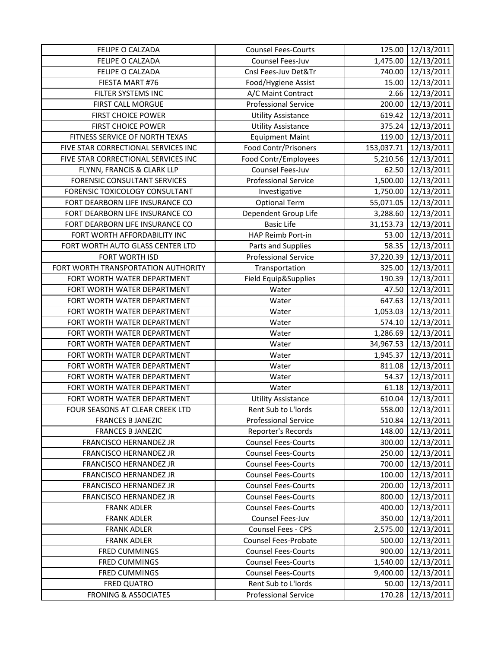| FELIPE O CALZADA                    | <b>Counsel Fees-Courts</b>  | 125.00     | 12/13/2011          |
|-------------------------------------|-----------------------------|------------|---------------------|
| FELIPE O CALZADA                    | Counsel Fees-Juv            | 1,475.00   | 12/13/2011          |
| FELIPE O CALZADA                    | Cnsl Fees-Juv Det&Tr        | 740.00     | 12/13/2011          |
| FIESTA MART #76                     | Food/Hygiene Assist         | 15.00      | 12/13/2011          |
| FILTER SYSTEMS INC                  | A/C Maint Contract          | 2.66       | 12/13/2011          |
| <b>FIRST CALL MORGUE</b>            | <b>Professional Service</b> | 200.00     | 12/13/2011          |
| <b>FIRST CHOICE POWER</b>           | <b>Utility Assistance</b>   | 619.42     | 12/13/2011          |
| <b>FIRST CHOICE POWER</b>           | <b>Utility Assistance</b>   | 375.24     | 12/13/2011          |
| FITNESS SERVICE OF NORTH TEXAS      | <b>Equipment Maint</b>      | 119.00     | 12/13/2011          |
| FIVE STAR CORRECTIONAL SERVICES INC | Food Contr/Prisoners        | 153,037.71 | 12/13/2011          |
| FIVE STAR CORRECTIONAL SERVICES INC | Food Contr/Employees        | 5,210.56   | 12/13/2011          |
| FLYNN, FRANCIS & CLARK LLP          | Counsel Fees-Juv            | 62.50      | 12/13/2011          |
| FORENSIC CONSULTANT SERVICES        | <b>Professional Service</b> |            | 1,500.00 12/13/2011 |
| FORENSIC TOXICOLOGY CONSULTANT      | Investigative               | 1,750.00   | 12/13/2011          |
| FORT DEARBORN LIFE INSURANCE CO     | <b>Optional Term</b>        | 55,071.05  | 12/13/2011          |
| FORT DEARBORN LIFE INSURANCE CO     | Dependent Group Life        | 3,288.60   | 12/13/2011          |
| FORT DEARBORN LIFE INSURANCE CO     | <b>Basic Life</b>           | 31,153.73  | 12/13/2011          |
| FORT WORTH AFFORDABILITY INC        | HAP Reimb Port-in           | 53.00      | 12/13/2011          |
| FORT WORTH AUTO GLASS CENTER LTD    | Parts and Supplies          | 58.35      | 12/13/2011          |
| FORT WORTH ISD                      | <b>Professional Service</b> | 37,220.39  | 12/13/2011          |
| FORT WORTH TRANSPORTATION AUTHORITY | Transportation              | 325.00     | 12/13/2011          |
| FORT WORTH WATER DEPARTMENT         | Field Equip&Supplies        | 190.39     | 12/13/2011          |
| FORT WORTH WATER DEPARTMENT         | Water                       | 47.50      | 12/13/2011          |
| FORT WORTH WATER DEPARTMENT         | Water                       | 647.63     | 12/13/2011          |
| FORT WORTH WATER DEPARTMENT         | Water                       | 1,053.03   | 12/13/2011          |
| FORT WORTH WATER DEPARTMENT         | Water                       | 574.10     | 12/13/2011          |
| FORT WORTH WATER DEPARTMENT         | Water                       | 1,286.69   | 12/13/2011          |
| FORT WORTH WATER DEPARTMENT         | Water                       | 34,967.53  | 12/13/2011          |
| FORT WORTH WATER DEPARTMENT         | Water                       | 1,945.37   | 12/13/2011          |
| FORT WORTH WATER DEPARTMENT         | Water                       | 811.08     | 12/13/2011          |
| FORT WORTH WATER DEPARTMENT         | Water                       | 54.37      | 12/13/2011          |
| FORT WORTH WATER DEPARTMENT         | Water                       | 61.18      | 12/13/2011          |
| FORT WORTH WATER DEPARTMENT         | <b>Utility Assistance</b>   | 610.04     | 12/13/2011          |
| FOUR SEASONS AT CLEAR CREEK LTD     | Rent Sub to L'Iords         |            | 558.00 12/13/2011   |
| <b>FRANCES B JANEZIC</b>            | <b>Professional Service</b> | 510.84     | 12/13/2011          |
| <b>FRANCES B JANEZIC</b>            | Reporter's Records          | 148.00     | 12/13/2011          |
| FRANCISCO HERNANDEZ JR              | <b>Counsel Fees-Courts</b>  | 300.00     | 12/13/2011          |
| FRANCISCO HERNANDEZ JR              | <b>Counsel Fees-Courts</b>  | 250.00     | 12/13/2011          |
| FRANCISCO HERNANDEZ JR              | <b>Counsel Fees-Courts</b>  | 700.00     | 12/13/2011          |
| <b>FRANCISCO HERNANDEZ JR</b>       | <b>Counsel Fees-Courts</b>  | 100.00     | 12/13/2011          |
| FRANCISCO HERNANDEZ JR              | <b>Counsel Fees-Courts</b>  | 200.00     | 12/13/2011          |
| FRANCISCO HERNANDEZ JR              | <b>Counsel Fees-Courts</b>  | 800.00     | 12/13/2011          |
| <b>FRANK ADLER</b>                  | <b>Counsel Fees-Courts</b>  | 400.00     | 12/13/2011          |
| <b>FRANK ADLER</b>                  | Counsel Fees-Juv            | 350.00     | 12/13/2011          |
| <b>FRANK ADLER</b>                  | Counsel Fees - CPS          | 2,575.00   | 12/13/2011          |
| <b>FRANK ADLER</b>                  | Counsel Fees-Probate        | 500.00     | 12/13/2011          |
| <b>FRED CUMMINGS</b>                | <b>Counsel Fees-Courts</b>  | 900.00     | 12/13/2011          |
| <b>FRED CUMMINGS</b>                | <b>Counsel Fees-Courts</b>  | 1,540.00   | 12/13/2011          |
| <b>FRED CUMMINGS</b>                | <b>Counsel Fees-Courts</b>  | 9,400.00   | 12/13/2011          |
| <b>FRED QUATRO</b>                  | Rent Sub to L'Iords         | 50.00      | 12/13/2011          |
| <b>FRONING &amp; ASSOCIATES</b>     | <b>Professional Service</b> | 170.28     | 12/13/2011          |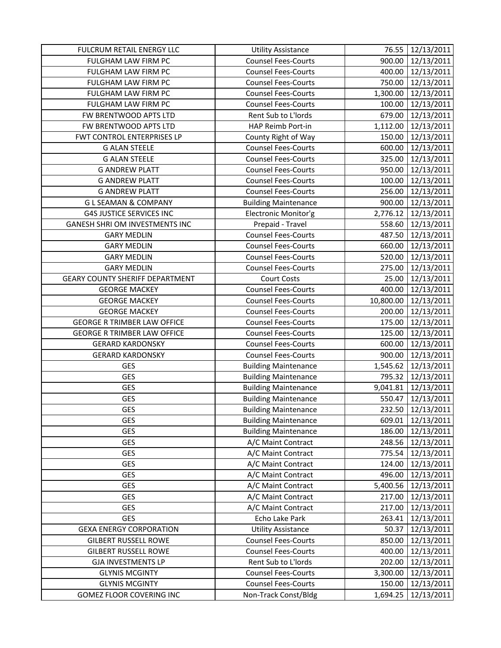| FULCRUM RETAIL ENERGY LLC              | <b>Utility Assistance</b>   | 76.55     | 12/13/2011        |
|----------------------------------------|-----------------------------|-----------|-------------------|
| FULGHAM LAW FIRM PC                    | <b>Counsel Fees-Courts</b>  | 900.00    | 12/13/2011        |
| FULGHAM LAW FIRM PC                    | <b>Counsel Fees-Courts</b>  | 400.00    | 12/13/2011        |
| FULGHAM LAW FIRM PC                    | <b>Counsel Fees-Courts</b>  | 750.00    | 12/13/2011        |
| FULGHAM LAW FIRM PC                    | <b>Counsel Fees-Courts</b>  | 1,300.00  | 12/13/2011        |
| FULGHAM LAW FIRM PC                    | <b>Counsel Fees-Courts</b>  | 100.00    | 12/13/2011        |
| FW BRENTWOOD APTS LTD                  | Rent Sub to L'Iords         | 679.00    | 12/13/2011        |
| FW BRENTWOOD APTS LTD                  | HAP Reimb Port-in           | 1,112.00  | 12/13/2011        |
| FWT CONTROL ENTERPRISES LP             | County Right of Way         | 150.00    | 12/13/2011        |
| <b>G ALAN STEELE</b>                   | <b>Counsel Fees-Courts</b>  | 600.00    | 12/13/2011        |
| <b>G ALAN STEELE</b>                   | <b>Counsel Fees-Courts</b>  | 325.00    | 12/13/2011        |
| <b>G ANDREW PLATT</b>                  | <b>Counsel Fees-Courts</b>  | 950.00    | 12/13/2011        |
| <b>G ANDREW PLATT</b>                  | <b>Counsel Fees-Courts</b>  | 100.00    | 12/13/2011        |
| <b>G ANDREW PLATT</b>                  | <b>Counsel Fees-Courts</b>  | 256.00    | 12/13/2011        |
| <b>GLSEAMAN &amp; COMPANY</b>          | <b>Building Maintenance</b> | 900.00    | 12/13/2011        |
| <b>G4S JUSTICE SERVICES INC</b>        | Electronic Monitor'g        | 2,776.12  | 12/13/2011        |
| <b>GANESH SHRI OM INVESTMENTS INC</b>  | Prepaid - Travel            | 558.60    | 12/13/2011        |
| <b>GARY MEDLIN</b>                     | <b>Counsel Fees-Courts</b>  | 487.50    | 12/13/2011        |
| <b>GARY MEDLIN</b>                     | <b>Counsel Fees-Courts</b>  | 660.00    | 12/13/2011        |
| <b>GARY MEDLIN</b>                     | <b>Counsel Fees-Courts</b>  | 520.00    | 12/13/2011        |
| <b>GARY MEDLIN</b>                     | <b>Counsel Fees-Courts</b>  | 275.00    | 12/13/2011        |
| <b>GEARY COUNTY SHERIFF DEPARTMENT</b> | <b>Court Costs</b>          | 25.00     | 12/13/2011        |
| <b>GEORGE MACKEY</b>                   | <b>Counsel Fees-Courts</b>  | 400.00    | 12/13/2011        |
| <b>GEORGE MACKEY</b>                   | <b>Counsel Fees-Courts</b>  | 10,800.00 | 12/13/2011        |
| <b>GEORGE MACKEY</b>                   | <b>Counsel Fees-Courts</b>  | 200.00    | 12/13/2011        |
| <b>GEORGE R TRIMBER LAW OFFICE</b>     | <b>Counsel Fees-Courts</b>  | 175.00    | 12/13/2011        |
| <b>GEORGE R TRIMBER LAW OFFICE</b>     | <b>Counsel Fees-Courts</b>  | 125.00    | 12/13/2011        |
| <b>GERARD KARDONSKY</b>                | <b>Counsel Fees-Courts</b>  | 600.00    | 12/13/2011        |
| <b>GERARD KARDONSKY</b>                | <b>Counsel Fees-Courts</b>  | 900.00    | 12/13/2011        |
| GES                                    | <b>Building Maintenance</b> | 1,545.62  | 12/13/2011        |
| <b>GES</b>                             | <b>Building Maintenance</b> | 795.32    | 12/13/2011        |
| <b>GES</b>                             | <b>Building Maintenance</b> | 9,041.81  | 12/13/2011        |
| <b>GES</b>                             | <b>Building Maintenance</b> | 550.47    | 12/13/2011        |
| GES                                    | <b>Building Maintenance</b> |           | 232.50 12/13/2011 |
| GES                                    | <b>Building Maintenance</b> | 609.01    | 12/13/2011        |
| GES                                    | <b>Building Maintenance</b> | 186.00    | 12/13/2011        |
| <b>GES</b>                             | A/C Maint Contract          | 248.56    | 12/13/2011        |
| <b>GES</b>                             | A/C Maint Contract          | 775.54    | 12/13/2011        |
| <b>GES</b>                             | A/C Maint Contract          | 124.00    | 12/13/2011        |
| <b>GES</b>                             | A/C Maint Contract          | 496.00    | 12/13/2011        |
| <b>GES</b>                             | A/C Maint Contract          | 5,400.56  | 12/13/2011        |
| <b>GES</b>                             | A/C Maint Contract          | 217.00    | 12/13/2011        |
| GES                                    | A/C Maint Contract          | 217.00    | 12/13/2011        |
| <b>GES</b>                             | Echo Lake Park              | 263.41    | 12/13/2011        |
| <b>GEXA ENERGY CORPORATION</b>         | <b>Utility Assistance</b>   | 50.37     | 12/13/2011        |
| <b>GILBERT RUSSELL ROWE</b>            | <b>Counsel Fees-Courts</b>  | 850.00    | 12/13/2011        |
| <b>GILBERT RUSSELL ROWE</b>            | <b>Counsel Fees-Courts</b>  | 400.00    | 12/13/2011        |
| <b>GJA INVESTMENTS LP</b>              | Rent Sub to L'Iords         | 202.00    | 12/13/2011        |
| <b>GLYNIS MCGINTY</b>                  | <b>Counsel Fees-Courts</b>  | 3,300.00  | 12/13/2011        |
| <b>GLYNIS MCGINTY</b>                  | <b>Counsel Fees-Courts</b>  | 150.00    | 12/13/2011        |
| GOMEZ FLOOR COVERING INC               | Non-Track Const/Bldg        | 1,694.25  | 12/13/2011        |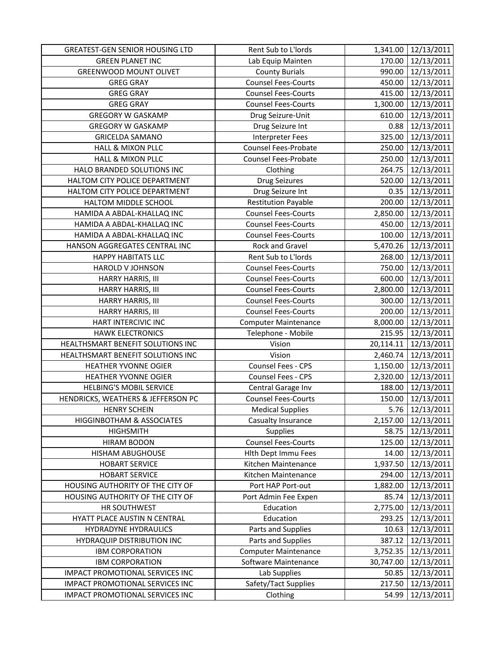| <b>GREATEST-GEN SENIOR HOUSING LTD</b> | Rent Sub to L'Iords         | 1,341.00  | 12/13/2011      |
|----------------------------------------|-----------------------------|-----------|-----------------|
| <b>GREEN PLANET INC</b>                | Lab Equip Mainten           | 170.00    | 12/13/2011      |
| <b>GREENWOOD MOUNT OLIVET</b>          | <b>County Burials</b>       | 990.00    | 12/13/2011      |
| <b>GREG GRAY</b>                       | <b>Counsel Fees-Courts</b>  | 450.00    | 12/13/2011      |
| <b>GREG GRAY</b>                       | <b>Counsel Fees-Courts</b>  | 415.00    | 12/13/2011      |
| <b>GREG GRAY</b>                       | <b>Counsel Fees-Courts</b>  | 1,300.00  | 12/13/2011      |
| <b>GREGORY W GASKAMP</b>               | Drug Seizure-Unit           | 610.00    | 12/13/2011      |
| <b>GREGORY W GASKAMP</b>               | Drug Seizure Int            | 0.88      | 12/13/2011      |
| <b>GRICELDA SAMANO</b>                 | <b>Interpreter Fees</b>     | 325.00    | 12/13/2011      |
| <b>HALL &amp; MIXON PLLC</b>           | Counsel Fees-Probate        | 250.00    | 12/13/2011      |
| <b>HALL &amp; MIXON PLLC</b>           | Counsel Fees-Probate        | 250.00    | 12/13/2011      |
| HALO BRANDED SOLUTIONS INC             | Clothing                    | 264.75    | 12/13/2011      |
| HALTOM CITY POLICE DEPARTMENT          | <b>Drug Seizures</b>        | 520.00    | 12/13/2011      |
| HALTOM CITY POLICE DEPARTMENT          | Drug Seizure Int            | 0.35      | 12/13/2011      |
| HALTOM MIDDLE SCHOOL                   | <b>Restitution Payable</b>  | 200.00    | 12/13/2011      |
| HAMIDA A ABDAL-KHALLAQ INC             | <b>Counsel Fees-Courts</b>  | 2,850.00  | 12/13/2011      |
| HAMIDA A ABDAL-KHALLAQ INC             | <b>Counsel Fees-Courts</b>  | 450.00    | 12/13/2011      |
| HAMIDA A ABDAL-KHALLAQ INC             | <b>Counsel Fees-Courts</b>  | 100.00    | 12/13/2011      |
| HANSON AGGREGATES CENTRAL INC          | Rock and Gravel             | 5,470.26  | 12/13/2011      |
| <b>HAPPY HABITATS LLC</b>              | Rent Sub to L'Iords         | 268.00    | 12/13/2011      |
| HAROLD V JOHNSON                       | <b>Counsel Fees-Courts</b>  | 750.00    | 12/13/2011      |
| HARRY HARRIS, III                      | <b>Counsel Fees-Courts</b>  | 600.00    | 12/13/2011      |
| HARRY HARRIS, III                      | <b>Counsel Fees-Courts</b>  | 2,800.00  | 12/13/2011      |
| HARRY HARRIS, III                      | <b>Counsel Fees-Courts</b>  | 300.00    | 12/13/2011      |
| HARRY HARRIS, III                      | <b>Counsel Fees-Courts</b>  | 200.00    | 12/13/2011      |
| HART INTERCIVIC INC                    | <b>Computer Maintenance</b> | 8,000.00  | 12/13/2011      |
| <b>HAWK ELECTRONICS</b>                | Telephone - Mobile          | 215.95    | 12/13/2011      |
| HEALTHSMART BENEFIT SOLUTIONS INC      | Vision                      | 20,114.11 | 12/13/2011      |
| HEALTHSMART BENEFIT SOLUTIONS INC      | Vision                      | 2,460.74  | 12/13/2011      |
| HEATHER YVONNE OGIER                   | Counsel Fees - CPS          | 1,150.00  | 12/13/2011      |
| HEATHER YVONNE OGIER                   | Counsel Fees - CPS          | 2,320.00  | 12/13/2011      |
| <b>HELBING'S MOBIL SERVICE</b>         | Central Garage Inv          | 188.00    | 12/13/2011      |
| HENDRICKS, WEATHERS & JEFFERSON PC     | <b>Counsel Fees-Courts</b>  | 150.00    | 12/13/2011      |
| <b>HENRY SCHEIN</b>                    | <b>Medical Supplies</b>     |           | 5.76 12/13/2011 |
| HIGGINBOTHAM & ASSOCIATES              | Casualty Insurance          | 2,157.00  | 12/13/2011      |
| <b>HIGHSMITH</b>                       | <b>Supplies</b>             | 58.75     | 12/13/2011      |
| <b>HIRAM BODON</b>                     | <b>Counsel Fees-Courts</b>  | 125.00    | 12/13/2011      |
| HISHAM ABUGHOUSE                       | Hlth Dept Immu Fees         | 14.00     | 12/13/2011      |
| <b>HOBART SERVICE</b>                  | Kitchen Maintenance         | 1,937.50  | 12/13/2011      |
| <b>HOBART SERVICE</b>                  | Kitchen Maintenance         | 294.00    | 12/13/2011      |
| HOUSING AUTHORITY OF THE CITY OF       | Port HAP Port-out           | 1,882.00  | 12/13/2011      |
| HOUSING AUTHORITY OF THE CITY OF       | Port Admin Fee Expen        | 85.74     | 12/13/2011      |
| HR SOUTHWEST                           | Education                   | 2,775.00  | 12/13/2011      |
| HYATT PLACE AUSTIN N CENTRAL           | Education                   | 293.25    | 12/13/2011      |
| HYDRADYNE HYDRAULICS                   | Parts and Supplies          | 10.63     | 12/13/2011      |
| HYDRAQUIP DISTRIBUTION INC             | Parts and Supplies          | 387.12    | 12/13/2011      |
| <b>IBM CORPORATION</b>                 | <b>Computer Maintenance</b> | 3,752.35  | 12/13/2011      |
| <b>IBM CORPORATION</b>                 | Software Maintenance        | 30,747.00 | 12/13/2011      |
| IMPACT PROMOTIONAL SERVICES INC        | Lab Supplies                | 50.85     | 12/13/2011      |
| IMPACT PROMOTIONAL SERVICES INC        | Safety/Tact Supplies        | 217.50    | 12/13/2011      |
| IMPACT PROMOTIONAL SERVICES INC        | Clothing                    | 54.99     | 12/13/2011      |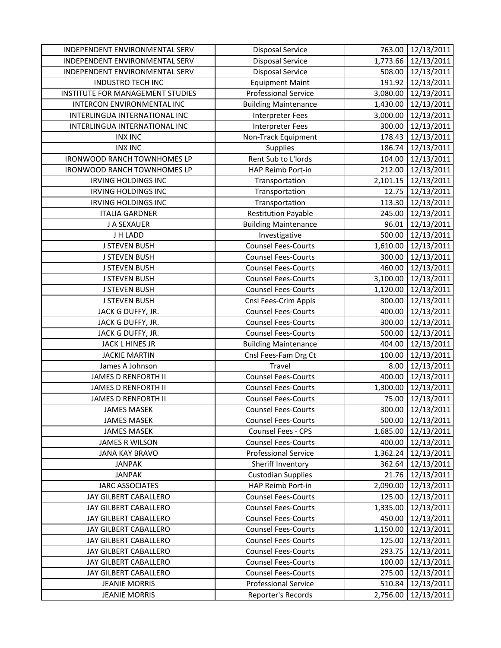| INDEPENDENT ENVIRONMENTAL SERV   | <b>Disposal Service</b>     | 763.00   | 12/13/2011        |
|----------------------------------|-----------------------------|----------|-------------------|
| INDEPENDENT ENVIRONMENTAL SERV   | <b>Disposal Service</b>     | 1,773.66 | 12/13/2011        |
| INDEPENDENT ENVIRONMENTAL SERV   | <b>Disposal Service</b>     | 508.00   | 12/13/2011        |
| <b>INDUSTRO TECH INC</b>         | <b>Equipment Maint</b>      | 191.92   | 12/13/2011        |
| INSTITUTE FOR MANAGEMENT STUDIES | <b>Professional Service</b> | 3,080.00 | 12/13/2011        |
| INTERCON ENVIRONMENTAL INC       | <b>Building Maintenance</b> | 1,430.00 | 12/13/2011        |
| INTERLINGUA INTERNATIONAL INC    | <b>Interpreter Fees</b>     | 3,000.00 | 12/13/2011        |
| INTERLINGUA INTERNATIONAL INC    | <b>Interpreter Fees</b>     | 300.00   | 12/13/2011        |
| <b>INX INC</b>                   | Non-Track Equipment         | 178.43   | 12/13/2011        |
| <b>INX INC</b>                   | Supplies                    | 186.74   | 12/13/2011        |
| IRONWOOD RANCH TOWNHOMES LP      | Rent Sub to L'Iords         | 104.00   | 12/13/2011        |
| IRONWOOD RANCH TOWNHOMES LP      | HAP Reimb Port-in           | 212.00   | 12/13/2011        |
| <b>IRVING HOLDINGS INC</b>       | Transportation              | 2,101.15 | 12/13/2011        |
| <b>IRVING HOLDINGS INC</b>       | Transportation              | 12.75    | 12/13/2011        |
| <b>IRVING HOLDINGS INC</b>       | Transportation              | 113.30   | 12/13/2011        |
| <b>ITALIA GARDNER</b>            | <b>Restitution Payable</b>  | 245.00   | 12/13/2011        |
| J A SEXAUER                      | <b>Building Maintenance</b> | 96.01    | 12/13/2011        |
| J H LADD                         | Investigative               | 500.00   | 12/13/2011        |
| <b>J STEVEN BUSH</b>             | <b>Counsel Fees-Courts</b>  | 1,610.00 | 12/13/2011        |
| <b>J STEVEN BUSH</b>             | <b>Counsel Fees-Courts</b>  | 300.00   | 12/13/2011        |
| <b>J STEVEN BUSH</b>             | <b>Counsel Fees-Courts</b>  | 460.00   | 12/13/2011        |
| <b>J STEVEN BUSH</b>             | <b>Counsel Fees-Courts</b>  | 3,100.00 | 12/13/2011        |
| <b>J STEVEN BUSH</b>             | <b>Counsel Fees-Courts</b>  | 1,120.00 | 12/13/2011        |
| <b>J STEVEN BUSH</b>             | Cnsl Fees-Crim Appls        | 300.00   | 12/13/2011        |
| JACK G DUFFY, JR.                | <b>Counsel Fees-Courts</b>  | 400.00   | 12/13/2011        |
| JACK G DUFFY, JR.                | <b>Counsel Fees-Courts</b>  | 300.00   | 12/13/2011        |
| JACK G DUFFY, JR.                | <b>Counsel Fees-Courts</b>  | 500.00   | 12/13/2011        |
| JACK L HINES JR                  | <b>Building Maintenance</b> | 404.00   | 12/13/2011        |
| <b>JACKIE MARTIN</b>             | Cnsl Fees-Fam Drg Ct        | 100.00   | 12/13/2011        |
| James A Johnson                  | Travel                      | 8.00     | 12/13/2011        |
| <b>JAMES D RENFORTH II</b>       | <b>Counsel Fees-Courts</b>  | 400.00   | 12/13/2011        |
| JAMES D RENFORTH II              | <b>Counsel Fees-Courts</b>  | 1,300.00 | 12/13/2011        |
| JAMES D RENFORTH II              | <b>Counsel Fees-Courts</b>  | 75.00    | 12/13/2011        |
| <b>JAMES MASEK</b>               | <b>Counsel Fees-Courts</b>  |          | 300.00 12/13/2011 |
| <b>JAMES MASEK</b>               | <b>Counsel Fees-Courts</b>  | 500.00   | 12/13/2011        |
| <b>JAMES MASEK</b>               | Counsel Fees - CPS          | 1,685.00 | 12/13/2011        |
| JAMES R WILSON                   | <b>Counsel Fees-Courts</b>  | 400.00   | 12/13/2011        |
| <b>JANA KAY BRAVO</b>            | <b>Professional Service</b> | 1,362.24 | 12/13/2011        |
| <b>JANPAK</b>                    | Sheriff Inventory           | 362.64   | 12/13/2011        |
| <b>JANPAK</b>                    | <b>Custodian Supplies</b>   | 21.76    | 12/13/2011        |
| <b>JARC ASSOCIATES</b>           | HAP Reimb Port-in           | 2,090.00 | 12/13/2011        |
| JAY GILBERT CABALLERO            | <b>Counsel Fees-Courts</b>  | 125.00   | 12/13/2011        |
| JAY GILBERT CABALLERO            | <b>Counsel Fees-Courts</b>  | 1,335.00 | 12/13/2011        |
| JAY GILBERT CABALLERO            | <b>Counsel Fees-Courts</b>  | 450.00   | 12/13/2011        |
| JAY GILBERT CABALLERO            | <b>Counsel Fees-Courts</b>  | 1,150.00 | 12/13/2011        |
| JAY GILBERT CABALLERO            | <b>Counsel Fees-Courts</b>  | 125.00   | 12/13/2011        |
| JAY GILBERT CABALLERO            | <b>Counsel Fees-Courts</b>  | 293.75   | 12/13/2011        |
| JAY GILBERT CABALLERO            | <b>Counsel Fees-Courts</b>  | 100.00   | 12/13/2011        |
| JAY GILBERT CABALLERO            | <b>Counsel Fees-Courts</b>  | 275.00   | 12/13/2011        |
| <b>JEANIE MORRIS</b>             | <b>Professional Service</b> | 510.84   | 12/13/2011        |
| <b>JEANIE MORRIS</b>             | Reporter's Records          | 2,756.00 | 12/13/2011        |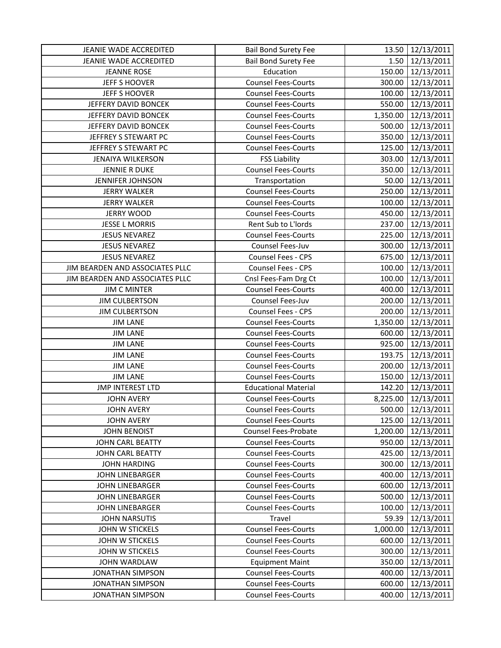| JEANIE WADE ACCREDITED          | <b>Bail Bond Surety Fee</b> |          | 13.50 12/13/2011       |
|---------------------------------|-----------------------------|----------|------------------------|
| JEANIE WADE ACCREDITED          | <b>Bail Bond Surety Fee</b> |          | $1.50 \mid 12/13/2011$ |
| <b>JEANNE ROSE</b>              | Education                   |          | 150.00 12/13/2011      |
| JEFF S HOOVER                   | <b>Counsel Fees-Courts</b>  |          | 300.00 12/13/2011      |
| JEFF S HOOVER                   | <b>Counsel Fees-Courts</b>  | 100.00   | 12/13/2011             |
| JEFFERY DAVID BONCEK            | <b>Counsel Fees-Courts</b>  | 550.00   | 12/13/2011             |
| JEFFERY DAVID BONCEK            | <b>Counsel Fees-Courts</b>  | 1,350.00 | 12/13/2011             |
| JEFFERY DAVID BONCEK            | <b>Counsel Fees-Courts</b>  | 500.00   | 12/13/2011             |
| JEFFREY S STEWART PC            | <b>Counsel Fees-Courts</b>  |          | 350.00 12/13/2011      |
| JEFFREY S STEWART PC            | <b>Counsel Fees-Courts</b>  | 125.00   | 12/13/2011             |
| <b>JENAIYA WILKERSON</b>        | <b>FSS Liability</b>        | 303.00   | 12/13/2011             |
| JENNIE R DUKE                   | <b>Counsel Fees-Courts</b>  | 350.00   | 12/13/2011             |
| <b>JENNIFER JOHNSON</b>         | Transportation              |          | 50.00 12/13/2011       |
| <b>JERRY WALKER</b>             | <b>Counsel Fees-Courts</b>  | 250.00   | 12/13/2011             |
| <b>JERRY WALKER</b>             | <b>Counsel Fees-Courts</b>  | 100.00   | 12/13/2011             |
| <b>JERRY WOOD</b>               | <b>Counsel Fees-Courts</b>  | 450.00   | 12/13/2011             |
| <b>JESSE L MORRIS</b>           | Rent Sub to L'Iords         | 237.00   | 12/13/2011             |
| <b>JESUS NEVAREZ</b>            | <b>Counsel Fees-Courts</b>  |          | 225.00 12/13/2011      |
| <b>JESUS NEVAREZ</b>            | Counsel Fees-Juv            |          | 300.00 12/13/2011      |
| <b>JESUS NEVAREZ</b>            | Counsel Fees - CPS          | 675.00   | 12/13/2011             |
| JIM BEARDEN AND ASSOCIATES PLLC | Counsel Fees - CPS          |          | 100.00 12/13/2011      |
| JIM BEARDEN AND ASSOCIATES PLLC | Cnsl Fees-Fam Drg Ct        |          | 100.00 12/13/2011      |
| <b>JIM C MINTER</b>             | <b>Counsel Fees-Courts</b>  | 400.00   | 12/13/2011             |
| <b>JIM CULBERTSON</b>           | Counsel Fees-Juv            | 200.00   | 12/13/2011             |
| <b>JIM CULBERTSON</b>           | Counsel Fees - CPS          | 200.00   | 12/13/2011             |
| <b>JIM LANE</b>                 | <b>Counsel Fees-Courts</b>  |          | 1,350.00 12/13/2011    |
| <b>JIM LANE</b>                 | <b>Counsel Fees-Courts</b>  |          | 600.00 12/13/2011      |
| <b>JIM LANE</b>                 | <b>Counsel Fees-Courts</b>  |          | 925.00 12/13/2011      |
| <b>JIM LANE</b>                 | <b>Counsel Fees-Courts</b>  | 193.75   | 12/13/2011             |
| <b>JIM LANE</b>                 | <b>Counsel Fees-Courts</b>  |          | 200.00 12/13/2011      |
| <b>JIM LANE</b>                 | <b>Counsel Fees-Courts</b>  |          | 150.00 12/13/2011      |
| <b>JMP INTEREST LTD</b>         | <b>Educational Material</b> |          | 142.20 12/13/2011      |
| <b>JOHN AVERY</b>               | <b>Counsel Fees-Courts</b>  | 8,225.00 | 12/13/2011             |
| <b>JOHN AVERY</b>               | <b>Counsel Fees-Courts</b>  |          | 500.00 12/13/2011      |
| <b>JOHN AVERY</b>               | <b>Counsel Fees-Courts</b>  | 125.00   | 12/13/2011             |
| <b>JOHN BENOIST</b>             | <b>Counsel Fees-Probate</b> | 1,200.00 | 12/13/2011             |
| JOHN CARL BEATTY                | <b>Counsel Fees-Courts</b>  | 950.00   | 12/13/2011             |
| JOHN CARL BEATTY                | <b>Counsel Fees-Courts</b>  | 425.00   | 12/13/2011             |
| <b>JOHN HARDING</b>             | <b>Counsel Fees-Courts</b>  | 300.00   | 12/13/2011             |
| <b>JOHN LINEBARGER</b>          | <b>Counsel Fees-Courts</b>  | 400.00   | 12/13/2011             |
| <b>JOHN LINEBARGER</b>          | <b>Counsel Fees-Courts</b>  | 600.00   | 12/13/2011             |
| <b>JOHN LINEBARGER</b>          | <b>Counsel Fees-Courts</b>  | 500.00   | 12/13/2011             |
| JOHN LINEBARGER                 | <b>Counsel Fees-Courts</b>  | 100.00   | 12/13/2011             |
| <b>JOHN NARSUTIS</b>            | Travel                      | 59.39    | 12/13/2011             |
| JOHN W STICKELS                 | <b>Counsel Fees-Courts</b>  |          | 1,000.00 12/13/2011    |
| JOHN W STICKELS                 | <b>Counsel Fees-Courts</b>  | 600.00   | 12/13/2011             |
| JOHN W STICKELS                 | <b>Counsel Fees-Courts</b>  | 300.00   | 12/13/2011             |
| JOHN WARDLAW                    | <b>Equipment Maint</b>      | 350.00   | 12/13/2011             |
| <b>JONATHAN SIMPSON</b>         | <b>Counsel Fees-Courts</b>  | 400.00   | 12/13/2011             |
| <b>JONATHAN SIMPSON</b>         | <b>Counsel Fees-Courts</b>  | 600.00   | 12/13/2011             |
| <b>JONATHAN SIMPSON</b>         | <b>Counsel Fees-Courts</b>  | 400.00   | 12/13/2011             |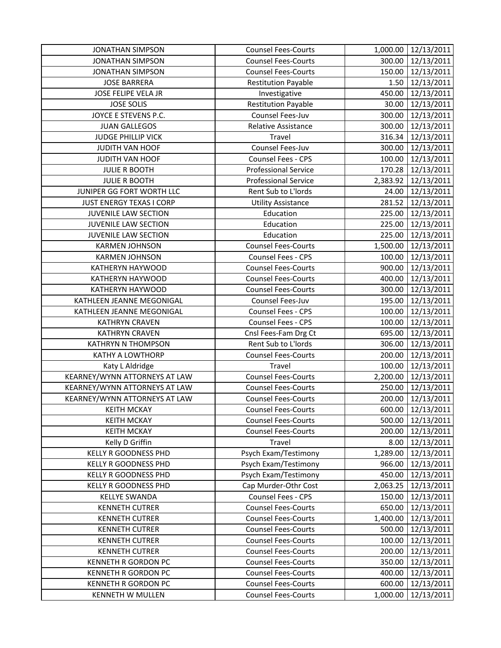| <b>JONATHAN SIMPSON</b>       | <b>Counsel Fees-Courts</b>  | 1,000.00 | 12/13/2011        |
|-------------------------------|-----------------------------|----------|-------------------|
| <b>JONATHAN SIMPSON</b>       | <b>Counsel Fees-Courts</b>  | 300.00   | 12/13/2011        |
| <b>JONATHAN SIMPSON</b>       | <b>Counsel Fees-Courts</b>  | 150.00   | 12/13/2011        |
| <b>JOSE BARRERA</b>           | <b>Restitution Payable</b>  | 1.50     | 12/13/2011        |
| <b>JOSE FELIPE VELA JR</b>    | Investigative               | 450.00   | 12/13/2011        |
| <b>JOSE SOLIS</b>             | <b>Restitution Payable</b>  | 30.00    | 12/13/2011        |
| JOYCE E STEVENS P.C.          | Counsel Fees-Juv            | 300.00   | 12/13/2011        |
| <b>JUAN GALLEGOS</b>          | Relative Assistance         | 300.00   | 12/13/2011        |
| <b>JUDGE PHILLIP VICK</b>     | Travel                      | 316.34   | 12/13/2011        |
| JUDITH VAN HOOF               | Counsel Fees-Juv            | 300.00   | 12/13/2011        |
| JUDITH VAN HOOF               | Counsel Fees - CPS          | 100.00   | 12/13/2011        |
| <b>JULIE R BOOTH</b>          | <b>Professional Service</b> | 170.28   | 12/13/2011        |
| <b>JULIE R BOOTH</b>          | <b>Professional Service</b> | 2,383.92 | 12/13/2011        |
| JUNIPER GG FORT WORTH LLC     | Rent Sub to L'Iords         | 24.00    | 12/13/2011        |
| JUST ENERGY TEXAS I CORP      | <b>Utility Assistance</b>   | 281.52   | 12/13/2011        |
| <b>JUVENILE LAW SECTION</b>   | Education                   | 225.00   | 12/13/2011        |
| <b>JUVENILE LAW SECTION</b>   | Education                   | 225.00   | 12/13/2011        |
| <b>JUVENILE LAW SECTION</b>   | Education                   | 225.00   | 12/13/2011        |
| <b>KARMEN JOHNSON</b>         | <b>Counsel Fees-Courts</b>  | 1,500.00 | 12/13/2011        |
| <b>KARMEN JOHNSON</b>         | Counsel Fees - CPS          | 100.00   | 12/13/2011        |
| KATHERYN HAYWOOD              | <b>Counsel Fees-Courts</b>  | 900.00   | 12/13/2011        |
| KATHERYN HAYWOOD              | <b>Counsel Fees-Courts</b>  | 400.00   | 12/13/2011        |
| KATHERYN HAYWOOD              | <b>Counsel Fees-Courts</b>  | 300.00   | 12/13/2011        |
| KATHLEEN JEANNE MEGONIGAL     | Counsel Fees-Juv            | 195.00   | 12/13/2011        |
| KATHLEEN JEANNE MEGONIGAL     | Counsel Fees - CPS          | 100.00   | 12/13/2011        |
| <b>KATHRYN CRAVEN</b>         | Counsel Fees - CPS          | 100.00   | 12/13/2011        |
| <b>KATHRYN CRAVEN</b>         | Cnsl Fees-Fam Drg Ct        | 695.00   | 12/13/2011        |
| <b>KATHRYN N THOMPSON</b>     | Rent Sub to L'Iords         | 306.00   | 12/13/2011        |
| <b>KATHY A LOWTHORP</b>       | <b>Counsel Fees-Courts</b>  | 200.00   | 12/13/2011        |
| Katy L Aldridge               | Travel                      | 100.00   | 12/13/2011        |
| KEARNEY/WYNN ATTORNEYS AT LAW | <b>Counsel Fees-Courts</b>  | 2,200.00 | 12/13/2011        |
| KEARNEY/WYNN ATTORNEYS AT LAW | <b>Counsel Fees-Courts</b>  | 250.00   | 12/13/2011        |
| KEARNEY/WYNN ATTORNEYS AT LAW | <b>Counsel Fees-Courts</b>  | 200.00   | 12/13/2011        |
| <b>KEITH MCKAY</b>            | <b>Counsel Fees-Courts</b>  |          | 600.00 12/13/2011 |
| <b>KEITH MCKAY</b>            | <b>Counsel Fees-Courts</b>  | 500.00   | 12/13/2011        |
| <b>KEITH MCKAY</b>            | <b>Counsel Fees-Courts</b>  | 200.00   | 12/13/2011        |
| Kelly D Griffin               | Travel                      | 8.00     | 12/13/2011        |
| <b>KELLY R GOODNESS PHD</b>   | Psych Exam/Testimony        | 1,289.00 | 12/13/2011        |
| <b>KELLY R GOODNESS PHD</b>   | Psych Exam/Testimony        | 966.00   | 12/13/2011        |
| <b>KELLY R GOODNESS PHD</b>   | Psych Exam/Testimony        | 450.00   | 12/13/2011        |
| <b>KELLY R GOODNESS PHD</b>   | Cap Murder-Othr Cost        | 2,063.25 | 12/13/2011        |
| <b>KELLYE SWANDA</b>          | Counsel Fees - CPS          | 150.00   | 12/13/2011        |
| <b>KENNETH CUTRER</b>         | <b>Counsel Fees-Courts</b>  | 650.00   | 12/13/2011        |
| <b>KENNETH CUTRER</b>         | <b>Counsel Fees-Courts</b>  | 1,400.00 | 12/13/2011        |
| <b>KENNETH CUTRER</b>         | <b>Counsel Fees-Courts</b>  | 500.00   | 12/13/2011        |
| <b>KENNETH CUTRER</b>         | <b>Counsel Fees-Courts</b>  | 100.00   | 12/13/2011        |
| <b>KENNETH CUTRER</b>         | <b>Counsel Fees-Courts</b>  | 200.00   | 12/13/2011        |
| <b>KENNETH R GORDON PC</b>    | <b>Counsel Fees-Courts</b>  | 350.00   | 12/13/2011        |
| <b>KENNETH R GORDON PC</b>    | <b>Counsel Fees-Courts</b>  | 400.00   | 12/13/2011        |
| KENNETH R GORDON PC           | <b>Counsel Fees-Courts</b>  | 600.00   | 12/13/2011        |
| <b>KENNETH W MULLEN</b>       | <b>Counsel Fees-Courts</b>  | 1,000.00 | 12/13/2011        |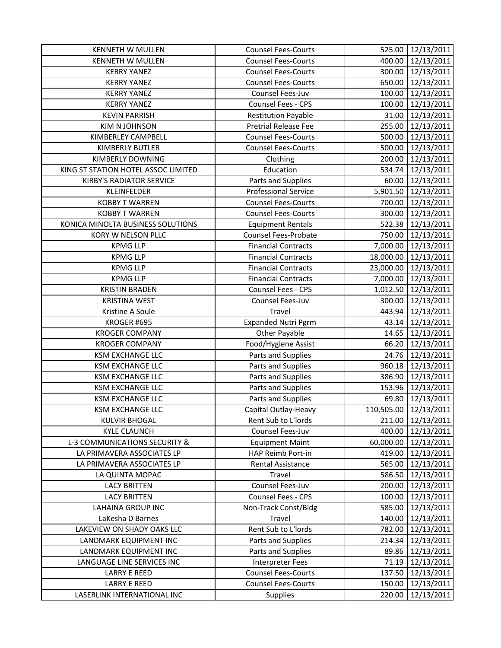| <b>KENNETH W MULLEN</b>             | <b>Counsel Fees-Courts</b>  | 525.00    | 12/13/2011            |
|-------------------------------------|-----------------------------|-----------|-----------------------|
| <b>KENNETH W MULLEN</b>             | <b>Counsel Fees-Courts</b>  | 400.00    | 12/13/2011            |
| <b>KERRY YANEZ</b>                  | <b>Counsel Fees-Courts</b>  |           | 300.00 12/13/2011     |
| <b>KERRY YANEZ</b>                  | <b>Counsel Fees-Courts</b>  |           | 650.00 12/13/2011     |
| <b>KERRY YANEZ</b>                  | Counsel Fees-Juv            | 100.00    | 12/13/2011            |
| <b>KERRY YANEZ</b>                  | Counsel Fees - CPS          | 100.00    | 12/13/2011            |
| <b>KEVIN PARRISH</b>                | <b>Restitution Payable</b>  | 31.00     | 12/13/2011            |
| <b>KIM N JOHNSON</b>                | Pretrial Release Fee        | 255.00    | 12/13/2011            |
| KIMBERLEY CAMPBELL                  | <b>Counsel Fees-Courts</b>  | 500.00    | 12/13/2011            |
| <b>KIMBERLY BUTLER</b>              | <b>Counsel Fees-Courts</b>  | 500.00    | 12/13/2011            |
| <b>KIMBERLY DOWNING</b>             | Clothing                    | 200.00    | 12/13/2011            |
| KING ST STATION HOTEL ASSOC LIMITED | Education                   | 534.74    | 12/13/2011            |
| <b>KIRBY'S RADIATOR SERVICE</b>     | Parts and Supplies          |           | 60.00 12/13/2011      |
| KLEINFELDER                         | <b>Professional Service</b> |           | 5,901.50 12/13/2011   |
| <b>KOBBY T WARREN</b>               | <b>Counsel Fees-Courts</b>  | 700.00    | 12/13/2011            |
| <b>KOBBY T WARREN</b>               | <b>Counsel Fees-Courts</b>  | 300.00    | 12/13/2011            |
| KONICA MINOLTA BUSINESS SOLUTIONS   | <b>Equipment Rentals</b>    |           | 522.38 12/13/2011     |
| KORY W NELSON PLLC                  | <b>Counsel Fees-Probate</b> |           | 750.00 12/13/2011     |
| <b>KPMG LLP</b>                     | <b>Financial Contracts</b>  | 7,000.00  | 12/13/2011            |
| <b>KPMG LLP</b>                     | <b>Financial Contracts</b>  | 18,000.00 | 12/13/2011            |
| <b>KPMG LLP</b>                     | <b>Financial Contracts</b>  |           | 23,000.00 12/13/2011  |
| <b>KPMG LLP</b>                     | <b>Financial Contracts</b>  |           | 7,000.00 12/13/2011   |
| <b>KRISTIN BRADEN</b>               | Counsel Fees - CPS          | 1,012.50  | 12/13/2011            |
| <b>KRISTINA WEST</b>                | Counsel Fees-Juv            | 300.00    | 12/13/2011            |
| Kristine A Soule                    | Travel                      | 443.94    | 12/13/2011            |
| KROGER #695                         | <b>Expanded Nutri Pgrm</b>  | 43.14     | 12/13/2011            |
| <b>KROGER COMPANY</b>               | Other Payable               | 14.65     | 12/13/2011            |
| <b>KROGER COMPANY</b>               | Food/Hygiene Assist         | 66.20     | 12/13/2011            |
| <b>KSM EXCHANGE LLC</b>             | Parts and Supplies          | 24.76     | 12/13/2011            |
| <b>KSM EXCHANGE LLC</b>             | Parts and Supplies          |           | 960.18 12/13/2011     |
| <b>KSM EXCHANGE LLC</b>             | Parts and Supplies          | 386.90    | 12/13/2011            |
| <b>KSM EXCHANGE LLC</b>             | Parts and Supplies          | 153.96    | 12/13/2011            |
| <b>KSM EXCHANGE LLC</b>             | Parts and Supplies          | 69.80     | 12/13/2011            |
| <b>KSM EXCHANGE LLC</b>             | Capital Outlay-Heavy        |           | 110,505.00 12/13/2011 |
| <b>KULVIR BHOGAL</b>                | Rent Sub to L'Iords         | 211.00    | 12/13/2011            |
| <b>KYLE CLAUNCH</b>                 | Counsel Fees-Juv            |           | 400.00 12/13/2011     |
| L-3 COMMUNICATIONS SECURITY &       | <b>Equipment Maint</b>      | 60,000.00 | 12/13/2011            |
| LA PRIMAVERA ASSOCIATES LP          | HAP Reimb Port-in           | 419.00    | 12/13/2011            |
| LA PRIMAVERA ASSOCIATES LP          | Rental Assistance           | 565.00    | 12/13/2011            |
| LA QUINTA MOPAC                     | Travel                      | 586.50    | 12/13/2011            |
| <b>LACY BRITTEN</b>                 | Counsel Fees-Juv            | 200.00    | 12/13/2011            |
| <b>LACY BRITTEN</b>                 | Counsel Fees - CPS          | 100.00    | 12/13/2011            |
| <b>LAHAINA GROUP INC</b>            | Non-Track Const/Bldg        | 585.00    | 12/13/2011            |
| LaKesha D Barnes                    | Travel                      | 140.00    | 12/13/2011            |
| LAKEVIEW ON SHADY OAKS LLC          | Rent Sub to L'Iords         | 782.00    | 12/13/2011            |
| LANDMARK EQUIPMENT INC              | Parts and Supplies          | 214.34    | 12/13/2011            |
| LANDMARK EQUIPMENT INC              | Parts and Supplies          | 89.86     | 12/13/2011            |
| LANGUAGE LINE SERVICES INC          | <b>Interpreter Fees</b>     | 71.19     | 12/13/2011            |
| <b>LARRY E REED</b>                 | <b>Counsel Fees-Courts</b>  | 137.50    | 12/13/2011            |
| <b>LARRY E REED</b>                 | <b>Counsel Fees-Courts</b>  | 150.00    | 12/13/2011            |
| LASERLINK INTERNATIONAL INC         | <b>Supplies</b>             | 220.00    | 12/13/2011            |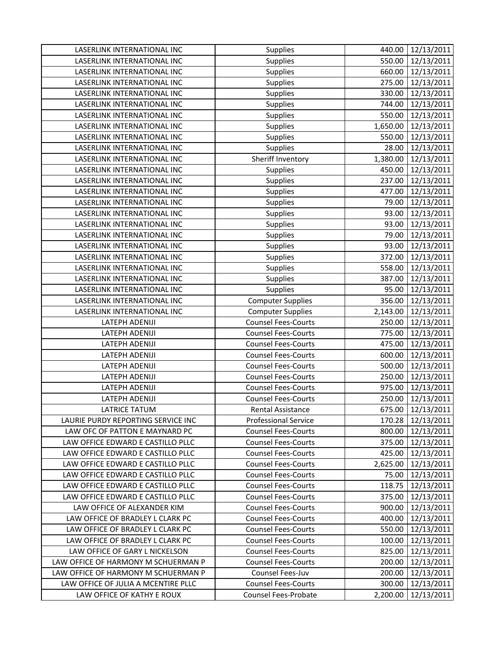| LASERLINK INTERNATIONAL INC         | Supplies                    | 440.00   | 12/13/2011        |
|-------------------------------------|-----------------------------|----------|-------------------|
| LASERLINK INTERNATIONAL INC         | Supplies                    | 550.00   | 12/13/2011        |
| LASERLINK INTERNATIONAL INC         | Supplies                    | 660.00   | 12/13/2011        |
| LASERLINK INTERNATIONAL INC         | Supplies                    | 275.00   | 12/13/2011        |
| LASERLINK INTERNATIONAL INC         | Supplies                    | 330.00   | 12/13/2011        |
| LASERLINK INTERNATIONAL INC         | Supplies                    | 744.00   | 12/13/2011        |
| LASERLINK INTERNATIONAL INC         | Supplies                    | 550.00   | 12/13/2011        |
| LASERLINK INTERNATIONAL INC         | Supplies                    | 1,650.00 | 12/13/2011        |
| LASERLINK INTERNATIONAL INC         | Supplies                    | 550.00   | 12/13/2011        |
| LASERLINK INTERNATIONAL INC         | Supplies                    | 28.00    | 12/13/2011        |
| LASERLINK INTERNATIONAL INC         | Sheriff Inventory           | 1,380.00 | 12/13/2011        |
| LASERLINK INTERNATIONAL INC         | Supplies                    | 450.00   | 12/13/2011        |
| LASERLINK INTERNATIONAL INC         | Supplies                    | 237.00   | 12/13/2011        |
| LASERLINK INTERNATIONAL INC         | Supplies                    | 477.00   | 12/13/2011        |
| LASERLINK INTERNATIONAL INC         | Supplies                    | 79.00    | 12/13/2011        |
| LASERLINK INTERNATIONAL INC         | Supplies                    | 93.00    | 12/13/2011        |
| LASERLINK INTERNATIONAL INC         | Supplies                    | 93.00    | 12/13/2011        |
| LASERLINK INTERNATIONAL INC         | Supplies                    | 79.00    | 12/13/2011        |
| LASERLINK INTERNATIONAL INC         | Supplies                    | 93.00    | 12/13/2011        |
| LASERLINK INTERNATIONAL INC         | Supplies                    | 372.00   | 12/13/2011        |
| LASERLINK INTERNATIONAL INC         | Supplies                    | 558.00   | 12/13/2011        |
| LASERLINK INTERNATIONAL INC         | Supplies                    | 387.00   | 12/13/2011        |
| LASERLINK INTERNATIONAL INC         | Supplies                    | 95.00    | 12/13/2011        |
| LASERLINK INTERNATIONAL INC         | <b>Computer Supplies</b>    | 356.00   | 12/13/2011        |
| LASERLINK INTERNATIONAL INC         | <b>Computer Supplies</b>    | 2,143.00 | 12/13/2011        |
| LATEPH ADENIJI                      | <b>Counsel Fees-Courts</b>  | 250.00   | 12/13/2011        |
| LATEPH ADENIJI                      | <b>Counsel Fees-Courts</b>  | 775.00   | 12/13/2011        |
| LATEPH ADENIJI                      | <b>Counsel Fees-Courts</b>  | 475.00   | 12/13/2011        |
| LATEPH ADENIJI                      | <b>Counsel Fees-Courts</b>  | 600.00   | 12/13/2011        |
| LATEPH ADENIJI                      | <b>Counsel Fees-Courts</b>  | 500.00   | 12/13/2011        |
| LATEPH ADENIJI                      | <b>Counsel Fees-Courts</b>  | 250.00   | 12/13/2011        |
| LATEPH ADENIJI                      | <b>Counsel Fees-Courts</b>  | 975.00   | 12/13/2011        |
| LATEPH ADENIJI                      | <b>Counsel Fees-Courts</b>  | 250.00   | 12/13/2011        |
| <b>LATRICE TATUM</b>                | Rental Assistance           |          | 675.00 12/13/2011 |
| LAURIE PURDY REPORTING SERVICE INC  | <b>Professional Service</b> | 170.28   | 12/13/2011        |
| LAW OFC OF PATTON E MAYNARD PC      | <b>Counsel Fees-Courts</b>  | 800.00   | 12/13/2011        |
| LAW OFFICE EDWARD E CASTILLO PLLC   | <b>Counsel Fees-Courts</b>  | 375.00   | 12/13/2011        |
| LAW OFFICE EDWARD E CASTILLO PLLC   | <b>Counsel Fees-Courts</b>  | 425.00   | 12/13/2011        |
| LAW OFFICE EDWARD E CASTILLO PLLC   | <b>Counsel Fees-Courts</b>  | 2,625.00 | 12/13/2011        |
| LAW OFFICE EDWARD E CASTILLO PLLC   | <b>Counsel Fees-Courts</b>  | 75.00    | 12/13/2011        |
| LAW OFFICE EDWARD E CASTILLO PLLC   | <b>Counsel Fees-Courts</b>  | 118.75   | 12/13/2011        |
| LAW OFFICE EDWARD E CASTILLO PLLC   | <b>Counsel Fees-Courts</b>  | 375.00   | 12/13/2011        |
| LAW OFFICE OF ALEXANDER KIM         | <b>Counsel Fees-Courts</b>  | 900.00   | 12/13/2011        |
| LAW OFFICE OF BRADLEY L CLARK PC    | <b>Counsel Fees-Courts</b>  | 400.00   | 12/13/2011        |
| LAW OFFICE OF BRADLEY L CLARK PC    | <b>Counsel Fees-Courts</b>  | 550.00   | 12/13/2011        |
| LAW OFFICE OF BRADLEY L CLARK PC    | <b>Counsel Fees-Courts</b>  | 100.00   | 12/13/2011        |
| LAW OFFICE OF GARY L NICKELSON      | <b>Counsel Fees-Courts</b>  | 825.00   | 12/13/2011        |
| LAW OFFICE OF HARMONY M SCHUERMAN P | <b>Counsel Fees-Courts</b>  | 200.00   | 12/13/2011        |
| LAW OFFICE OF HARMONY M SCHUERMAN P | Counsel Fees-Juv            | 200.00   | 12/13/2011        |
| LAW OFFICE OF JULIA A MCENTIRE PLLC | <b>Counsel Fees-Courts</b>  | 300.00   | 12/13/2011        |
| LAW OFFICE OF KATHY E ROUX          | Counsel Fees-Probate        | 2,200.00 | 12/13/2011        |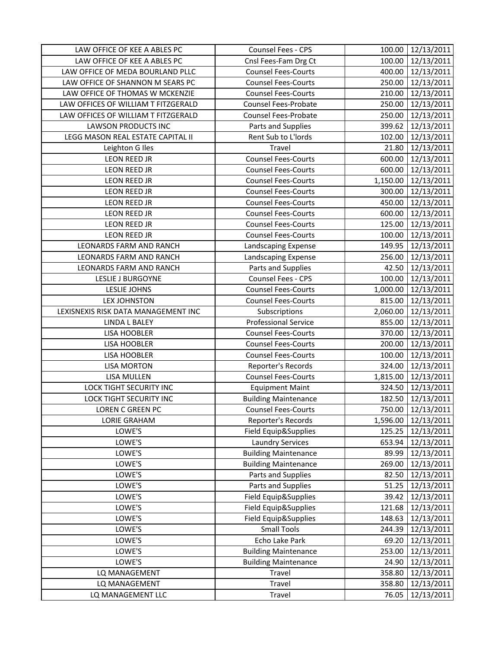| LAW OFFICE OF KEE A ABLES PC        | Counsel Fees - CPS          | 100.00   | 12/13/2011        |
|-------------------------------------|-----------------------------|----------|-------------------|
| LAW OFFICE OF KEE A ABLES PC        | Cnsl Fees-Fam Drg Ct        | 100.00   | 12/13/2011        |
| LAW OFFICE OF MEDA BOURLAND PLLC    | <b>Counsel Fees-Courts</b>  | 400.00   | 12/13/2011        |
| LAW OFFICE OF SHANNON M SEARS PC    | <b>Counsel Fees-Courts</b>  | 250.00   | 12/13/2011        |
| LAW OFFICE OF THOMAS W MCKENZIE     | <b>Counsel Fees-Courts</b>  | 210.00   | 12/13/2011        |
| LAW OFFICES OF WILLIAM T FITZGERALD | <b>Counsel Fees-Probate</b> | 250.00   | 12/13/2011        |
| LAW OFFICES OF WILLIAM T FITZGERALD | <b>Counsel Fees-Probate</b> | 250.00   | 12/13/2011        |
| <b>LAWSON PRODUCTS INC</b>          | Parts and Supplies          | 399.62   | 12/13/2011        |
| LEGG MASON REAL ESTATE CAPITAL II   | Rent Sub to L'Iords         | 102.00   | 12/13/2011        |
| Leighton G Iles                     | Travel                      | 21.80    | 12/13/2011        |
| <b>LEON REED JR</b>                 | <b>Counsel Fees-Courts</b>  | 600.00   | 12/13/2011        |
| LEON REED JR                        | <b>Counsel Fees-Courts</b>  | 600.00   | 12/13/2011        |
| LEON REED JR                        | <b>Counsel Fees-Courts</b>  | 1,150.00 | 12/13/2011        |
| LEON REED JR                        | <b>Counsel Fees-Courts</b>  | 300.00   | 12/13/2011        |
| LEON REED JR                        | <b>Counsel Fees-Courts</b>  | 450.00   | 12/13/2011        |
| <b>LEON REED JR</b>                 | <b>Counsel Fees-Courts</b>  | 600.00   | 12/13/2011        |
| <b>LEON REED JR</b>                 | <b>Counsel Fees-Courts</b>  | 125.00   | 12/13/2011        |
| LEON REED JR                        | <b>Counsel Fees-Courts</b>  | 100.00   | 12/13/2011        |
| LEONARDS FARM AND RANCH             | Landscaping Expense         | 149.95   | 12/13/2011        |
| LEONARDS FARM AND RANCH             | Landscaping Expense         | 256.00   | 12/13/2011        |
| LEONARDS FARM AND RANCH             | Parts and Supplies          | 42.50    | 12/13/2011        |
| LESLIE J BURGOYNE                   | Counsel Fees - CPS          | 100.00   | 12/13/2011        |
| <b>LESLIE JOHNS</b>                 | <b>Counsel Fees-Courts</b>  | 1,000.00 | 12/13/2011        |
| <b>LEX JOHNSTON</b>                 | <b>Counsel Fees-Courts</b>  | 815.00   | 12/13/2011        |
| LEXISNEXIS RISK DATA MANAGEMENT INC | Subscriptions               | 2,060.00 | 12/13/2011        |
| <b>LINDA L BALEY</b>                | <b>Professional Service</b> | 855.00   | 12/13/2011        |
| LISA HOOBLER                        | <b>Counsel Fees-Courts</b>  | 370.00   | 12/13/2011        |
| LISA HOOBLER                        | <b>Counsel Fees-Courts</b>  | 200.00   | 12/13/2011        |
| LISA HOOBLER                        | <b>Counsel Fees-Courts</b>  | 100.00   | 12/13/2011        |
| <b>LISA MORTON</b>                  | Reporter's Records          | 324.00   | 12/13/2011        |
| LISA MULLEN                         | <b>Counsel Fees-Courts</b>  | 1,815.00 | 12/13/2011        |
| LOCK TIGHT SECURITY INC             | <b>Equipment Maint</b>      | 324.50   | 12/13/2011        |
| <b>LOCK TIGHT SECURITY INC</b>      | <b>Building Maintenance</b> | 182.50   | 12/13/2011        |
| LOREN C GREEN PC                    | <b>Counsel Fees-Courts</b>  |          | 750.00 12/13/2011 |
| <b>LORIE GRAHAM</b>                 | Reporter's Records          | 1,596.00 | 12/13/2011        |
| LOWE'S                              | Field Equip&Supplies        | 125.25   | 12/13/2011        |
| LOWE'S                              | <b>Laundry Services</b>     | 653.94   | 12/13/2011        |
| LOWE'S                              | <b>Building Maintenance</b> | 89.99    | 12/13/2011        |
| LOWE'S                              | <b>Building Maintenance</b> | 269.00   | 12/13/2011        |
| LOWE'S                              | Parts and Supplies          | 82.50    | 12/13/2011        |
| LOWE'S                              | Parts and Supplies          | 51.25    | 12/13/2011        |
| LOWE'S                              | Field Equip&Supplies        | 39.42    | 12/13/2011        |
| LOWE'S                              | Field Equip&Supplies        | 121.68   | 12/13/2011        |
| LOWE'S                              | Field Equip&Supplies        | 148.63   | 12/13/2011        |
| LOWE'S                              | <b>Small Tools</b>          | 244.39   | 12/13/2011        |
| LOWE'S                              | Echo Lake Park              | 69.20    | 12/13/2011        |
| LOWE'S                              | <b>Building Maintenance</b> | 253.00   | 12/13/2011        |
| LOWE'S                              | <b>Building Maintenance</b> | 24.90    | 12/13/2011        |
| LQ MANAGEMENT                       | Travel                      | 358.80   | 12/13/2011        |
| LQ MANAGEMENT                       | Travel                      | 358.80   | 12/13/2011        |
| LQ MANAGEMENT LLC                   | Travel                      | 76.05    | 12/13/2011        |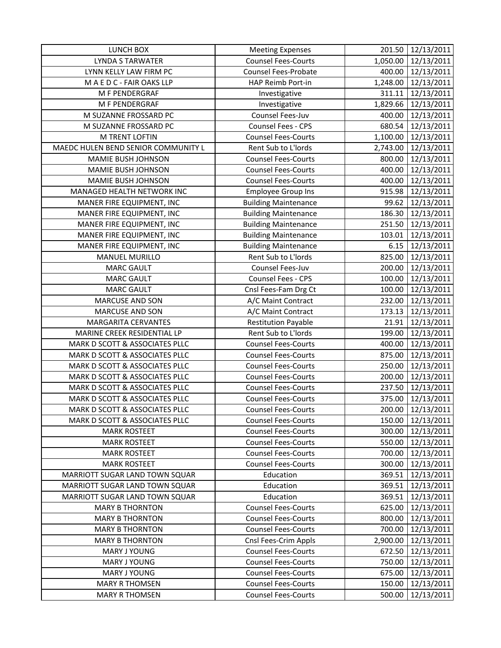| LUNCH BOX                           | <b>Meeting Expenses</b>     | 201.50   | 12/13/2011        |
|-------------------------------------|-----------------------------|----------|-------------------|
| <b>LYNDA S TARWATER</b>             | <b>Counsel Fees-Courts</b>  | 1,050.00 | 12/13/2011        |
| LYNN KELLY LAW FIRM PC              | Counsel Fees-Probate        | 400.00   | 12/13/2011        |
| MAEDC-FAIR OAKS LLP                 | HAP Reimb Port-in           | 1,248.00 | 12/13/2011        |
| M F PENDERGRAF                      | Investigative               | 311.11   | 12/13/2011        |
| M F PENDERGRAF                      | Investigative               | 1,829.66 | 12/13/2011        |
| M SUZANNE FROSSARD PC               | Counsel Fees-Juv            | 400.00   | 12/13/2011        |
| M SUZANNE FROSSARD PC               | Counsel Fees - CPS          | 680.54   | 12/13/2011        |
| M TRENT LOFTIN                      | <b>Counsel Fees-Courts</b>  | 1,100.00 | 12/13/2011        |
| MAEDC HULEN BEND SENIOR COMMUNITY L | Rent Sub to L'Iords         | 2,743.00 | 12/13/2011        |
| MAMIE BUSH JOHNSON                  | <b>Counsel Fees-Courts</b>  | 800.00   | 12/13/2011        |
| MAMIE BUSH JOHNSON                  | <b>Counsel Fees-Courts</b>  | 400.00   | 12/13/2011        |
| MAMIE BUSH JOHNSON                  | <b>Counsel Fees-Courts</b>  | 400.00   | 12/13/2011        |
| MANAGED HEALTH NETWORK INC          | <b>Employee Group Ins</b>   | 915.98   | 12/13/2011        |
| MANER FIRE EQUIPMENT, INC           | <b>Building Maintenance</b> | 99.62    | 12/13/2011        |
| MANER FIRE EQUIPMENT, INC           | <b>Building Maintenance</b> | 186.30   | 12/13/2011        |
| MANER FIRE EQUIPMENT, INC           | <b>Building Maintenance</b> | 251.50   | 12/13/2011        |
| MANER FIRE EQUIPMENT, INC           | <b>Building Maintenance</b> | 103.01   | 12/13/2011        |
| MANER FIRE EQUIPMENT, INC           | <b>Building Maintenance</b> | 6.15     | 12/13/2011        |
| <b>MANUEL MURILLO</b>               | Rent Sub to L'Iords         | 825.00   | 12/13/2011        |
| <b>MARC GAULT</b>                   | Counsel Fees-Juv            | 200.00   | 12/13/2011        |
| <b>MARC GAULT</b>                   | Counsel Fees - CPS          | 100.00   | 12/13/2011        |
| <b>MARC GAULT</b>                   | Cnsl Fees-Fam Drg Ct        | 100.00   | 12/13/2011        |
| <b>MARCUSE AND SON</b>              | A/C Maint Contract          | 232.00   | 12/13/2011        |
| <b>MARCUSE AND SON</b>              | A/C Maint Contract          | 173.13   | 12/13/2011        |
| <b>MARGARITA CERVANTES</b>          | <b>Restitution Payable</b>  | 21.91    | 12/13/2011        |
| MARINE CREEK RESIDENTIAL LP         | Rent Sub to L'Iords         | 199.00   | 12/13/2011        |
| MARK D SCOTT & ASSOCIATES PLLC      | <b>Counsel Fees-Courts</b>  | 400.00   | 12/13/2011        |
| MARK D SCOTT & ASSOCIATES PLLC      | <b>Counsel Fees-Courts</b>  | 875.00   | 12/13/2011        |
| MARK D SCOTT & ASSOCIATES PLLC      | <b>Counsel Fees-Courts</b>  | 250.00   | 12/13/2011        |
| MARK D SCOTT & ASSOCIATES PLLC      | <b>Counsel Fees-Courts</b>  | 200.00   | 12/13/2011        |
| MARK D SCOTT & ASSOCIATES PLLC      | <b>Counsel Fees-Courts</b>  | 237.50   | 12/13/2011        |
| MARK D SCOTT & ASSOCIATES PLLC      | <b>Counsel Fees-Courts</b>  | 375.00   | 12/13/2011        |
| MARK D SCOTT & ASSOCIATES PLLC      | <b>Counsel Fees-Courts</b>  |          | 200.00 12/13/2011 |
| MARK D SCOTT & ASSOCIATES PLLC      | <b>Counsel Fees-Courts</b>  | 150.00   | 12/13/2011        |
| <b>MARK ROSTEET</b>                 | <b>Counsel Fees-Courts</b>  | 300.00   | 12/13/2011        |
| <b>MARK ROSTEET</b>                 | <b>Counsel Fees-Courts</b>  | 550.00   | 12/13/2011        |
| <b>MARK ROSTEET</b>                 | <b>Counsel Fees-Courts</b>  | 700.00   | 12/13/2011        |
| <b>MARK ROSTEET</b>                 | <b>Counsel Fees-Courts</b>  | 300.00   | 12/13/2011        |
| MARRIOTT SUGAR LAND TOWN SQUAR      | Education                   | 369.51   | 12/13/2011        |
| MARRIOTT SUGAR LAND TOWN SQUAR      | Education                   | 369.51   | 12/13/2011        |
| MARRIOTT SUGAR LAND TOWN SQUAR      | Education                   | 369.51   | 12/13/2011        |
| <b>MARY B THORNTON</b>              | <b>Counsel Fees-Courts</b>  | 625.00   | 12/13/2011        |
| <b>MARY B THORNTON</b>              | <b>Counsel Fees-Courts</b>  | 800.00   | 12/13/2011        |
| <b>MARY B THORNTON</b>              | <b>Counsel Fees-Courts</b>  | 700.00   | 12/13/2011        |
| <b>MARY B THORNTON</b>              | Cnsl Fees-Crim Appls        | 2,900.00 | 12/13/2011        |
| MARY J YOUNG                        | <b>Counsel Fees-Courts</b>  | 672.50   | 12/13/2011        |
| MARY J YOUNG                        | <b>Counsel Fees-Courts</b>  | 750.00   | 12/13/2011        |
| MARY J YOUNG                        | <b>Counsel Fees-Courts</b>  | 675.00   | 12/13/2011        |
| <b>MARY R THOMSEN</b>               | <b>Counsel Fees-Courts</b>  | 150.00   | 12/13/2011        |
| <b>MARY R THOMSEN</b>               | <b>Counsel Fees-Courts</b>  | 500.00   | 12/13/2011        |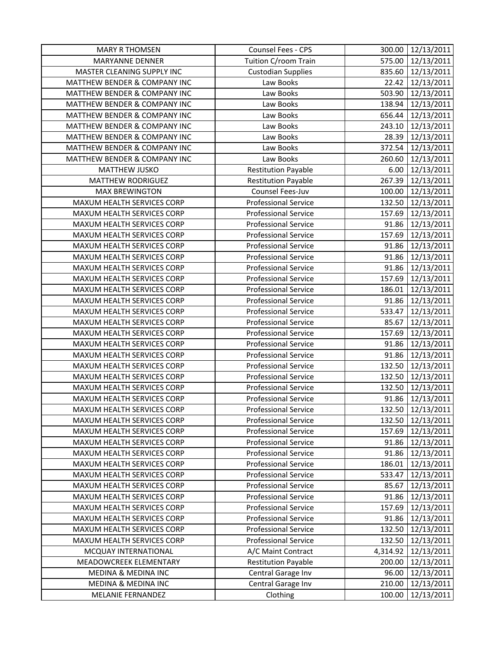| <b>MARY R THOMSEN</b>          | Counsel Fees - CPS          | 300.00   | 12/13/2011        |
|--------------------------------|-----------------------------|----------|-------------------|
| <b>MARYANNE DENNER</b>         | Tuition C/room Train        | 575.00   | 12/13/2011        |
| MASTER CLEANING SUPPLY INC     | <b>Custodian Supplies</b>   | 835.60   | 12/13/2011        |
| MATTHEW BENDER & COMPANY INC   | Law Books                   | 22.42    | 12/13/2011        |
| MATTHEW BENDER & COMPANY INC   | Law Books                   | 503.90   | 12/13/2011        |
| MATTHEW BENDER & COMPANY INC   | Law Books                   | 138.94   | 12/13/2011        |
| MATTHEW BENDER & COMPANY INC   | Law Books                   | 656.44   | 12/13/2011        |
| MATTHEW BENDER & COMPANY INC   | Law Books                   | 243.10   | 12/13/2011        |
| MATTHEW BENDER & COMPANY INC   | Law Books                   | 28.39    | 12/13/2011        |
| MATTHEW BENDER & COMPANY INC   | Law Books                   | 372.54   | 12/13/2011        |
| MATTHEW BENDER & COMPANY INC   | Law Books                   | 260.60   | 12/13/2011        |
| MATTHEW JUSKO                  | <b>Restitution Payable</b>  | 6.00     | 12/13/2011        |
| MATTHEW RODRIGUEZ              | <b>Restitution Payable</b>  | 267.39   | 12/13/2011        |
| <b>MAX BREWINGTON</b>          | Counsel Fees-Juv            | 100.00   | 12/13/2011        |
| MAXUM HEALTH SERVICES CORP     | <b>Professional Service</b> | 132.50   | 12/13/2011        |
| MAXUM HEALTH SERVICES CORP     | <b>Professional Service</b> | 157.69   | 12/13/2011        |
| MAXUM HEALTH SERVICES CORP     | <b>Professional Service</b> | 91.86    | 12/13/2011        |
| MAXUM HEALTH SERVICES CORP     | <b>Professional Service</b> | 157.69   | 12/13/2011        |
| MAXUM HEALTH SERVICES CORP     | <b>Professional Service</b> | 91.86    | 12/13/2011        |
| MAXUM HEALTH SERVICES CORP     | <b>Professional Service</b> | 91.86    | 12/13/2011        |
| MAXUM HEALTH SERVICES CORP     | <b>Professional Service</b> | 91.86    | 12/13/2011        |
| MAXUM HEALTH SERVICES CORP     | <b>Professional Service</b> | 157.69   | 12/13/2011        |
| MAXUM HEALTH SERVICES CORP     | <b>Professional Service</b> | 186.01   | 12/13/2011        |
| MAXUM HEALTH SERVICES CORP     | <b>Professional Service</b> | 91.86    | 12/13/2011        |
| MAXUM HEALTH SERVICES CORP     | <b>Professional Service</b> | 533.47   | 12/13/2011        |
| MAXUM HEALTH SERVICES CORP     | <b>Professional Service</b> | 85.67    | 12/13/2011        |
| MAXUM HEALTH SERVICES CORP     | <b>Professional Service</b> | 157.69   | 12/13/2011        |
| MAXUM HEALTH SERVICES CORP     | <b>Professional Service</b> | 91.86    | 12/13/2011        |
| MAXUM HEALTH SERVICES CORP     | <b>Professional Service</b> | 91.86    | 12/13/2011        |
| MAXUM HEALTH SERVICES CORP     | <b>Professional Service</b> | 132.50   | 12/13/2011        |
| MAXUM HEALTH SERVICES CORP     | <b>Professional Service</b> | 132.50   | 12/13/2011        |
| MAXUM HEALTH SERVICES CORP     | <b>Professional Service</b> | 132.50   | 12/13/2011        |
| MAXUM HEALTH SERVICES CORP     | <b>Professional Service</b> | 91.86    | 12/13/2011        |
| MAXUM HEALTH SERVICES CORP     | <b>Professional Service</b> |          | 132.50 12/13/2011 |
| MAXUM HEALTH SERVICES CORP     | <b>Professional Service</b> | 132.50   | 12/13/2011        |
| MAXUM HEALTH SERVICES CORP     | <b>Professional Service</b> | 157.69   | 12/13/2011        |
| MAXUM HEALTH SERVICES CORP     | <b>Professional Service</b> | 91.86    | 12/13/2011        |
| MAXUM HEALTH SERVICES CORP     | <b>Professional Service</b> | 91.86    | 12/13/2011        |
| MAXUM HEALTH SERVICES CORP     | <b>Professional Service</b> | 186.01   | 12/13/2011        |
| MAXUM HEALTH SERVICES CORP     | <b>Professional Service</b> | 533.47   | 12/13/2011        |
| MAXUM HEALTH SERVICES CORP     | <b>Professional Service</b> | 85.67    | 12/13/2011        |
| MAXUM HEALTH SERVICES CORP     | <b>Professional Service</b> | 91.86    | 12/13/2011        |
| MAXUM HEALTH SERVICES CORP     | <b>Professional Service</b> | 157.69   | 12/13/2011        |
| MAXUM HEALTH SERVICES CORP     | <b>Professional Service</b> | 91.86    | 12/13/2011        |
| MAXUM HEALTH SERVICES CORP     | <b>Professional Service</b> | 132.50   | 12/13/2011        |
| MAXUM HEALTH SERVICES CORP     | <b>Professional Service</b> | 132.50   | 12/13/2011        |
| MCQUAY INTERNATIONAL           | A/C Maint Contract          | 4,314.92 | 12/13/2011        |
| MEADOWCREEK ELEMENTARY         | <b>Restitution Payable</b>  | 200.00   | 12/13/2011        |
| <b>MEDINA &amp; MEDINA INC</b> | Central Garage Inv          | 96.00    | 12/13/2011        |
| MEDINA & MEDINA INC            | Central Garage Inv          | 210.00   | 12/13/2011        |
| MELANIE FERNANDEZ              | Clothing                    | 100.00   | 12/13/2011        |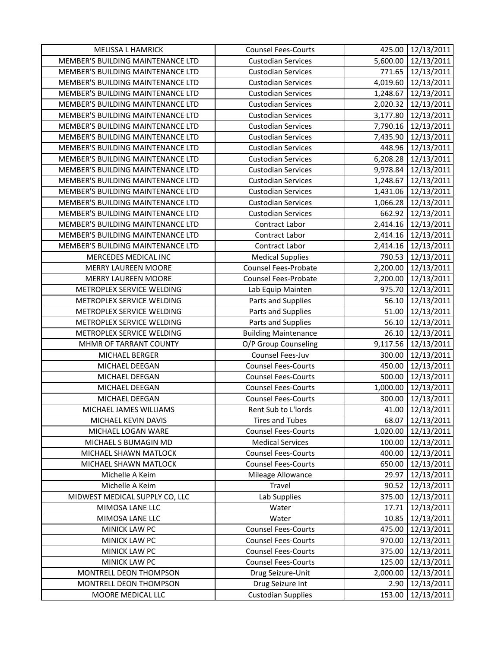| <b>MELISSA L HAMRICK</b>          | <b>Counsel Fees-Courts</b>  | 425.00   | 12/13/2011          |
|-----------------------------------|-----------------------------|----------|---------------------|
| MEMBER'S BUILDING MAINTENANCE LTD | <b>Custodian Services</b>   | 5,600.00 | 12/13/2011          |
| MEMBER'S BUILDING MAINTENANCE LTD | <b>Custodian Services</b>   | 771.65   | 12/13/2011          |
| MEMBER'S BUILDING MAINTENANCE LTD | <b>Custodian Services</b>   | 4,019.60 | 12/13/2011          |
| MEMBER'S BUILDING MAINTENANCE LTD | <b>Custodian Services</b>   | 1,248.67 | 12/13/2011          |
| MEMBER'S BUILDING MAINTENANCE LTD | <b>Custodian Services</b>   | 2,020.32 | 12/13/2011          |
| MEMBER'S BUILDING MAINTENANCE LTD | <b>Custodian Services</b>   | 3,177.80 | 12/13/2011          |
| MEMBER'S BUILDING MAINTENANCE LTD | <b>Custodian Services</b>   | 7,790.16 | 12/13/2011          |
| MEMBER'S BUILDING MAINTENANCE LTD | <b>Custodian Services</b>   |          | 7,435.90 12/13/2011 |
| MEMBER'S BUILDING MAINTENANCE LTD | <b>Custodian Services</b>   | 448.96   | 12/13/2011          |
| MEMBER'S BUILDING MAINTENANCE LTD | <b>Custodian Services</b>   | 6,208.28 | 12/13/2011          |
| MEMBER'S BUILDING MAINTENANCE LTD | <b>Custodian Services</b>   | 9,978.84 | 12/13/2011          |
| MEMBER'S BUILDING MAINTENANCE LTD | <b>Custodian Services</b>   | 1,248.67 | 12/13/2011          |
| MEMBER'S BUILDING MAINTENANCE LTD | <b>Custodian Services</b>   | 1,431.06 | 12/13/2011          |
| MEMBER'S BUILDING MAINTENANCE LTD | <b>Custodian Services</b>   | 1,066.28 | 12/13/2011          |
| MEMBER'S BUILDING MAINTENANCE LTD | <b>Custodian Services</b>   | 662.92   | 12/13/2011          |
| MEMBER'S BUILDING MAINTENANCE LTD | Contract Labor              |          | 2,414.16 12/13/2011 |
| MEMBER'S BUILDING MAINTENANCE LTD | <b>Contract Labor</b>       |          | 2,414.16 12/13/2011 |
| MEMBER'S BUILDING MAINTENANCE LTD | Contract Labor              | 2,414.16 | 12/13/2011          |
| MERCEDES MEDICAL INC              | <b>Medical Supplies</b>     | 790.53   | 12/13/2011          |
| <b>MERRY LAUREEN MOORE</b>        | <b>Counsel Fees-Probate</b> | 2,200.00 | 12/13/2011          |
| <b>MERRY LAUREEN MOORE</b>        | Counsel Fees-Probate        | 2,200.00 | 12/13/2011          |
| METROPLEX SERVICE WELDING         | Lab Equip Mainten           | 975.70   | 12/13/2011          |
| METROPLEX SERVICE WELDING         | Parts and Supplies          | 56.10    | 12/13/2011          |
| METROPLEX SERVICE WELDING         | Parts and Supplies          | 51.00    | 12/13/2011          |
| METROPLEX SERVICE WELDING         | Parts and Supplies          | 56.10    | 12/13/2011          |
| METROPLEX SERVICE WELDING         | <b>Building Maintenance</b> | 26.10    | 12/13/2011          |
| MHMR OF TARRANT COUNTY            | O/P Group Counseling        | 9,117.56 | 12/13/2011          |
| MICHAEL BERGER                    | Counsel Fees-Juv            | 300.00   | 12/13/2011          |
| MICHAEL DEEGAN                    | <b>Counsel Fees-Courts</b>  | 450.00   | 12/13/2011          |
| MICHAEL DEEGAN                    | <b>Counsel Fees-Courts</b>  | 500.00   | 12/13/2011          |
| MICHAEL DEEGAN                    | <b>Counsel Fees-Courts</b>  | 1,000.00 | 12/13/2011          |
| MICHAEL DEEGAN                    | <b>Counsel Fees-Courts</b>  | 300.00   | 12/13/2011          |
| MICHAEL JAMES WILLIAMS            | Rent Sub to L'Iords         |          | 41.00 12/13/2011    |
| MICHAEL KEVIN DAVIS               | Tires and Tubes             | 68.07    | 12/13/2011          |
| MICHAEL LOGAN WARE                | <b>Counsel Fees-Courts</b>  | 1,020.00 | 12/13/2011          |
| MICHAEL S BUMAGIN MD              | <b>Medical Services</b>     | 100.00   | 12/13/2011          |
| MICHAEL SHAWN MATLOCK             | <b>Counsel Fees-Courts</b>  | 400.00   | 12/13/2011          |
| MICHAEL SHAWN MATLOCK             | <b>Counsel Fees-Courts</b>  | 650.00   | 12/13/2011          |
| Michelle A Keim                   | Mileage Allowance           | 29.97    | 12/13/2011          |
| Michelle A Keim                   | Travel                      | 90.52    | 12/13/2011          |
| MIDWEST MEDICAL SUPPLY CO, LLC    | Lab Supplies                | 375.00   | 12/13/2011          |
| MIMOSA LANE LLC                   | Water                       | 17.71    | 12/13/2011          |
| MIMOSA LANE LLC                   | Water                       | 10.85    | 12/13/2011          |
| MINICK LAW PC                     | <b>Counsel Fees-Courts</b>  | 475.00   | 12/13/2011          |
| MINICK LAW PC                     | <b>Counsel Fees-Courts</b>  | 970.00   | 12/13/2011          |
| MINICK LAW PC                     | <b>Counsel Fees-Courts</b>  | 375.00   | 12/13/2011          |
| MINICK LAW PC                     | <b>Counsel Fees-Courts</b>  | 125.00   | 12/13/2011          |
| MONTRELL DEON THOMPSON            | Drug Seizure-Unit           | 2,000.00 | 12/13/2011          |
| MONTRELL DEON THOMPSON            | Drug Seizure Int            | 2.90     | 12/13/2011          |
| MOORE MEDICAL LLC                 | <b>Custodian Supplies</b>   | 153.00   | 12/13/2011          |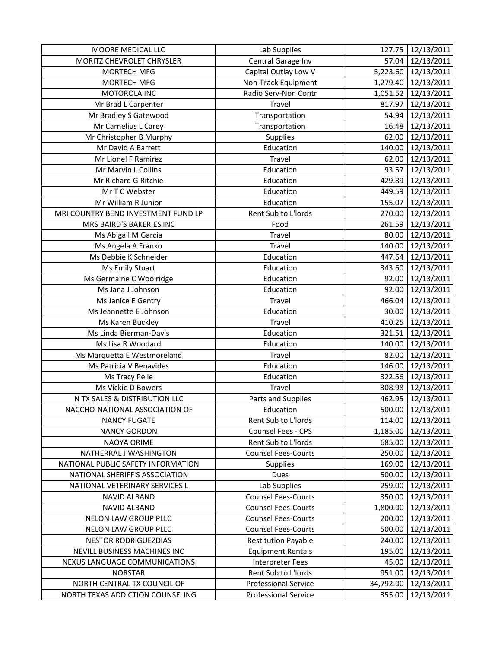| MOORE MEDICAL LLC                   | Lab Supplies                | 127.75    | 12/13/2011        |
|-------------------------------------|-----------------------------|-----------|-------------------|
| MORITZ CHEVROLET CHRYSLER           | Central Garage Inv          | 57.04     | 12/13/2011        |
| MORTECH MFG                         | Capital Outlay Low V        | 5,223.60  | 12/13/2011        |
| MORTECH MFG                         | Non-Track Equipment         | 1,279.40  | 12/13/2011        |
| MOTOROLA INC                        | Radio Serv-Non Contr        | 1,051.52  | 12/13/2011        |
| Mr Brad L Carpenter                 | Travel                      | 817.97    | 12/13/2011        |
| Mr Bradley S Gatewood               | Transportation              | 54.94     | 12/13/2011        |
| Mr Carnelius L Carey                | Transportation              | 16.48     | 12/13/2011        |
| Mr Christopher B Murphy             | Supplies                    | 62.00     | 12/13/2011        |
| Mr David A Barrett                  | Education                   | 140.00    | 12/13/2011        |
| Mr Lionel F Ramirez                 | Travel                      | 62.00     | 12/13/2011        |
| Mr Marvin L Collins                 | Education                   | 93.57     | 12/13/2011        |
| Mr Richard G Ritchie                | Education                   | 429.89    | 12/13/2011        |
| Mr T C Webster                      | Education                   | 449.59    | 12/13/2011        |
| Mr William R Junior                 | Education                   | 155.07    | 12/13/2011        |
| MRI COUNTRY BEND INVESTMENT FUND LP | Rent Sub to L'Iords         | 270.00    | 12/13/2011        |
| MRS BAIRD'S BAKERIES INC            | Food                        | 261.59    | 12/13/2011        |
| Ms Abigail M Garcia                 | Travel                      | 80.00     | 12/13/2011        |
| Ms Angela A Franko                  | Travel                      | 140.00    | 12/13/2011        |
| Ms Debbie K Schneider               | Education                   | 447.64    | 12/13/2011        |
| Ms Emily Stuart                     | Education                   | 343.60    | 12/13/2011        |
| Ms Germaine C Woolridge             | Education                   | 92.00     | 12/13/2011        |
| Ms Jana J Johnson                   | Education                   | 92.00     | 12/13/2011        |
| Ms Janice E Gentry                  | Travel                      | 466.04    | 12/13/2011        |
| Ms Jeannette E Johnson              | Education                   | 30.00     | 12/13/2011        |
| Ms Karen Buckley                    | Travel                      | 410.25    | 12/13/2011        |
| Ms Linda Bierman-Davis              | Education                   | 321.51    | 12/13/2011        |
| Ms Lisa R Woodard                   | Education                   | 140.00    | 12/13/2011        |
| Ms Marquetta E Westmoreland         | Travel                      | 82.00     | 12/13/2011        |
| Ms Patricia V Benavides             | Education                   | 146.00    | 12/13/2011        |
| Ms Tracy Pelle                      | Education                   | 322.56    | 12/13/2011        |
| Ms Vickie D Bowers                  | Travel                      | 308.98    | 12/13/2011        |
| N TX SALES & DISTRIBUTION LLC       | Parts and Supplies          | 462.95    | 12/13/2011        |
| NACCHO-NATIONAL ASSOCIATION OF      | Education                   |           | 500.00 12/13/2011 |
| <b>NANCY FUGATE</b>                 | Rent Sub to L'Iords         | 114.00    | 12/13/2011        |
| <b>NANCY GORDON</b>                 | Counsel Fees - CPS          | 1,185.00  | 12/13/2011        |
| NAOYA ORIME                         | Rent Sub to L'Iords         | 685.00    | 12/13/2011        |
| NATHERRAL J WASHINGTON              | <b>Counsel Fees-Courts</b>  | 250.00    | 12/13/2011        |
| NATIONAL PUBLIC SAFETY INFORMATION  | <b>Supplies</b>             | 169.00    | 12/13/2011        |
| NATIONAL SHERIFF'S ASSOCIATION      | Dues                        | 500.00    | 12/13/2011        |
| NATIONAL VETERINARY SERVICES L      | Lab Supplies                | 259.00    | 12/13/2011        |
| <b>NAVID ALBAND</b>                 | <b>Counsel Fees-Courts</b>  | 350.00    | 12/13/2011        |
| NAVID ALBAND                        | <b>Counsel Fees-Courts</b>  | 1,800.00  | 12/13/2011        |
| <b>NELON LAW GROUP PLLC</b>         | <b>Counsel Fees-Courts</b>  | 200.00    | 12/13/2011        |
| NELON LAW GROUP PLLC                | <b>Counsel Fees-Courts</b>  | 500.00    | 12/13/2011        |
| <b>NESTOR RODRIGUEZDIAS</b>         | <b>Restitution Payable</b>  | 240.00    | 12/13/2011        |
| NEVILL BUSINESS MACHINES INC        | <b>Equipment Rentals</b>    | 195.00    | 12/13/2011        |
| NEXUS LANGUAGE COMMUNICATIONS       | <b>Interpreter Fees</b>     | 45.00     | 12/13/2011        |
| <b>NORSTAR</b>                      | Rent Sub to L'Iords         | 951.00    | 12/13/2011        |
| NORTH CENTRAL TX COUNCIL OF         | <b>Professional Service</b> | 34,792.00 | 12/13/2011        |
| NORTH TEXAS ADDICTION COUNSELING    | Professional Service        | 355.00    | 12/13/2011        |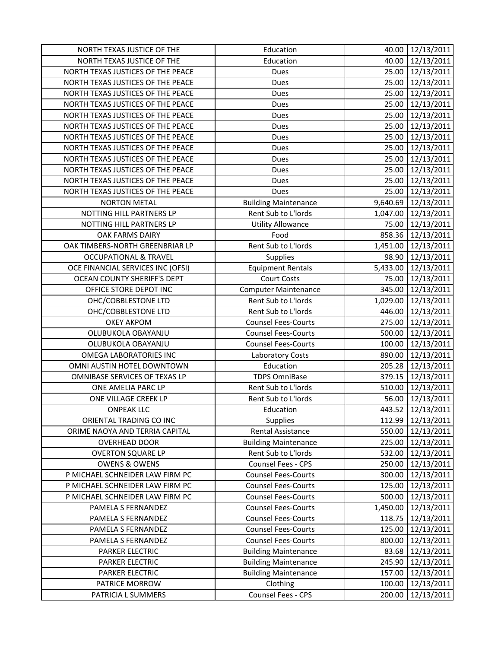| NORTH TEXAS JUSTICE OF THE        | Education                   | 40.00    | 12/13/2011        |
|-----------------------------------|-----------------------------|----------|-------------------|
| NORTH TEXAS JUSTICE OF THE        | Education                   | 40.00    | 12/13/2011        |
| NORTH TEXAS JUSTICES OF THE PEACE | Dues                        |          | 25.00 12/13/2011  |
| NORTH TEXAS JUSTICES OF THE PEACE | Dues                        |          | 25.00 12/13/2011  |
| NORTH TEXAS JUSTICES OF THE PEACE | Dues                        | 25.00    | 12/13/2011        |
| NORTH TEXAS JUSTICES OF THE PEACE | Dues                        | 25.00    | 12/13/2011        |
| NORTH TEXAS JUSTICES OF THE PEACE | Dues                        | 25.00    | 12/13/2011        |
| NORTH TEXAS JUSTICES OF THE PEACE | Dues                        | 25.00    | 12/13/2011        |
| NORTH TEXAS JUSTICES OF THE PEACE | Dues                        | 25.00    | 12/13/2011        |
| NORTH TEXAS JUSTICES OF THE PEACE | Dues                        | 25.00    | 12/13/2011        |
| NORTH TEXAS JUSTICES OF THE PEACE | Dues                        | 25.00    | 12/13/2011        |
| NORTH TEXAS JUSTICES OF THE PEACE | Dues                        | 25.00    | 12/13/2011        |
| NORTH TEXAS JUSTICES OF THE PEACE | Dues                        | 25.00    | 12/13/2011        |
| NORTH TEXAS JUSTICES OF THE PEACE | Dues                        | 25.00    | 12/13/2011        |
| <b>NORTON METAL</b>               | <b>Building Maintenance</b> | 9,640.69 | 12/13/2011        |
| NOTTING HILL PARTNERS LP          | Rent Sub to L'Iords         | 1,047.00 | 12/13/2011        |
| NOTTING HILL PARTNERS LP          | <b>Utility Allowance</b>    | 75.00    | 12/13/2011        |
| OAK FARMS DAIRY                   | Food                        |          | 858.36 12/13/2011 |
| OAK TIMBERS-NORTH GREENBRIAR LP   | Rent Sub to L'Iords         | 1,451.00 | 12/13/2011        |
| <b>OCCUPATIONAL &amp; TRAVEL</b>  | Supplies                    | 98.90    | 12/13/2011        |
| OCE FINANCIAL SERVICES INC (OFSI) | <b>Equipment Rentals</b>    | 5,433.00 | 12/13/2011        |
| OCEAN COUNTY SHERIFF'S DEPT       | <b>Court Costs</b>          | 75.00    | 12/13/2011        |
| OFFICE STORE DEPOT INC            | <b>Computer Maintenance</b> | 345.00   | 12/13/2011        |
| OHC/COBBLESTONE LTD               | Rent Sub to L'Iords         | 1,029.00 | 12/13/2011        |
| OHC/COBBLESTONE LTD               | Rent Sub to L'Iords         | 446.00   | 12/13/2011        |
| <b>OKEY AKPOM</b>                 | <b>Counsel Fees-Courts</b>  | 275.00   | 12/13/2011        |
| OLUBUKOLA OBAYANJU                | <b>Counsel Fees-Courts</b>  | 500.00   | 12/13/2011        |
| OLUBUKOLA OBAYANJU                | <b>Counsel Fees-Courts</b>  | 100.00   | 12/13/2011        |
| <b>OMEGA LABORATORIES INC</b>     | Laboratory Costs            | 890.00   | 12/13/2011        |
| OMNI AUSTIN HOTEL DOWNTOWN        | Education                   | 205.28   | 12/13/2011        |
| OMNIBASE SERVICES OF TEXAS LP     | <b>TDPS OmniBase</b>        | 379.15   | 12/13/2011        |
| ONE AMELIA PARC LP                | Rent Sub to L'Iords         | 510.00   | 12/13/2011        |
| ONE VILLAGE CREEK LP              | Rent Sub to L'Iords         | 56.00    | 12/13/2011        |
| <b>ONPEAK LLC</b>                 | Education                   |          | 443.52 12/13/2011 |
| ORIENTAL TRADING CO INC           | <b>Supplies</b>             | 112.99   | 12/13/2011        |
| ORIME NAOYA AND TERRIA CAPITAL    | Rental Assistance           | 550.00   | 12/13/2011        |
| <b>OVERHEAD DOOR</b>              | <b>Building Maintenance</b> |          | 225.00 12/13/2011 |
| <b>OVERTON SQUARE LP</b>          | Rent Sub to L'Iords         | 532.00   | 12/13/2011        |
| <b>OWENS &amp; OWENS</b>          | Counsel Fees - CPS          | 250.00   | 12/13/2011        |
| P MICHAEL SCHNEIDER LAW FIRM PC   | <b>Counsel Fees-Courts</b>  | 300.00   | 12/13/2011        |
| P MICHAEL SCHNEIDER LAW FIRM PC   | <b>Counsel Fees-Courts</b>  | 125.00   | 12/13/2011        |
| P MICHAEL SCHNEIDER LAW FIRM PC   | <b>Counsel Fees-Courts</b>  | 500.00   | 12/13/2011        |
| PAMELA S FERNANDEZ                | <b>Counsel Fees-Courts</b>  | 1,450.00 | 12/13/2011        |
| PAMELA S FERNANDEZ                | <b>Counsel Fees-Courts</b>  | 118.75   | 12/13/2011        |
| PAMELA S FERNANDEZ                | <b>Counsel Fees-Courts</b>  | 125.00   | 12/13/2011        |
| PAMELA S FERNANDEZ                | <b>Counsel Fees-Courts</b>  | 800.00   | 12/13/2011        |
| PARKER ELECTRIC                   | <b>Building Maintenance</b> | 83.68    | 12/13/2011        |
| PARKER ELECTRIC                   | <b>Building Maintenance</b> | 245.90   | 12/13/2011        |
| PARKER ELECTRIC                   | <b>Building Maintenance</b> | 157.00   | 12/13/2011        |
| PATRICE MORROW                    | Clothing                    | 100.00   | 12/13/2011        |
| PATRICIA L SUMMERS                | Counsel Fees - CPS          | 200.00   | 12/13/2011        |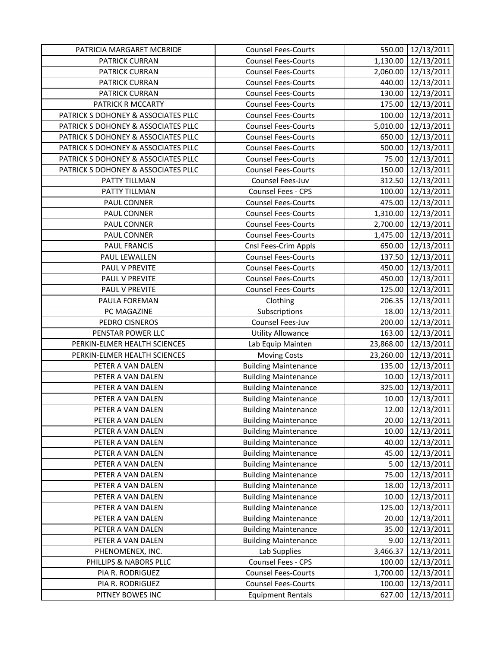| PATRICIA MARGARET MCBRIDE           | <b>Counsel Fees-Courts</b>  | 550.00    | 12/13/2011       |
|-------------------------------------|-----------------------------|-----------|------------------|
| PATRICK CURRAN                      | <b>Counsel Fees-Courts</b>  | 1,130.00  | 12/13/2011       |
| PATRICK CURRAN                      | <b>Counsel Fees-Courts</b>  | 2,060.00  | 12/13/2011       |
| PATRICK CURRAN                      | <b>Counsel Fees-Courts</b>  | 440.00    | 12/13/2011       |
| PATRICK CURRAN                      | <b>Counsel Fees-Courts</b>  | 130.00    | 12/13/2011       |
| PATRICK R MCCARTY                   | <b>Counsel Fees-Courts</b>  | 175.00    | 12/13/2011       |
| PATRICK S DOHONEY & ASSOCIATES PLLC | <b>Counsel Fees-Courts</b>  | 100.00    | 12/13/2011       |
| PATRICK S DOHONEY & ASSOCIATES PLLC | <b>Counsel Fees-Courts</b>  | 5,010.00  | 12/13/2011       |
| PATRICK S DOHONEY & ASSOCIATES PLLC | <b>Counsel Fees-Courts</b>  | 650.00    | 12/13/2011       |
| PATRICK S DOHONEY & ASSOCIATES PLLC | <b>Counsel Fees-Courts</b>  | 500.00    | 12/13/2011       |
| PATRICK S DOHONEY & ASSOCIATES PLLC | <b>Counsel Fees-Courts</b>  | 75.00     | 12/13/2011       |
| PATRICK S DOHONEY & ASSOCIATES PLLC | <b>Counsel Fees-Courts</b>  | 150.00    | 12/13/2011       |
| PATTY TILLMAN                       | Counsel Fees-Juv            | 312.50    | 12/13/2011       |
| PATTY TILLMAN                       | Counsel Fees - CPS          | 100.00    | 12/13/2011       |
| PAUL CONNER                         | <b>Counsel Fees-Courts</b>  | 475.00    | 12/13/2011       |
| PAUL CONNER                         | <b>Counsel Fees-Courts</b>  | 1,310.00  | 12/13/2011       |
| PAUL CONNER                         | <b>Counsel Fees-Courts</b>  | 2,700.00  | 12/13/2011       |
| PAUL CONNER                         | <b>Counsel Fees-Courts</b>  | 1,475.00  | 12/13/2011       |
| <b>PAUL FRANCIS</b>                 | Cnsl Fees-Crim Appls        | 650.00    | 12/13/2011       |
| PAUL LEWALLEN                       | <b>Counsel Fees-Courts</b>  | 137.50    | 12/13/2011       |
| PAUL V PREVITE                      | <b>Counsel Fees-Courts</b>  | 450.00    | 12/13/2011       |
| PAUL V PREVITE                      | <b>Counsel Fees-Courts</b>  | 450.00    | 12/13/2011       |
| PAUL V PREVITE                      | <b>Counsel Fees-Courts</b>  | 125.00    | 12/13/2011       |
| PAULA FOREMAN                       | Clothing                    | 206.35    | 12/13/2011       |
| PC MAGAZINE                         | Subscriptions               | 18.00     | 12/13/2011       |
| PEDRO CISNEROS                      | Counsel Fees-Juv            | 200.00    | 12/13/2011       |
| PENSTAR POWER LLC                   | <b>Utility Allowance</b>    | 163.00    | 12/13/2011       |
| PERKIN-ELMER HEALTH SCIENCES        | Lab Equip Mainten           | 23,868.00 | 12/13/2011       |
| PERKIN-ELMER HEALTH SCIENCES        | <b>Moving Costs</b>         | 23,260.00 | 12/13/2011       |
| PETER A VAN DALEN                   | <b>Building Maintenance</b> | 135.00    | 12/13/2011       |
| PETER A VAN DALEN                   | <b>Building Maintenance</b> | 10.00     | 12/13/2011       |
| PETER A VAN DALEN                   | <b>Building Maintenance</b> | 325.00    | 12/13/2011       |
| PETER A VAN DALEN                   | <b>Building Maintenance</b> | 10.00     | 12/13/2011       |
| PETER A VAN DALEN                   | <b>Building Maintenance</b> |           | 12.00 12/13/2011 |
| PETER A VAN DALEN                   | <b>Building Maintenance</b> | 20.00     | 12/13/2011       |
| PETER A VAN DALEN                   | <b>Building Maintenance</b> | 10.00     | 12/13/2011       |
| PETER A VAN DALEN                   | <b>Building Maintenance</b> | 40.00     | 12/13/2011       |
| PETER A VAN DALEN                   | <b>Building Maintenance</b> | 45.00     | 12/13/2011       |
| PETER A VAN DALEN                   | <b>Building Maintenance</b> | 5.00      | 12/13/2011       |
| PETER A VAN DALEN                   | <b>Building Maintenance</b> | 75.00     | 12/13/2011       |
| PETER A VAN DALEN                   | <b>Building Maintenance</b> | 18.00     | 12/13/2011       |
| PETER A VAN DALEN                   | <b>Building Maintenance</b> | 10.00     | 12/13/2011       |
| PETER A VAN DALEN                   | <b>Building Maintenance</b> | 125.00    | 12/13/2011       |
| PETER A VAN DALEN                   | <b>Building Maintenance</b> | 20.00     | 12/13/2011       |
| PETER A VAN DALEN                   | <b>Building Maintenance</b> | 35.00     | 12/13/2011       |
| PETER A VAN DALEN                   | <b>Building Maintenance</b> | 9.00      | 12/13/2011       |
| PHENOMENEX, INC.                    | Lab Supplies                | 3,466.37  | 12/13/2011       |
| PHILLIPS & NABORS PLLC              | Counsel Fees - CPS          | 100.00    | 12/13/2011       |
| PIA R. RODRIGUEZ                    | <b>Counsel Fees-Courts</b>  | 1,700.00  | 12/13/2011       |
| PIA R. RODRIGUEZ                    | <b>Counsel Fees-Courts</b>  | 100.00    | 12/13/2011       |
| PITNEY BOWES INC                    | <b>Equipment Rentals</b>    | 627.00    | 12/13/2011       |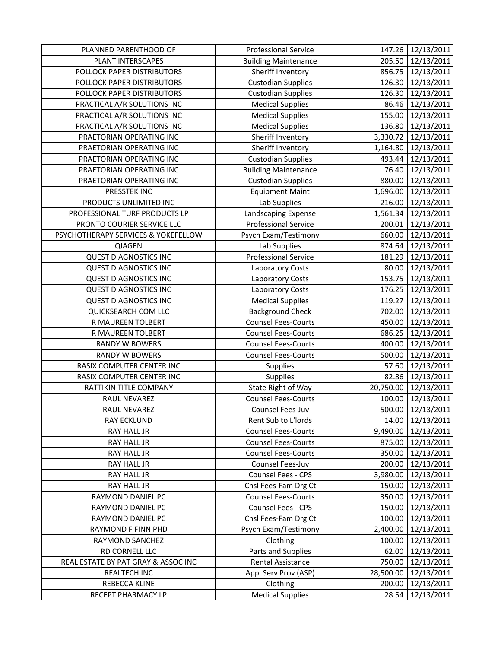| PLANNED PARENTHOOD OF               | <b>Professional Service</b> | 147.26    | 12/13/2011        |
|-------------------------------------|-----------------------------|-----------|-------------------|
| PLANT INTERSCAPES                   | <b>Building Maintenance</b> | 205.50    | 12/13/2011        |
| POLLOCK PAPER DISTRIBUTORS          | Sheriff Inventory           | 856.75    | 12/13/2011        |
| POLLOCK PAPER DISTRIBUTORS          | <b>Custodian Supplies</b>   | 126.30    | 12/13/2011        |
| POLLOCK PAPER DISTRIBUTORS          | <b>Custodian Supplies</b>   | 126.30    | 12/13/2011        |
| PRACTICAL A/R SOLUTIONS INC         | <b>Medical Supplies</b>     | 86.46     | 12/13/2011        |
| PRACTICAL A/R SOLUTIONS INC         | <b>Medical Supplies</b>     | 155.00    | 12/13/2011        |
| PRACTICAL A/R SOLUTIONS INC         | <b>Medical Supplies</b>     | 136.80    | 12/13/2011        |
| PRAETORIAN OPERATING INC            | Sheriff Inventory           | 3,330.72  | 12/13/2011        |
| PRAETORIAN OPERATING INC            | Sheriff Inventory           | 1,164.80  | 12/13/2011        |
| PRAETORIAN OPERATING INC            | <b>Custodian Supplies</b>   | 493.44    | 12/13/2011        |
| PRAETORIAN OPERATING INC            | <b>Building Maintenance</b> | 76.40     | 12/13/2011        |
| PRAETORIAN OPERATING INC            | <b>Custodian Supplies</b>   | 880.00    | 12/13/2011        |
| PRESSTEK INC                        | <b>Equipment Maint</b>      | 1,696.00  | 12/13/2011        |
| PRODUCTS UNLIMITED INC              | Lab Supplies                | 216.00    | 12/13/2011        |
| PROFESSIONAL TURF PRODUCTS LP       | Landscaping Expense         | 1,561.34  | 12/13/2011        |
| PRONTO COURIER SERVICE LLC          | <b>Professional Service</b> | 200.01    | 12/13/2011        |
| PSYCHOTHERAPY SERVICES & YOKEFELLOW | Psych Exam/Testimony        | 660.00    | 12/13/2011        |
| QIAGEN                              | Lab Supplies                | 874.64    | 12/13/2011        |
| <b>QUEST DIAGNOSTICS INC</b>        | <b>Professional Service</b> | 181.29    | 12/13/2011        |
| <b>QUEST DIAGNOSTICS INC</b>        | Laboratory Costs            | 80.00     | 12/13/2011        |
| <b>QUEST DIAGNOSTICS INC</b>        | Laboratory Costs            | 153.75    | 12/13/2011        |
| <b>QUEST DIAGNOSTICS INC</b>        | Laboratory Costs            | 176.25    | 12/13/2011        |
| <b>QUEST DIAGNOSTICS INC</b>        | <b>Medical Supplies</b>     | 119.27    | 12/13/2011        |
| <b>QUICKSEARCH COM LLC</b>          | <b>Background Check</b>     | 702.00    | 12/13/2011        |
| R MAUREEN TOLBERT                   | <b>Counsel Fees-Courts</b>  | 450.00    | 12/13/2011        |
| R MAUREEN TOLBERT                   | <b>Counsel Fees-Courts</b>  | 686.25    | 12/13/2011        |
| <b>RANDY W BOWERS</b>               | <b>Counsel Fees-Courts</b>  | 400.00    | 12/13/2011        |
| <b>RANDY W BOWERS</b>               | <b>Counsel Fees-Courts</b>  | 500.00    | 12/13/2011        |
| RASIX COMPUTER CENTER INC           | Supplies                    | 57.60     | 12/13/2011        |
| RASIX COMPUTER CENTER INC           | Supplies                    | 82.86     | 12/13/2011        |
| RATTIKIN TITLE COMPANY              | State Right of Way          | 20,750.00 | 12/13/2011        |
| RAUL NEVAREZ                        | <b>Counsel Fees-Courts</b>  | 100.00    | 12/13/2011        |
| RAUL NEVAREZ                        | Counsel Fees-Juv            |           | 500.00 12/13/2011 |
| RAY ECKLUND                         | Rent Sub to L'Iords         | 14.00     | 12/13/2011        |
| RAY HALL JR                         | <b>Counsel Fees-Courts</b>  | 9,490.00  | 12/13/2011        |
| RAY HALL JR                         | <b>Counsel Fees-Courts</b>  | 875.00    | 12/13/2011        |
| RAY HALL JR                         | <b>Counsel Fees-Courts</b>  | 350.00    | 12/13/2011        |
| RAY HALL JR                         | Counsel Fees-Juv            | 200.00    | 12/13/2011        |
| RAY HALL JR                         | Counsel Fees - CPS          | 3,980.00  | 12/13/2011        |
| <b>RAY HALL JR</b>                  | Cnsl Fees-Fam Drg Ct        | 150.00    | 12/13/2011        |
| RAYMOND DANIEL PC                   | <b>Counsel Fees-Courts</b>  | 350.00    | 12/13/2011        |
| RAYMOND DANIEL PC                   | Counsel Fees - CPS          | 150.00    | 12/13/2011        |
| RAYMOND DANIEL PC                   | Cnsl Fees-Fam Drg Ct        | 100.00    | 12/13/2011        |
| RAYMOND F FINN PHD                  | Psych Exam/Testimony        | 2,400.00  | 12/13/2011        |
| RAYMOND SANCHEZ                     | Clothing                    | 100.00    | 12/13/2011        |
| RD CORNELL LLC                      | Parts and Supplies          | 62.00     | 12/13/2011        |
| REAL ESTATE BY PAT GRAY & ASSOC INC | Rental Assistance           | 750.00    | 12/13/2011        |
| <b>REALTECH INC</b>                 | Appl Serv Prov (ASP)        | 28,500.00 | 12/13/2011        |
| REBECCA KLINE                       | Clothing                    | 200.00    | 12/13/2011        |
| RECEPT PHARMACY LP                  | <b>Medical Supplies</b>     | 28.54     | 12/13/2011        |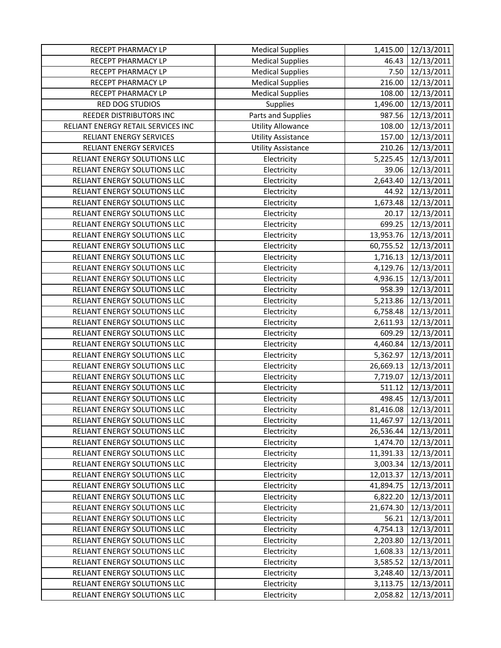| RECEPT PHARMACY LP                 | <b>Medical Supplies</b>   | 1,415.00  | 12/13/2011             |
|------------------------------------|---------------------------|-----------|------------------------|
| RECEPT PHARMACY LP                 | <b>Medical Supplies</b>   | 46.43     | 12/13/2011             |
| RECEPT PHARMACY LP                 | <b>Medical Supplies</b>   | 7.50      | 12/13/2011             |
| RECEPT PHARMACY LP                 | <b>Medical Supplies</b>   | 216.00    | 12/13/2011             |
| RECEPT PHARMACY LP                 | <b>Medical Supplies</b>   | 108.00    | 12/13/2011             |
| RED DOG STUDIOS                    | Supplies                  | 1,496.00  | 12/13/2011             |
| REEDER DISTRIBUTORS INC            | Parts and Supplies        | 987.56    | 12/13/2011             |
| RELIANT ENERGY RETAIL SERVICES INC | <b>Utility Allowance</b>  | 108.00    | 12/13/2011             |
| RELIANT ENERGY SERVICES            | <b>Utility Assistance</b> | 157.00    | 12/13/2011             |
| RELIANT ENERGY SERVICES            | <b>Utility Assistance</b> | 210.26    | 12/13/2011             |
| RELIANT ENERGY SOLUTIONS LLC       | Electricity               | 5,225.45  | 12/13/2011             |
| RELIANT ENERGY SOLUTIONS LLC       | Electricity               | 39.06     | 12/13/2011             |
| RELIANT ENERGY SOLUTIONS LLC       | Electricity               | 2,643.40  | 12/13/2011             |
| RELIANT ENERGY SOLUTIONS LLC       | Electricity               | 44.92     | 12/13/2011             |
| RELIANT ENERGY SOLUTIONS LLC       | Electricity               | 1,673.48  | 12/13/2011             |
| RELIANT ENERGY SOLUTIONS LLC       | Electricity               | 20.17     | 12/13/2011             |
| RELIANT ENERGY SOLUTIONS LLC       | Electricity               | 699.25    | 12/13/2011             |
| RELIANT ENERGY SOLUTIONS LLC       | Electricity               |           | 13,953.76 12/13/2011   |
| RELIANT ENERGY SOLUTIONS LLC       | Electricity               | 60,755.52 | 12/13/2011             |
| RELIANT ENERGY SOLUTIONS LLC       | Electricity               | 1,716.13  | 12/13/2011             |
| RELIANT ENERGY SOLUTIONS LLC       | Electricity               |           | 4,129.76 12/13/2011    |
| RELIANT ENERGY SOLUTIONS LLC       | Electricity               | 4,936.15  | 12/13/2011             |
| RELIANT ENERGY SOLUTIONS LLC       | Electricity               | 958.39    | 12/13/2011             |
| RELIANT ENERGY SOLUTIONS LLC       | Electricity               | 5,213.86  | 12/13/2011             |
| RELIANT ENERGY SOLUTIONS LLC       | Electricity               | 6,758.48  | 12/13/2011             |
| RELIANT ENERGY SOLUTIONS LLC       | Electricity               | 2,611.93  | 12/13/2011             |
| RELIANT ENERGY SOLUTIONS LLC       | Electricity               | 609.29    | 12/13/2011             |
| RELIANT ENERGY SOLUTIONS LLC       | Electricity               | 4,460.84  | 12/13/2011             |
| RELIANT ENERGY SOLUTIONS LLC       | Electricity               | 5,362.97  | 12/13/2011             |
| RELIANT ENERGY SOLUTIONS LLC       | Electricity               | 26,669.13 | 12/13/2011             |
| RELIANT ENERGY SOLUTIONS LLC       | Electricity               | 7,719.07  | 12/13/2011             |
| RELIANT ENERGY SOLUTIONS LLC       | Electricity               | 511.12    | 12/13/2011             |
| RELIANT ENERGY SOLUTIONS LLC       | Electricity               | 498.45    | 12/13/2011             |
| RELIANT ENERGY SOLUTIONS LLC       | Electricity               |           | 81,416.08 12/13/2011   |
| RELIANT ENERGY SOLUTIONS LLC       | Electricity               | 11,467.97 | 12/13/2011             |
| RELIANT ENERGY SOLUTIONS LLC       | Electricity               |           | 26,536.44   12/13/2011 |
| RELIANT ENERGY SOLUTIONS LLC       | Electricity               |           | 1,474.70 12/13/2011    |
| RELIANT ENERGY SOLUTIONS LLC       | Electricity               | 11,391.33 | 12/13/2011             |
| RELIANT ENERGY SOLUTIONS LLC       | Electricity               | 3,003.34  | 12/13/2011             |
| RELIANT ENERGY SOLUTIONS LLC       | Electricity               | 12,013.37 | 12/13/2011             |
| RELIANT ENERGY SOLUTIONS LLC       | Electricity               | 41,894.75 | 12/13/2011             |
| RELIANT ENERGY SOLUTIONS LLC       | Electricity               | 6,822.20  | 12/13/2011             |
| RELIANT ENERGY SOLUTIONS LLC       | Electricity               | 21,674.30 | 12/13/2011             |
| RELIANT ENERGY SOLUTIONS LLC       | Electricity               | 56.21     | 12/13/2011             |
| RELIANT ENERGY SOLUTIONS LLC       | Electricity               | 4,754.13  | 12/13/2011             |
| RELIANT ENERGY SOLUTIONS LLC       | Electricity               | 2,203.80  | 12/13/2011             |
| RELIANT ENERGY SOLUTIONS LLC       | Electricity               | 1,608.33  | 12/13/2011             |
| RELIANT ENERGY SOLUTIONS LLC       | Electricity               | 3,585.52  | 12/13/2011             |
| RELIANT ENERGY SOLUTIONS LLC       | Electricity               | 3,248.40  | 12/13/2011             |
| RELIANT ENERGY SOLUTIONS LLC       | Electricity               | 3,113.75  | 12/13/2011             |
| RELIANT ENERGY SOLUTIONS LLC       | Electricity               | 2,058.82  | 12/13/2011             |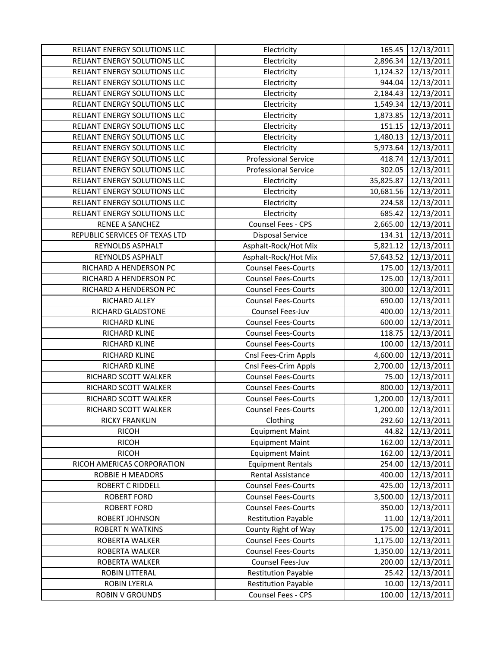| RELIANT ENERGY SOLUTIONS LLC   | Electricity                 | 165.45    | 12/13/2011          |
|--------------------------------|-----------------------------|-----------|---------------------|
| RELIANT ENERGY SOLUTIONS LLC   | Electricity                 | 2,896.34  | 12/13/2011          |
| RELIANT ENERGY SOLUTIONS LLC   | Electricity                 |           | 1,124.32 12/13/2011 |
| RELIANT ENERGY SOLUTIONS LLC   | Electricity                 | 944.04    | 12/13/2011          |
| RELIANT ENERGY SOLUTIONS LLC   | Electricity                 | 2,184.43  | 12/13/2011          |
| RELIANT ENERGY SOLUTIONS LLC   | Electricity                 | 1,549.34  | 12/13/2011          |
| RELIANT ENERGY SOLUTIONS LLC   | Electricity                 | 1,873.85  | 12/13/2011          |
| RELIANT ENERGY SOLUTIONS LLC   | Electricity                 | 151.15    | 12/13/2011          |
| RELIANT ENERGY SOLUTIONS LLC   | Electricity                 |           | 1,480.13 12/13/2011 |
| RELIANT ENERGY SOLUTIONS LLC   | Electricity                 | 5,973.64  | 12/13/2011          |
| RELIANT ENERGY SOLUTIONS LLC   | <b>Professional Service</b> | 418.74    | 12/13/2011          |
| RELIANT ENERGY SOLUTIONS LLC   | <b>Professional Service</b> | 302.05    | 12/13/2011          |
| RELIANT ENERGY SOLUTIONS LLC   | Electricity                 | 35,825.87 | 12/13/2011          |
| RELIANT ENERGY SOLUTIONS LLC   | Electricity                 | 10,681.56 | 12/13/2011          |
| RELIANT ENERGY SOLUTIONS LLC   | Electricity                 | 224.58    | 12/13/2011          |
| RELIANT ENERGY SOLUTIONS LLC   | Electricity                 | 685.42    | 12/13/2011          |
| <b>RENEE A SANCHEZ</b>         | Counsel Fees - CPS          | 2,665.00  | 12/13/2011          |
| REPUBLIC SERVICES OF TEXAS LTD | <b>Disposal Service</b>     | 134.31    | 12/13/2011          |
| REYNOLDS ASPHALT               | Asphalt-Rock/Hot Mix        | 5,821.12  | 12/13/2011          |
| REYNOLDS ASPHALT               | Asphalt-Rock/Hot Mix        | 57,643.52 | 12/13/2011          |
| RICHARD A HENDERSON PC         | <b>Counsel Fees-Courts</b>  | 175.00    | 12/13/2011          |
| RICHARD A HENDERSON PC         | <b>Counsel Fees-Courts</b>  | 125.00    | 12/13/2011          |
| RICHARD A HENDERSON PC         | <b>Counsel Fees-Courts</b>  | 300.00    | 12/13/2011          |
| RICHARD ALLEY                  | <b>Counsel Fees-Courts</b>  | 690.00    | 12/13/2011          |
| RICHARD GLADSTONE              | Counsel Fees-Juv            | 400.00    | 12/13/2011          |
| RICHARD KLINE                  | <b>Counsel Fees-Courts</b>  | 600.00    | 12/13/2011          |
| RICHARD KLINE                  | <b>Counsel Fees-Courts</b>  | 118.75    | 12/13/2011          |
| RICHARD KLINE                  | <b>Counsel Fees-Courts</b>  | 100.00    | 12/13/2011          |
| RICHARD KLINE                  | Cnsl Fees-Crim Appls        | 4,600.00  | 12/13/2011          |
| RICHARD KLINE                  | Cnsl Fees-Crim Appls        | 2,700.00  | 12/13/2011          |
| RICHARD SCOTT WALKER           | <b>Counsel Fees-Courts</b>  | 75.00     | 12/13/2011          |
| RICHARD SCOTT WALKER           | <b>Counsel Fees-Courts</b>  | 800.00    | 12/13/2011          |
| RICHARD SCOTT WALKER           | <b>Counsel Fees-Courts</b>  | 1,200.00  | 12/13/2011          |
| RICHARD SCOTT WALKER           | <b>Counsel Fees-Courts</b>  |           | 1,200.00 12/13/2011 |
| <b>RICKY FRANKLIN</b>          | Clothing                    | 292.60    | 12/13/2011          |
| <b>RICOH</b>                   | <b>Equipment Maint</b>      | 44.82     | 12/13/2011          |
| <b>RICOH</b>                   | <b>Equipment Maint</b>      | 162.00    | 12/13/2011          |
| <b>RICOH</b>                   | <b>Equipment Maint</b>      | 162.00    | 12/13/2011          |
| RICOH AMERICAS CORPORATION     | <b>Equipment Rentals</b>    | 254.00    | 12/13/2011          |
| <b>ROBBIE H MEADORS</b>        | Rental Assistance           | 400.00    | 12/13/2011          |
| <b>ROBERT C RIDDELL</b>        | <b>Counsel Fees-Courts</b>  | 425.00    | 12/13/2011          |
| <b>ROBERT FORD</b>             | <b>Counsel Fees-Courts</b>  | 3,500.00  | 12/13/2011          |
| <b>ROBERT FORD</b>             | <b>Counsel Fees-Courts</b>  | 350.00    | 12/13/2011          |
| ROBERT JOHNSON                 | <b>Restitution Payable</b>  | 11.00     | 12/13/2011          |
| <b>ROBERT N WATKINS</b>        | County Right of Way         | 175.00    | 12/13/2011          |
| ROBERTA WALKER                 | <b>Counsel Fees-Courts</b>  | 1,175.00  | 12/13/2011          |
| ROBERTA WALKER                 | <b>Counsel Fees-Courts</b>  | 1,350.00  | 12/13/2011          |
| ROBERTA WALKER                 | Counsel Fees-Juv            | 200.00    | 12/13/2011          |
| <b>ROBIN LITTERAL</b>          | <b>Restitution Payable</b>  | 25.42     | 12/13/2011          |
| <b>ROBIN LYERLA</b>            | <b>Restitution Payable</b>  | 10.00     | 12/13/2011          |
| <b>ROBIN V GROUNDS</b>         | Counsel Fees - CPS          | 100.00    | 12/13/2011          |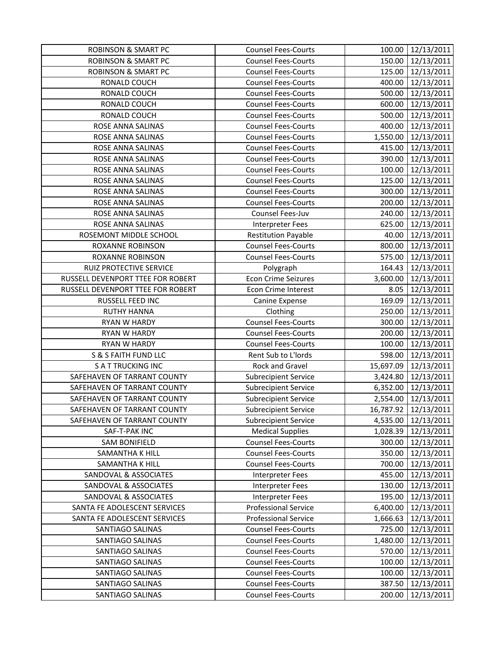| <b>ROBINSON &amp; SMART PC</b>    | <b>Counsel Fees-Courts</b>  | 100.00   | 12/13/2011           |
|-----------------------------------|-----------------------------|----------|----------------------|
| <b>ROBINSON &amp; SMART PC</b>    | <b>Counsel Fees-Courts</b>  | 150.00   | 12/13/2011           |
| <b>ROBINSON &amp; SMART PC</b>    | <b>Counsel Fees-Courts</b>  |          | 125.00 12/13/2011    |
| RONALD COUCH                      | <b>Counsel Fees-Courts</b>  |          | 400.00 12/13/2011    |
| RONALD COUCH                      | <b>Counsel Fees-Courts</b>  | 500.00   | 12/13/2011           |
| RONALD COUCH                      | <b>Counsel Fees-Courts</b>  | 600.00   | 12/13/2011           |
| RONALD COUCH                      | <b>Counsel Fees-Courts</b>  | 500.00   | 12/13/2011           |
| ROSE ANNA SALINAS                 | <b>Counsel Fees-Courts</b>  | 400.00   | 12/13/2011           |
| ROSE ANNA SALINAS                 | <b>Counsel Fees-Courts</b>  |          | 1,550.00 12/13/2011  |
| ROSE ANNA SALINAS                 | <b>Counsel Fees-Courts</b>  | 415.00   | 12/13/2011           |
| ROSE ANNA SALINAS                 | <b>Counsel Fees-Courts</b>  | 390.00   | 12/13/2011           |
| ROSE ANNA SALINAS                 | <b>Counsel Fees-Courts</b>  | 100.00   | 12/13/2011           |
| ROSE ANNA SALINAS                 | <b>Counsel Fees-Courts</b>  | 125.00   | 12/13/2011           |
| ROSE ANNA SALINAS                 | <b>Counsel Fees-Courts</b>  | 300.00   | 12/13/2011           |
| ROSE ANNA SALINAS                 | <b>Counsel Fees-Courts</b>  | 200.00   | 12/13/2011           |
| ROSE ANNA SALINAS                 | Counsel Fees-Juv            | 240.00   | 12/13/2011           |
| ROSE ANNA SALINAS                 | Interpreter Fees            |          | 625.00 12/13/2011    |
| ROSEMONT MIDDLE SCHOOL            | <b>Restitution Payable</b>  | 40.00    | 12/13/2011           |
| <b>ROXANNE ROBINSON</b>           | <b>Counsel Fees-Courts</b>  | 800.00   | 12/13/2011           |
| ROXANNE ROBINSON                  | <b>Counsel Fees-Courts</b>  | 575.00   | 12/13/2011           |
| RUIZ PROTECTIVE SERVICE           | Polygraph                   | 164.43   | 12/13/2011           |
| RUSSELL DEVENPORT TTEE FOR ROBERT | <b>Econ Crime Seizures</b>  |          | 3,600.00 12/13/2011  |
| RUSSELL DEVENPORT TTEE FOR ROBERT | Econ Crime Interest         | 8.05     | 12/13/2011           |
| RUSSELL FEED INC                  | Canine Expense              | 169.09   | 12/13/2011           |
| <b>RUTHY HANNA</b>                | Clothing                    | 250.00   | 12/13/2011           |
| RYAN W HARDY                      | <b>Counsel Fees-Courts</b>  | 300.00   | 12/13/2011           |
| <b>RYAN W HARDY</b>               | <b>Counsel Fees-Courts</b>  | 200.00   | 12/13/2011           |
| <b>RYAN W HARDY</b>               | <b>Counsel Fees-Courts</b>  | 100.00   | 12/13/2011           |
| S & S FAITH FUND LLC              | Rent Sub to L'Iords         | 598.00   | 12/13/2011           |
| <b>SATTRUCKING INC</b>            | Rock and Gravel             |          | 15,697.09 12/13/2011 |
| SAFEHAVEN OF TARRANT COUNTY       | <b>Subrecipient Service</b> |          | 3,424.80 12/13/2011  |
| SAFEHAVEN OF TARRANT COUNTY       | <b>Subrecipient Service</b> | 6,352.00 | 12/13/2011           |
| SAFEHAVEN OF TARRANT COUNTY       | Subrecipient Service        | 2,554.00 | 12/13/2011           |
| SAFEHAVEN OF TARRANT COUNTY       | <b>Subrecipient Service</b> |          | 16,787.92 12/13/2011 |
| SAFEHAVEN OF TARRANT COUNTY       | <b>Subrecipient Service</b> |          | 4,535.00 12/13/2011  |
| SAF-T-PAK INC                     | <b>Medical Supplies</b>     | 1,028.39 | 12/13/2011           |
| <b>SAM BONIFIELD</b>              | <b>Counsel Fees-Courts</b>  | 300.00   | 12/13/2011           |
| SAMANTHA K HILL                   | <b>Counsel Fees-Courts</b>  | 350.00   | 12/13/2011           |
| SAMANTHA K HILL                   | <b>Counsel Fees-Courts</b>  | 700.00   | 12/13/2011           |
| <b>SANDOVAL &amp; ASSOCIATES</b>  | <b>Interpreter Fees</b>     | 455.00   | 12/13/2011           |
| SANDOVAL & ASSOCIATES             | <b>Interpreter Fees</b>     | 130.00   | 12/13/2011           |
| SANDOVAL & ASSOCIATES             | Interpreter Fees            | 195.00   | 12/13/2011           |
| SANTA FE ADOLESCENT SERVICES      | <b>Professional Service</b> | 6,400.00 | 12/13/2011           |
| SANTA FE ADOLESCENT SERVICES      | <b>Professional Service</b> | 1,666.63 | 12/13/2011           |
| SANTIAGO SALINAS                  | <b>Counsel Fees-Courts</b>  | 725.00   | 12/13/2011           |
| SANTIAGO SALINAS                  | <b>Counsel Fees-Courts</b>  | 1,480.00 | 12/13/2011           |
| SANTIAGO SALINAS                  | <b>Counsel Fees-Courts</b>  | 570.00   | 12/13/2011           |
| SANTIAGO SALINAS                  | <b>Counsel Fees-Courts</b>  | 100.00   | 12/13/2011           |
| SANTIAGO SALINAS                  | <b>Counsel Fees-Courts</b>  | 100.00   | 12/13/2011           |
| SANTIAGO SALINAS                  | <b>Counsel Fees-Courts</b>  | 387.50   | 12/13/2011           |
| SANTIAGO SALINAS                  | <b>Counsel Fees-Courts</b>  | 200.00   | 12/13/2011           |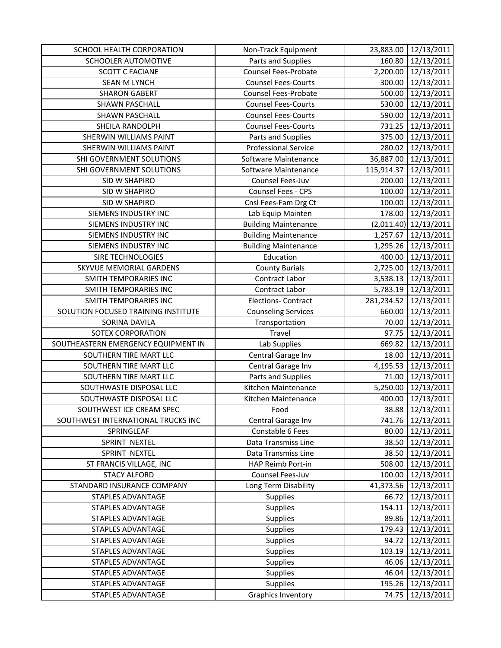| 12/13/2011<br>SCHOOLER AUTOMOTIVE<br>Parts and Supplies<br>160.80<br>2,200.00<br>Counsel Fees-Probate<br>12/13/2011<br><b>SCOTT C FACIANE</b><br><b>Counsel Fees-Courts</b><br><b>SEAN M LYNCH</b><br>300.00<br>12/13/2011<br>12/13/2011<br><b>SHARON GABERT</b><br>Counsel Fees-Probate<br>500.00<br><b>Counsel Fees-Courts</b><br>12/13/2011<br>SHAWN PASCHALL<br>530.00<br><b>Counsel Fees-Courts</b><br>590.00<br>12/13/2011<br>SHAWN PASCHALL<br>731.25<br>12/13/2011<br>SHEILA RANDOLPH<br><b>Counsel Fees-Courts</b><br>SHERWIN WILLIAMS PAINT<br>Parts and Supplies<br>375.00<br>12/13/2011<br><b>Professional Service</b><br>SHERWIN WILLIAMS PAINT<br>280.02<br>12/13/2011<br>36,887.00<br>SHI GOVERNMENT SOLUTIONS<br>Software Maintenance<br>12/13/2011<br>12/13/2011<br>SHI GOVERNMENT SOLUTIONS<br>Software Maintenance<br>115,914.37<br>200.00<br>12/13/2011<br>SID W SHAPIRO<br>Counsel Fees-Juv<br>Counsel Fees - CPS<br>12/13/2011<br>SID W SHAPIRO<br>100.00<br>SID W SHAPIRO<br>Cnsl Fees-Fam Drg Ct<br>12/13/2011<br>100.00<br>SIEMENS INDUSTRY INC<br>178.00<br>12/13/2011<br>Lab Equip Mainten<br>SIEMENS INDUSTRY INC<br>$(2,011.40)$ 12/13/2011<br><b>Building Maintenance</b><br><b>Building Maintenance</b><br>SIEMENS INDUSTRY INC<br>1,257.67<br>12/13/2011<br><b>Building Maintenance</b><br>12/13/2011<br>SIEMENS INDUSTRY INC<br>1,295.26<br>SIRE TECHNOLOGIES<br>Education<br>12/13/2011<br>400.00<br>2,725.00 12/13/2011<br>SKYVUE MEMORIAL GARDENS<br><b>County Burials</b><br>SMITH TEMPORARIES INC<br>Contract Labor<br>3,538.13 12/13/2011<br>SMITH TEMPORARIES INC<br>Contract Labor<br>5,783.19<br>12/13/2011<br>SMITH TEMPORARIES INC<br><b>Elections- Contract</b><br>281,234.52<br>12/13/2011<br>SOLUTION FOCUSED TRAINING INSTITUTE<br>12/13/2011<br><b>Counseling Services</b><br>660.00<br>12/13/2011<br>SORINA DAVILA<br>Transportation<br>70.00<br>Travel<br>SOTEX CORPORATION<br>97.75<br>12/13/2011<br>SOUTHEASTERN EMERGENCY EQUIPMENT IN<br>669.82<br>12/13/2011<br>Lab Supplies<br>SOUTHERN TIRE MART LLC<br>Central Garage Inv<br>18.00<br>12/13/2011<br>SOUTHERN TIRE MART LLC<br>Central Garage Inv<br>4,195.53<br>12/13/2011<br>Parts and Supplies<br>12/13/2011<br>SOUTHERN TIRE MART LLC<br>71.00<br>5,250.00<br>Kitchen Maintenance<br>12/13/2011<br>SOUTHWASTE DISPOSAL LLC<br>12/13/2011<br>SOUTHWASTE DISPOSAL LLC<br>Kitchen Maintenance<br>400.00<br>SOUTHWEST ICE CREAM SPEC<br>Food<br>SOUTHWEST INTERNATIONAL TRUCKS INC<br>741.76 12/13/2011<br>Central Garage Inv<br>Constable 6 Fees<br>12/13/2011<br>SPRINGLEAF<br>80.00<br>SPRINT NEXTEL<br>Data Transmiss Line<br>38.50<br>12/13/2011<br>SPRINT NEXTEL<br>Data Transmiss Line<br>12/13/2011<br>38.50<br>HAP Reimb Port-in<br>ST FRANCIS VILLAGE, INC<br>508.00<br>12/13/2011<br>12/13/2011<br><b>STACY ALFORD</b><br>Counsel Fees-Juv<br>100.00<br>STANDARD INSURANCE COMPANY<br>Long Term Disability<br>41,373.56<br>12/13/2011<br><b>Supplies</b><br>STAPLES ADVANTAGE<br>66.72<br>12/13/2011<br>Supplies<br>STAPLES ADVANTAGE<br>154.11<br>12/13/2011<br>89.86<br>12/13/2011<br>STAPLES ADVANTAGE<br>Supplies<br>STAPLES ADVANTAGE<br>Supplies<br>179.43<br>12/13/2011<br>Supplies<br>12/13/2011<br>STAPLES ADVANTAGE<br>94.72<br>Supplies<br>12/13/2011<br>STAPLES ADVANTAGE<br>103.19<br>12/13/2011<br>STAPLES ADVANTAGE<br>Supplies<br>46.06<br><b>STAPLES ADVANTAGE</b><br><b>Supplies</b><br>46.04<br>12/13/2011<br><b>Supplies</b><br>STAPLES ADVANTAGE<br>195.26<br>12/13/2011<br><b>Graphics Inventory</b><br>STAPLES ADVANTAGE<br>74.75<br>12/13/2011 | SCHOOL HEALTH CORPORATION | Non-Track Equipment | 23,883.00 | 12/13/2011 |
|---------------------------------------------------------------------------------------------------------------------------------------------------------------------------------------------------------------------------------------------------------------------------------------------------------------------------------------------------------------------------------------------------------------------------------------------------------------------------------------------------------------------------------------------------------------------------------------------------------------------------------------------------------------------------------------------------------------------------------------------------------------------------------------------------------------------------------------------------------------------------------------------------------------------------------------------------------------------------------------------------------------------------------------------------------------------------------------------------------------------------------------------------------------------------------------------------------------------------------------------------------------------------------------------------------------------------------------------------------------------------------------------------------------------------------------------------------------------------------------------------------------------------------------------------------------------------------------------------------------------------------------------------------------------------------------------------------------------------------------------------------------------------------------------------------------------------------------------------------------------------------------------------------------------------------------------------------------------------------------------------------------------------------------------------------------------------------------------------------------------------------------------------------------------------------------------------------------------------------------------------------------------------------------------------------------------------------------------------------------------------------------------------------------------------------------------------------------------------------------------------------------------------------------------------------------------------------------------------------------------------------------------------------------------------------------------------------------------------------------------------------------------------------------------------------------------------------------------------------------------------------------------------------------------------------------------------------------------------------------------------------------------------------------------------------------------------------------------------------------------------------------------------------------------------------------------------------------------------------------------------------------------------------------------------------------------------------------------------------------------------------------------------------------------------------------------------------------------------------------------------------------------------------------------------------------------------------------------|---------------------------|---------------------|-----------|------------|
|                                                                                                                                                                                                                                                                                                                                                                                                                                                                                                                                                                                                                                                                                                                                                                                                                                                                                                                                                                                                                                                                                                                                                                                                                                                                                                                                                                                                                                                                                                                                                                                                                                                                                                                                                                                                                                                                                                                                                                                                                                                                                                                                                                                                                                                                                                                                                                                                                                                                                                                                                                                                                                                                                                                                                                                                                                                                                                                                                                                                                                                                                                                                                                                                                                                                                                                                                                                                                                                                                                                                                                                             |                           |                     |           |            |
|                                                                                                                                                                                                                                                                                                                                                                                                                                                                                                                                                                                                                                                                                                                                                                                                                                                                                                                                                                                                                                                                                                                                                                                                                                                                                                                                                                                                                                                                                                                                                                                                                                                                                                                                                                                                                                                                                                                                                                                                                                                                                                                                                                                                                                                                                                                                                                                                                                                                                                                                                                                                                                                                                                                                                                                                                                                                                                                                                                                                                                                                                                                                                                                                                                                                                                                                                                                                                                                                                                                                                                                             |                           |                     |           |            |
| 38.88 12/13/2011                                                                                                                                                                                                                                                                                                                                                                                                                                                                                                                                                                                                                                                                                                                                                                                                                                                                                                                                                                                                                                                                                                                                                                                                                                                                                                                                                                                                                                                                                                                                                                                                                                                                                                                                                                                                                                                                                                                                                                                                                                                                                                                                                                                                                                                                                                                                                                                                                                                                                                                                                                                                                                                                                                                                                                                                                                                                                                                                                                                                                                                                                                                                                                                                                                                                                                                                                                                                                                                                                                                                                                            |                           |                     |           |            |
|                                                                                                                                                                                                                                                                                                                                                                                                                                                                                                                                                                                                                                                                                                                                                                                                                                                                                                                                                                                                                                                                                                                                                                                                                                                                                                                                                                                                                                                                                                                                                                                                                                                                                                                                                                                                                                                                                                                                                                                                                                                                                                                                                                                                                                                                                                                                                                                                                                                                                                                                                                                                                                                                                                                                                                                                                                                                                                                                                                                                                                                                                                                                                                                                                                                                                                                                                                                                                                                                                                                                                                                             |                           |                     |           |            |
|                                                                                                                                                                                                                                                                                                                                                                                                                                                                                                                                                                                                                                                                                                                                                                                                                                                                                                                                                                                                                                                                                                                                                                                                                                                                                                                                                                                                                                                                                                                                                                                                                                                                                                                                                                                                                                                                                                                                                                                                                                                                                                                                                                                                                                                                                                                                                                                                                                                                                                                                                                                                                                                                                                                                                                                                                                                                                                                                                                                                                                                                                                                                                                                                                                                                                                                                                                                                                                                                                                                                                                                             |                           |                     |           |            |
|                                                                                                                                                                                                                                                                                                                                                                                                                                                                                                                                                                                                                                                                                                                                                                                                                                                                                                                                                                                                                                                                                                                                                                                                                                                                                                                                                                                                                                                                                                                                                                                                                                                                                                                                                                                                                                                                                                                                                                                                                                                                                                                                                                                                                                                                                                                                                                                                                                                                                                                                                                                                                                                                                                                                                                                                                                                                                                                                                                                                                                                                                                                                                                                                                                                                                                                                                                                                                                                                                                                                                                                             |                           |                     |           |            |
|                                                                                                                                                                                                                                                                                                                                                                                                                                                                                                                                                                                                                                                                                                                                                                                                                                                                                                                                                                                                                                                                                                                                                                                                                                                                                                                                                                                                                                                                                                                                                                                                                                                                                                                                                                                                                                                                                                                                                                                                                                                                                                                                                                                                                                                                                                                                                                                                                                                                                                                                                                                                                                                                                                                                                                                                                                                                                                                                                                                                                                                                                                                                                                                                                                                                                                                                                                                                                                                                                                                                                                                             |                           |                     |           |            |
|                                                                                                                                                                                                                                                                                                                                                                                                                                                                                                                                                                                                                                                                                                                                                                                                                                                                                                                                                                                                                                                                                                                                                                                                                                                                                                                                                                                                                                                                                                                                                                                                                                                                                                                                                                                                                                                                                                                                                                                                                                                                                                                                                                                                                                                                                                                                                                                                                                                                                                                                                                                                                                                                                                                                                                                                                                                                                                                                                                                                                                                                                                                                                                                                                                                                                                                                                                                                                                                                                                                                                                                             |                           |                     |           |            |
|                                                                                                                                                                                                                                                                                                                                                                                                                                                                                                                                                                                                                                                                                                                                                                                                                                                                                                                                                                                                                                                                                                                                                                                                                                                                                                                                                                                                                                                                                                                                                                                                                                                                                                                                                                                                                                                                                                                                                                                                                                                                                                                                                                                                                                                                                                                                                                                                                                                                                                                                                                                                                                                                                                                                                                                                                                                                                                                                                                                                                                                                                                                                                                                                                                                                                                                                                                                                                                                                                                                                                                                             |                           |                     |           |            |
|                                                                                                                                                                                                                                                                                                                                                                                                                                                                                                                                                                                                                                                                                                                                                                                                                                                                                                                                                                                                                                                                                                                                                                                                                                                                                                                                                                                                                                                                                                                                                                                                                                                                                                                                                                                                                                                                                                                                                                                                                                                                                                                                                                                                                                                                                                                                                                                                                                                                                                                                                                                                                                                                                                                                                                                                                                                                                                                                                                                                                                                                                                                                                                                                                                                                                                                                                                                                                                                                                                                                                                                             |                           |                     |           |            |
|                                                                                                                                                                                                                                                                                                                                                                                                                                                                                                                                                                                                                                                                                                                                                                                                                                                                                                                                                                                                                                                                                                                                                                                                                                                                                                                                                                                                                                                                                                                                                                                                                                                                                                                                                                                                                                                                                                                                                                                                                                                                                                                                                                                                                                                                                                                                                                                                                                                                                                                                                                                                                                                                                                                                                                                                                                                                                                                                                                                                                                                                                                                                                                                                                                                                                                                                                                                                                                                                                                                                                                                             |                           |                     |           |            |
|                                                                                                                                                                                                                                                                                                                                                                                                                                                                                                                                                                                                                                                                                                                                                                                                                                                                                                                                                                                                                                                                                                                                                                                                                                                                                                                                                                                                                                                                                                                                                                                                                                                                                                                                                                                                                                                                                                                                                                                                                                                                                                                                                                                                                                                                                                                                                                                                                                                                                                                                                                                                                                                                                                                                                                                                                                                                                                                                                                                                                                                                                                                                                                                                                                                                                                                                                                                                                                                                                                                                                                                             |                           |                     |           |            |
|                                                                                                                                                                                                                                                                                                                                                                                                                                                                                                                                                                                                                                                                                                                                                                                                                                                                                                                                                                                                                                                                                                                                                                                                                                                                                                                                                                                                                                                                                                                                                                                                                                                                                                                                                                                                                                                                                                                                                                                                                                                                                                                                                                                                                                                                                                                                                                                                                                                                                                                                                                                                                                                                                                                                                                                                                                                                                                                                                                                                                                                                                                                                                                                                                                                                                                                                                                                                                                                                                                                                                                                             |                           |                     |           |            |
|                                                                                                                                                                                                                                                                                                                                                                                                                                                                                                                                                                                                                                                                                                                                                                                                                                                                                                                                                                                                                                                                                                                                                                                                                                                                                                                                                                                                                                                                                                                                                                                                                                                                                                                                                                                                                                                                                                                                                                                                                                                                                                                                                                                                                                                                                                                                                                                                                                                                                                                                                                                                                                                                                                                                                                                                                                                                                                                                                                                                                                                                                                                                                                                                                                                                                                                                                                                                                                                                                                                                                                                             |                           |                     |           |            |
|                                                                                                                                                                                                                                                                                                                                                                                                                                                                                                                                                                                                                                                                                                                                                                                                                                                                                                                                                                                                                                                                                                                                                                                                                                                                                                                                                                                                                                                                                                                                                                                                                                                                                                                                                                                                                                                                                                                                                                                                                                                                                                                                                                                                                                                                                                                                                                                                                                                                                                                                                                                                                                                                                                                                                                                                                                                                                                                                                                                                                                                                                                                                                                                                                                                                                                                                                                                                                                                                                                                                                                                             |                           |                     |           |            |
|                                                                                                                                                                                                                                                                                                                                                                                                                                                                                                                                                                                                                                                                                                                                                                                                                                                                                                                                                                                                                                                                                                                                                                                                                                                                                                                                                                                                                                                                                                                                                                                                                                                                                                                                                                                                                                                                                                                                                                                                                                                                                                                                                                                                                                                                                                                                                                                                                                                                                                                                                                                                                                                                                                                                                                                                                                                                                                                                                                                                                                                                                                                                                                                                                                                                                                                                                                                                                                                                                                                                                                                             |                           |                     |           |            |
|                                                                                                                                                                                                                                                                                                                                                                                                                                                                                                                                                                                                                                                                                                                                                                                                                                                                                                                                                                                                                                                                                                                                                                                                                                                                                                                                                                                                                                                                                                                                                                                                                                                                                                                                                                                                                                                                                                                                                                                                                                                                                                                                                                                                                                                                                                                                                                                                                                                                                                                                                                                                                                                                                                                                                                                                                                                                                                                                                                                                                                                                                                                                                                                                                                                                                                                                                                                                                                                                                                                                                                                             |                           |                     |           |            |
|                                                                                                                                                                                                                                                                                                                                                                                                                                                                                                                                                                                                                                                                                                                                                                                                                                                                                                                                                                                                                                                                                                                                                                                                                                                                                                                                                                                                                                                                                                                                                                                                                                                                                                                                                                                                                                                                                                                                                                                                                                                                                                                                                                                                                                                                                                                                                                                                                                                                                                                                                                                                                                                                                                                                                                                                                                                                                                                                                                                                                                                                                                                                                                                                                                                                                                                                                                                                                                                                                                                                                                                             |                           |                     |           |            |
|                                                                                                                                                                                                                                                                                                                                                                                                                                                                                                                                                                                                                                                                                                                                                                                                                                                                                                                                                                                                                                                                                                                                                                                                                                                                                                                                                                                                                                                                                                                                                                                                                                                                                                                                                                                                                                                                                                                                                                                                                                                                                                                                                                                                                                                                                                                                                                                                                                                                                                                                                                                                                                                                                                                                                                                                                                                                                                                                                                                                                                                                                                                                                                                                                                                                                                                                                                                                                                                                                                                                                                                             |                           |                     |           |            |
|                                                                                                                                                                                                                                                                                                                                                                                                                                                                                                                                                                                                                                                                                                                                                                                                                                                                                                                                                                                                                                                                                                                                                                                                                                                                                                                                                                                                                                                                                                                                                                                                                                                                                                                                                                                                                                                                                                                                                                                                                                                                                                                                                                                                                                                                                                                                                                                                                                                                                                                                                                                                                                                                                                                                                                                                                                                                                                                                                                                                                                                                                                                                                                                                                                                                                                                                                                                                                                                                                                                                                                                             |                           |                     |           |            |
|                                                                                                                                                                                                                                                                                                                                                                                                                                                                                                                                                                                                                                                                                                                                                                                                                                                                                                                                                                                                                                                                                                                                                                                                                                                                                                                                                                                                                                                                                                                                                                                                                                                                                                                                                                                                                                                                                                                                                                                                                                                                                                                                                                                                                                                                                                                                                                                                                                                                                                                                                                                                                                                                                                                                                                                                                                                                                                                                                                                                                                                                                                                                                                                                                                                                                                                                                                                                                                                                                                                                                                                             |                           |                     |           |            |
|                                                                                                                                                                                                                                                                                                                                                                                                                                                                                                                                                                                                                                                                                                                                                                                                                                                                                                                                                                                                                                                                                                                                                                                                                                                                                                                                                                                                                                                                                                                                                                                                                                                                                                                                                                                                                                                                                                                                                                                                                                                                                                                                                                                                                                                                                                                                                                                                                                                                                                                                                                                                                                                                                                                                                                                                                                                                                                                                                                                                                                                                                                                                                                                                                                                                                                                                                                                                                                                                                                                                                                                             |                           |                     |           |            |
|                                                                                                                                                                                                                                                                                                                                                                                                                                                                                                                                                                                                                                                                                                                                                                                                                                                                                                                                                                                                                                                                                                                                                                                                                                                                                                                                                                                                                                                                                                                                                                                                                                                                                                                                                                                                                                                                                                                                                                                                                                                                                                                                                                                                                                                                                                                                                                                                                                                                                                                                                                                                                                                                                                                                                                                                                                                                                                                                                                                                                                                                                                                                                                                                                                                                                                                                                                                                                                                                                                                                                                                             |                           |                     |           |            |
|                                                                                                                                                                                                                                                                                                                                                                                                                                                                                                                                                                                                                                                                                                                                                                                                                                                                                                                                                                                                                                                                                                                                                                                                                                                                                                                                                                                                                                                                                                                                                                                                                                                                                                                                                                                                                                                                                                                                                                                                                                                                                                                                                                                                                                                                                                                                                                                                                                                                                                                                                                                                                                                                                                                                                                                                                                                                                                                                                                                                                                                                                                                                                                                                                                                                                                                                                                                                                                                                                                                                                                                             |                           |                     |           |            |
|                                                                                                                                                                                                                                                                                                                                                                                                                                                                                                                                                                                                                                                                                                                                                                                                                                                                                                                                                                                                                                                                                                                                                                                                                                                                                                                                                                                                                                                                                                                                                                                                                                                                                                                                                                                                                                                                                                                                                                                                                                                                                                                                                                                                                                                                                                                                                                                                                                                                                                                                                                                                                                                                                                                                                                                                                                                                                                                                                                                                                                                                                                                                                                                                                                                                                                                                                                                                                                                                                                                                                                                             |                           |                     |           |            |
|                                                                                                                                                                                                                                                                                                                                                                                                                                                                                                                                                                                                                                                                                                                                                                                                                                                                                                                                                                                                                                                                                                                                                                                                                                                                                                                                                                                                                                                                                                                                                                                                                                                                                                                                                                                                                                                                                                                                                                                                                                                                                                                                                                                                                                                                                                                                                                                                                                                                                                                                                                                                                                                                                                                                                                                                                                                                                                                                                                                                                                                                                                                                                                                                                                                                                                                                                                                                                                                                                                                                                                                             |                           |                     |           |            |
|                                                                                                                                                                                                                                                                                                                                                                                                                                                                                                                                                                                                                                                                                                                                                                                                                                                                                                                                                                                                                                                                                                                                                                                                                                                                                                                                                                                                                                                                                                                                                                                                                                                                                                                                                                                                                                                                                                                                                                                                                                                                                                                                                                                                                                                                                                                                                                                                                                                                                                                                                                                                                                                                                                                                                                                                                                                                                                                                                                                                                                                                                                                                                                                                                                                                                                                                                                                                                                                                                                                                                                                             |                           |                     |           |            |
|                                                                                                                                                                                                                                                                                                                                                                                                                                                                                                                                                                                                                                                                                                                                                                                                                                                                                                                                                                                                                                                                                                                                                                                                                                                                                                                                                                                                                                                                                                                                                                                                                                                                                                                                                                                                                                                                                                                                                                                                                                                                                                                                                                                                                                                                                                                                                                                                                                                                                                                                                                                                                                                                                                                                                                                                                                                                                                                                                                                                                                                                                                                                                                                                                                                                                                                                                                                                                                                                                                                                                                                             |                           |                     |           |            |
|                                                                                                                                                                                                                                                                                                                                                                                                                                                                                                                                                                                                                                                                                                                                                                                                                                                                                                                                                                                                                                                                                                                                                                                                                                                                                                                                                                                                                                                                                                                                                                                                                                                                                                                                                                                                                                                                                                                                                                                                                                                                                                                                                                                                                                                                                                                                                                                                                                                                                                                                                                                                                                                                                                                                                                                                                                                                                                                                                                                                                                                                                                                                                                                                                                                                                                                                                                                                                                                                                                                                                                                             |                           |                     |           |            |
|                                                                                                                                                                                                                                                                                                                                                                                                                                                                                                                                                                                                                                                                                                                                                                                                                                                                                                                                                                                                                                                                                                                                                                                                                                                                                                                                                                                                                                                                                                                                                                                                                                                                                                                                                                                                                                                                                                                                                                                                                                                                                                                                                                                                                                                                                                                                                                                                                                                                                                                                                                                                                                                                                                                                                                                                                                                                                                                                                                                                                                                                                                                                                                                                                                                                                                                                                                                                                                                                                                                                                                                             |                           |                     |           |            |
|                                                                                                                                                                                                                                                                                                                                                                                                                                                                                                                                                                                                                                                                                                                                                                                                                                                                                                                                                                                                                                                                                                                                                                                                                                                                                                                                                                                                                                                                                                                                                                                                                                                                                                                                                                                                                                                                                                                                                                                                                                                                                                                                                                                                                                                                                                                                                                                                                                                                                                                                                                                                                                                                                                                                                                                                                                                                                                                                                                                                                                                                                                                                                                                                                                                                                                                                                                                                                                                                                                                                                                                             |                           |                     |           |            |
|                                                                                                                                                                                                                                                                                                                                                                                                                                                                                                                                                                                                                                                                                                                                                                                                                                                                                                                                                                                                                                                                                                                                                                                                                                                                                                                                                                                                                                                                                                                                                                                                                                                                                                                                                                                                                                                                                                                                                                                                                                                                                                                                                                                                                                                                                                                                                                                                                                                                                                                                                                                                                                                                                                                                                                                                                                                                                                                                                                                                                                                                                                                                                                                                                                                                                                                                                                                                                                                                                                                                                                                             |                           |                     |           |            |
|                                                                                                                                                                                                                                                                                                                                                                                                                                                                                                                                                                                                                                                                                                                                                                                                                                                                                                                                                                                                                                                                                                                                                                                                                                                                                                                                                                                                                                                                                                                                                                                                                                                                                                                                                                                                                                                                                                                                                                                                                                                                                                                                                                                                                                                                                                                                                                                                                                                                                                                                                                                                                                                                                                                                                                                                                                                                                                                                                                                                                                                                                                                                                                                                                                                                                                                                                                                                                                                                                                                                                                                             |                           |                     |           |            |
|                                                                                                                                                                                                                                                                                                                                                                                                                                                                                                                                                                                                                                                                                                                                                                                                                                                                                                                                                                                                                                                                                                                                                                                                                                                                                                                                                                                                                                                                                                                                                                                                                                                                                                                                                                                                                                                                                                                                                                                                                                                                                                                                                                                                                                                                                                                                                                                                                                                                                                                                                                                                                                                                                                                                                                                                                                                                                                                                                                                                                                                                                                                                                                                                                                                                                                                                                                                                                                                                                                                                                                                             |                           |                     |           |            |
|                                                                                                                                                                                                                                                                                                                                                                                                                                                                                                                                                                                                                                                                                                                                                                                                                                                                                                                                                                                                                                                                                                                                                                                                                                                                                                                                                                                                                                                                                                                                                                                                                                                                                                                                                                                                                                                                                                                                                                                                                                                                                                                                                                                                                                                                                                                                                                                                                                                                                                                                                                                                                                                                                                                                                                                                                                                                                                                                                                                                                                                                                                                                                                                                                                                                                                                                                                                                                                                                                                                                                                                             |                           |                     |           |            |
|                                                                                                                                                                                                                                                                                                                                                                                                                                                                                                                                                                                                                                                                                                                                                                                                                                                                                                                                                                                                                                                                                                                                                                                                                                                                                                                                                                                                                                                                                                                                                                                                                                                                                                                                                                                                                                                                                                                                                                                                                                                                                                                                                                                                                                                                                                                                                                                                                                                                                                                                                                                                                                                                                                                                                                                                                                                                                                                                                                                                                                                                                                                                                                                                                                                                                                                                                                                                                                                                                                                                                                                             |                           |                     |           |            |
|                                                                                                                                                                                                                                                                                                                                                                                                                                                                                                                                                                                                                                                                                                                                                                                                                                                                                                                                                                                                                                                                                                                                                                                                                                                                                                                                                                                                                                                                                                                                                                                                                                                                                                                                                                                                                                                                                                                                                                                                                                                                                                                                                                                                                                                                                                                                                                                                                                                                                                                                                                                                                                                                                                                                                                                                                                                                                                                                                                                                                                                                                                                                                                                                                                                                                                                                                                                                                                                                                                                                                                                             |                           |                     |           |            |
|                                                                                                                                                                                                                                                                                                                                                                                                                                                                                                                                                                                                                                                                                                                                                                                                                                                                                                                                                                                                                                                                                                                                                                                                                                                                                                                                                                                                                                                                                                                                                                                                                                                                                                                                                                                                                                                                                                                                                                                                                                                                                                                                                                                                                                                                                                                                                                                                                                                                                                                                                                                                                                                                                                                                                                                                                                                                                                                                                                                                                                                                                                                                                                                                                                                                                                                                                                                                                                                                                                                                                                                             |                           |                     |           |            |
|                                                                                                                                                                                                                                                                                                                                                                                                                                                                                                                                                                                                                                                                                                                                                                                                                                                                                                                                                                                                                                                                                                                                                                                                                                                                                                                                                                                                                                                                                                                                                                                                                                                                                                                                                                                                                                                                                                                                                                                                                                                                                                                                                                                                                                                                                                                                                                                                                                                                                                                                                                                                                                                                                                                                                                                                                                                                                                                                                                                                                                                                                                                                                                                                                                                                                                                                                                                                                                                                                                                                                                                             |                           |                     |           |            |
|                                                                                                                                                                                                                                                                                                                                                                                                                                                                                                                                                                                                                                                                                                                                                                                                                                                                                                                                                                                                                                                                                                                                                                                                                                                                                                                                                                                                                                                                                                                                                                                                                                                                                                                                                                                                                                                                                                                                                                                                                                                                                                                                                                                                                                                                                                                                                                                                                                                                                                                                                                                                                                                                                                                                                                                                                                                                                                                                                                                                                                                                                                                                                                                                                                                                                                                                                                                                                                                                                                                                                                                             |                           |                     |           |            |
|                                                                                                                                                                                                                                                                                                                                                                                                                                                                                                                                                                                                                                                                                                                                                                                                                                                                                                                                                                                                                                                                                                                                                                                                                                                                                                                                                                                                                                                                                                                                                                                                                                                                                                                                                                                                                                                                                                                                                                                                                                                                                                                                                                                                                                                                                                                                                                                                                                                                                                                                                                                                                                                                                                                                                                                                                                                                                                                                                                                                                                                                                                                                                                                                                                                                                                                                                                                                                                                                                                                                                                                             |                           |                     |           |            |
|                                                                                                                                                                                                                                                                                                                                                                                                                                                                                                                                                                                                                                                                                                                                                                                                                                                                                                                                                                                                                                                                                                                                                                                                                                                                                                                                                                                                                                                                                                                                                                                                                                                                                                                                                                                                                                                                                                                                                                                                                                                                                                                                                                                                                                                                                                                                                                                                                                                                                                                                                                                                                                                                                                                                                                                                                                                                                                                                                                                                                                                                                                                                                                                                                                                                                                                                                                                                                                                                                                                                                                                             |                           |                     |           |            |
|                                                                                                                                                                                                                                                                                                                                                                                                                                                                                                                                                                                                                                                                                                                                                                                                                                                                                                                                                                                                                                                                                                                                                                                                                                                                                                                                                                                                                                                                                                                                                                                                                                                                                                                                                                                                                                                                                                                                                                                                                                                                                                                                                                                                                                                                                                                                                                                                                                                                                                                                                                                                                                                                                                                                                                                                                                                                                                                                                                                                                                                                                                                                                                                                                                                                                                                                                                                                                                                                                                                                                                                             |                           |                     |           |            |
|                                                                                                                                                                                                                                                                                                                                                                                                                                                                                                                                                                                                                                                                                                                                                                                                                                                                                                                                                                                                                                                                                                                                                                                                                                                                                                                                                                                                                                                                                                                                                                                                                                                                                                                                                                                                                                                                                                                                                                                                                                                                                                                                                                                                                                                                                                                                                                                                                                                                                                                                                                                                                                                                                                                                                                                                                                                                                                                                                                                                                                                                                                                                                                                                                                                                                                                                                                                                                                                                                                                                                                                             |                           |                     |           |            |
|                                                                                                                                                                                                                                                                                                                                                                                                                                                                                                                                                                                                                                                                                                                                                                                                                                                                                                                                                                                                                                                                                                                                                                                                                                                                                                                                                                                                                                                                                                                                                                                                                                                                                                                                                                                                                                                                                                                                                                                                                                                                                                                                                                                                                                                                                                                                                                                                                                                                                                                                                                                                                                                                                                                                                                                                                                                                                                                                                                                                                                                                                                                                                                                                                                                                                                                                                                                                                                                                                                                                                                                             |                           |                     |           |            |
|                                                                                                                                                                                                                                                                                                                                                                                                                                                                                                                                                                                                                                                                                                                                                                                                                                                                                                                                                                                                                                                                                                                                                                                                                                                                                                                                                                                                                                                                                                                                                                                                                                                                                                                                                                                                                                                                                                                                                                                                                                                                                                                                                                                                                                                                                                                                                                                                                                                                                                                                                                                                                                                                                                                                                                                                                                                                                                                                                                                                                                                                                                                                                                                                                                                                                                                                                                                                                                                                                                                                                                                             |                           |                     |           |            |
|                                                                                                                                                                                                                                                                                                                                                                                                                                                                                                                                                                                                                                                                                                                                                                                                                                                                                                                                                                                                                                                                                                                                                                                                                                                                                                                                                                                                                                                                                                                                                                                                                                                                                                                                                                                                                                                                                                                                                                                                                                                                                                                                                                                                                                                                                                                                                                                                                                                                                                                                                                                                                                                                                                                                                                                                                                                                                                                                                                                                                                                                                                                                                                                                                                                                                                                                                                                                                                                                                                                                                                                             |                           |                     |           |            |
|                                                                                                                                                                                                                                                                                                                                                                                                                                                                                                                                                                                                                                                                                                                                                                                                                                                                                                                                                                                                                                                                                                                                                                                                                                                                                                                                                                                                                                                                                                                                                                                                                                                                                                                                                                                                                                                                                                                                                                                                                                                                                                                                                                                                                                                                                                                                                                                                                                                                                                                                                                                                                                                                                                                                                                                                                                                                                                                                                                                                                                                                                                                                                                                                                                                                                                                                                                                                                                                                                                                                                                                             |                           |                     |           |            |
|                                                                                                                                                                                                                                                                                                                                                                                                                                                                                                                                                                                                                                                                                                                                                                                                                                                                                                                                                                                                                                                                                                                                                                                                                                                                                                                                                                                                                                                                                                                                                                                                                                                                                                                                                                                                                                                                                                                                                                                                                                                                                                                                                                                                                                                                                                                                                                                                                                                                                                                                                                                                                                                                                                                                                                                                                                                                                                                                                                                                                                                                                                                                                                                                                                                                                                                                                                                                                                                                                                                                                                                             |                           |                     |           |            |
|                                                                                                                                                                                                                                                                                                                                                                                                                                                                                                                                                                                                                                                                                                                                                                                                                                                                                                                                                                                                                                                                                                                                                                                                                                                                                                                                                                                                                                                                                                                                                                                                                                                                                                                                                                                                                                                                                                                                                                                                                                                                                                                                                                                                                                                                                                                                                                                                                                                                                                                                                                                                                                                                                                                                                                                                                                                                                                                                                                                                                                                                                                                                                                                                                                                                                                                                                                                                                                                                                                                                                                                             |                           |                     |           |            |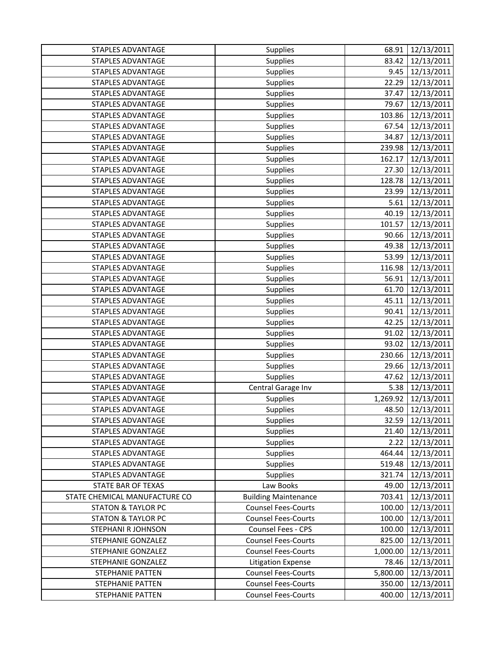| STAPLES ADVANTAGE             | Supplies                    | 68.91    | 12/13/2011       |
|-------------------------------|-----------------------------|----------|------------------|
| <b>STAPLES ADVANTAGE</b>      | Supplies                    | 83.42    | 12/13/2011       |
| STAPLES ADVANTAGE             | Supplies                    | 9.45     | 12/13/2011       |
| <b>STAPLES ADVANTAGE</b>      | Supplies                    | 22.29    | 12/13/2011       |
| <b>STAPLES ADVANTAGE</b>      | Supplies                    | 37.47    | 12/13/2011       |
| <b>STAPLES ADVANTAGE</b>      | Supplies                    | 79.67    | 12/13/2011       |
| STAPLES ADVANTAGE             | Supplies                    | 103.86   | 12/13/2011       |
| <b>STAPLES ADVANTAGE</b>      | Supplies                    | 67.54    | 12/13/2011       |
| <b>STAPLES ADVANTAGE</b>      | Supplies                    | 34.87    | 12/13/2011       |
| <b>STAPLES ADVANTAGE</b>      | Supplies                    | 239.98   | 12/13/2011       |
| <b>STAPLES ADVANTAGE</b>      | Supplies                    | 162.17   | 12/13/2011       |
| <b>STAPLES ADVANTAGE</b>      | Supplies                    | 27.30    | 12/13/2011       |
| STAPLES ADVANTAGE             | Supplies                    | 128.78   | 12/13/2011       |
| STAPLES ADVANTAGE             | Supplies                    | 23.99    | 12/13/2011       |
| STAPLES ADVANTAGE             | Supplies                    | 5.61     | 12/13/2011       |
| <b>STAPLES ADVANTAGE</b>      | Supplies                    | 40.19    | 12/13/2011       |
| <b>STAPLES ADVANTAGE</b>      | Supplies                    | 101.57   | 12/13/2011       |
| <b>STAPLES ADVANTAGE</b>      | Supplies                    | 90.66    | 12/13/2011       |
| STAPLES ADVANTAGE             | Supplies                    | 49.38    | 12/13/2011       |
| STAPLES ADVANTAGE             | Supplies                    | 53.99    | 12/13/2011       |
| <b>STAPLES ADVANTAGE</b>      | Supplies                    | 116.98   | 12/13/2011       |
| STAPLES ADVANTAGE             | Supplies                    | 56.91    | 12/13/2011       |
| STAPLES ADVANTAGE             | Supplies                    | 61.70    | 12/13/2011       |
| STAPLES ADVANTAGE             | Supplies                    | 45.11    | 12/13/2011       |
| <b>STAPLES ADVANTAGE</b>      | Supplies                    | 90.41    | 12/13/2011       |
| <b>STAPLES ADVANTAGE</b>      | Supplies                    | 42.25    | 12/13/2011       |
| <b>STAPLES ADVANTAGE</b>      | Supplies                    | 91.02    | 12/13/2011       |
| STAPLES ADVANTAGE             | Supplies                    | 93.02    | 12/13/2011       |
| STAPLES ADVANTAGE             | Supplies                    | 230.66   | 12/13/2011       |
| <b>STAPLES ADVANTAGE</b>      | Supplies                    | 29.66    | 12/13/2011       |
| STAPLES ADVANTAGE             | Supplies                    | 47.62    | 12/13/2011       |
| STAPLES ADVANTAGE             | Central Garage Inv          | 5.38     | 12/13/2011       |
| <b>STAPLES ADVANTAGE</b>      | Supplies                    | 1,269.92 | 12/13/2011       |
| <b>STAPLES ADVANTAGE</b>      | Supplies                    |          | 48.50 12/13/2011 |
| STAPLES ADVANTAGE             | <b>Supplies</b>             | 32.59    | 12/13/2011       |
| <b>STAPLES ADVANTAGE</b>      | Supplies                    | 21.40    | 12/13/2011       |
| STAPLES ADVANTAGE             | Supplies                    | 2.22     | 12/13/2011       |
| STAPLES ADVANTAGE             | Supplies                    | 464.44   | 12/13/2011       |
| STAPLES ADVANTAGE             | Supplies                    | 519.48   | 12/13/2011       |
| <b>STAPLES ADVANTAGE</b>      | Supplies                    | 321.74   | 12/13/2011       |
| STATE BAR OF TEXAS            | Law Books                   | 49.00    | 12/13/2011       |
| STATE CHEMICAL MANUFACTURE CO | <b>Building Maintenance</b> | 703.41   | 12/13/2011       |
| <b>STATON &amp; TAYLOR PC</b> | <b>Counsel Fees-Courts</b>  | 100.00   | 12/13/2011       |
| <b>STATON &amp; TAYLOR PC</b> | <b>Counsel Fees-Courts</b>  | 100.00   | 12/13/2011       |
| STEPHANI R JOHNSON            | Counsel Fees - CPS          | 100.00   | 12/13/2011       |
| STEPHANIE GONZALEZ            | <b>Counsel Fees-Courts</b>  | 825.00   | 12/13/2011       |
| STEPHANIE GONZALEZ            | <b>Counsel Fees-Courts</b>  | 1,000.00 | 12/13/2011       |
| STEPHANIE GONZALEZ            | <b>Litigation Expense</b>   | 78.46    | 12/13/2011       |
| <b>STEPHANIE PATTEN</b>       | <b>Counsel Fees-Courts</b>  | 5,800.00 | 12/13/2011       |
| STEPHANIE PATTEN              | <b>Counsel Fees-Courts</b>  | 350.00   | 12/13/2011       |
| STEPHANIE PATTEN              | <b>Counsel Fees-Courts</b>  | 400.00   | 12/13/2011       |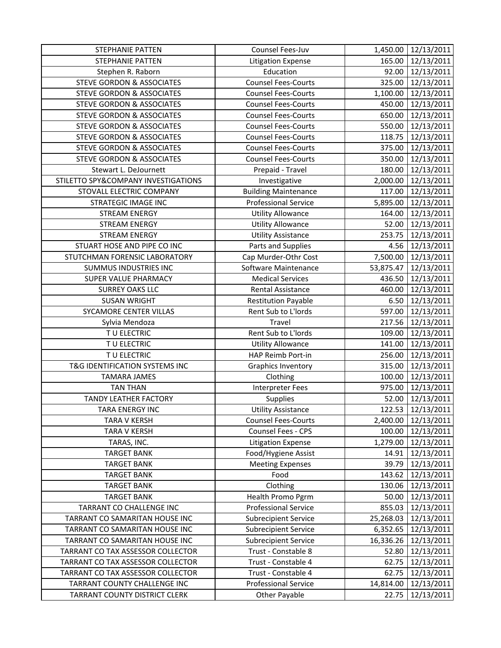| STEPHANIE PATTEN                     | Counsel Fees-Juv            | 1,450.00  | 12/13/2011        |
|--------------------------------------|-----------------------------|-----------|-------------------|
| <b>STEPHANIE PATTEN</b>              | <b>Litigation Expense</b>   | 165.00    | 12/13/2011        |
| Stephen R. Raborn                    | Education                   | 92.00     | 12/13/2011        |
| <b>STEVE GORDON &amp; ASSOCIATES</b> | <b>Counsel Fees-Courts</b>  | 325.00    | 12/13/2011        |
| <b>STEVE GORDON &amp; ASSOCIATES</b> | <b>Counsel Fees-Courts</b>  | 1,100.00  | 12/13/2011        |
| <b>STEVE GORDON &amp; ASSOCIATES</b> | <b>Counsel Fees-Courts</b>  | 450.00    | 12/13/2011        |
| <b>STEVE GORDON &amp; ASSOCIATES</b> | <b>Counsel Fees-Courts</b>  | 650.00    | 12/13/2011        |
| <b>STEVE GORDON &amp; ASSOCIATES</b> | <b>Counsel Fees-Courts</b>  | 550.00    | 12/13/2011        |
| <b>STEVE GORDON &amp; ASSOCIATES</b> | <b>Counsel Fees-Courts</b>  | 118.75    | 12/13/2011        |
| <b>STEVE GORDON &amp; ASSOCIATES</b> | <b>Counsel Fees-Courts</b>  | 375.00    | 12/13/2011        |
| <b>STEVE GORDON &amp; ASSOCIATES</b> | <b>Counsel Fees-Courts</b>  | 350.00    | 12/13/2011        |
| Stewart L. DeJournett                | Prepaid - Travel            | 180.00    | 12/13/2011        |
| STILETTO SPY&COMPANY INVESTIGATIONS  | Investigative               | 2,000.00  | 12/13/2011        |
| STOVALL ELECTRIC COMPANY             | <b>Building Maintenance</b> | 117.00    | 12/13/2011        |
| <b>STRATEGIC IMAGE INC</b>           | <b>Professional Service</b> | 5,895.00  | 12/13/2011        |
| <b>STREAM ENERGY</b>                 | <b>Utility Allowance</b>    | 164.00    | 12/13/2011        |
| <b>STREAM ENERGY</b>                 | <b>Utility Allowance</b>    | 52.00     | 12/13/2011        |
| <b>STREAM ENERGY</b>                 | <b>Utility Assistance</b>   | 253.75    | 12/13/2011        |
| STUART HOSE AND PIPE CO INC          | Parts and Supplies          | 4.56      | 12/13/2011        |
| STUTCHMAN FORENSIC LABORATORY        | Cap Murder-Othr Cost        | 7,500.00  | 12/13/2011        |
| <b>SUMMUS INDUSTRIES INC</b>         | Software Maintenance        | 53,875.47 | 12/13/2011        |
| SUPER VALUE PHARMACY                 | <b>Medical Services</b>     | 436.50    | 12/13/2011        |
| <b>SURREY OAKS LLC</b>               | Rental Assistance           | 460.00    | 12/13/2011        |
| <b>SUSAN WRIGHT</b>                  | <b>Restitution Payable</b>  | 6.50      | 12/13/2011        |
| SYCAMORE CENTER VILLAS               | Rent Sub to L'Iords         | 597.00    | 12/13/2011        |
| Sylvia Mendoza                       | Travel                      | 217.56    | 12/13/2011        |
| TU ELECTRIC                          | Rent Sub to L'Iords         | 109.00    | 12/13/2011        |
| TU ELECTRIC                          | <b>Utility Allowance</b>    | 141.00    | 12/13/2011        |
| TU ELECTRIC                          | HAP Reimb Port-in           | 256.00    | 12/13/2011        |
| T&G IDENTIFICATION SYSTEMS INC       | <b>Graphics Inventory</b>   | 315.00    | 12/13/2011        |
| <b>TAMARA JAMES</b>                  | Clothing                    | 100.00    | 12/13/2011        |
| <b>TAN THAN</b>                      | <b>Interpreter Fees</b>     | 975.00    | 12/13/2011        |
| <b>TANDY LEATHER FACTORY</b>         | Supplies                    | 52.00     | 12/13/2011        |
| TARA ENERGY INC                      | <b>Utility Assistance</b>   |           | 122.53 12/13/2011 |
| <b>TARA V KERSH</b>                  | <b>Counsel Fees-Courts</b>  | 2,400.00  | 12/13/2011        |
| <b>TARA V KERSH</b>                  | Counsel Fees - CPS          | 100.00    | 12/13/2011        |
| TARAS, INC.                          | <b>Litigation Expense</b>   | 1,279.00  | 12/13/2011        |
| <b>TARGET BANK</b>                   | Food/Hygiene Assist         | 14.91     | 12/13/2011        |
| <b>TARGET BANK</b>                   | <b>Meeting Expenses</b>     | 39.79     | 12/13/2011        |
| <b>TARGET BANK</b>                   | Food                        | 143.62    | 12/13/2011        |
| <b>TARGET BANK</b>                   | Clothing                    | 130.06    | 12/13/2011        |
| <b>TARGET BANK</b>                   | Health Promo Pgrm           | 50.00     | 12/13/2011        |
| TARRANT CO CHALLENGE INC             | <b>Professional Service</b> | 855.03    | 12/13/2011        |
| TARRANT CO SAMARITAN HOUSE INC       | <b>Subrecipient Service</b> | 25,268.03 | 12/13/2011        |
| TARRANT CO SAMARITAN HOUSE INC       | <b>Subrecipient Service</b> | 6,352.65  | 12/13/2011        |
| TARRANT CO SAMARITAN HOUSE INC       | <b>Subrecipient Service</b> | 16,336.26 | 12/13/2011        |
| TARRANT CO TAX ASSESSOR COLLECTOR    | Trust - Constable 8         | 52.80     | 12/13/2011        |
| TARRANT CO TAX ASSESSOR COLLECTOR    | Trust - Constable 4         | 62.75     | 12/13/2011        |
| TARRANT CO TAX ASSESSOR COLLECTOR    | Trust - Constable 4         | 62.75     | 12/13/2011        |
| TARRANT COUNTY CHALLENGE INC         | <b>Professional Service</b> | 14,814.00 | 12/13/2011        |
| TARRANT COUNTY DISTRICT CLERK        | Other Payable               | 22.75     | 12/13/2011        |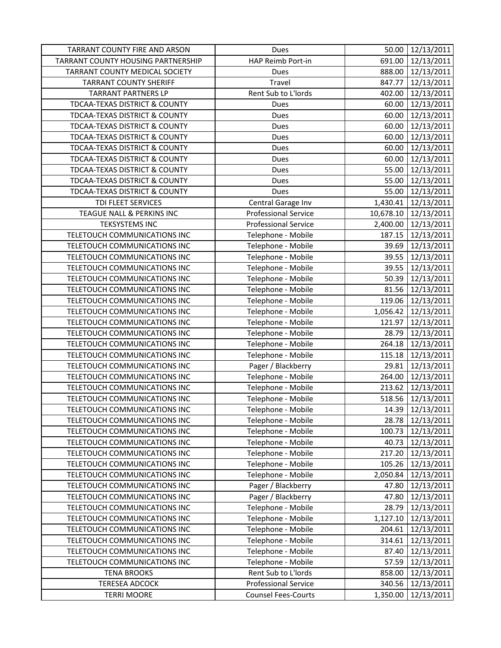| TARRANT COUNTY FIRE AND ARSON      | Dues                        | 50.00     | 12/13/2011       |
|------------------------------------|-----------------------------|-----------|------------------|
| TARRANT COUNTY HOUSING PARTNERSHIP | HAP Reimb Port-in           | 691.00    | 12/13/2011       |
| TARRANT COUNTY MEDICAL SOCIETY     | Dues                        | 888.00    | 12/13/2011       |
| <b>TARRANT COUNTY SHERIFF</b>      | Travel                      | 847.77    | 12/13/2011       |
| <b>TARRANT PARTNERS LP</b>         | Rent Sub to L'Iords         | 402.00    | 12/13/2011       |
| TDCAA-TEXAS DISTRICT & COUNTY      | Dues                        | 60.00     | 12/13/2011       |
| TDCAA-TEXAS DISTRICT & COUNTY      | Dues                        | 60.00     | 12/13/2011       |
| TDCAA-TEXAS DISTRICT & COUNTY      | Dues                        | 60.00     | 12/13/2011       |
| TDCAA-TEXAS DISTRICT & COUNTY      | Dues                        | 60.00     | 12/13/2011       |
| TDCAA-TEXAS DISTRICT & COUNTY      | Dues                        | 60.00     | 12/13/2011       |
| TDCAA-TEXAS DISTRICT & COUNTY      | Dues                        | 60.00     | 12/13/2011       |
| TDCAA-TEXAS DISTRICT & COUNTY      | Dues                        | 55.00     | 12/13/2011       |
| TDCAA-TEXAS DISTRICT & COUNTY      | Dues                        | 55.00     | 12/13/2011       |
| TDCAA-TEXAS DISTRICT & COUNTY      | Dues                        | 55.00     | 12/13/2011       |
| TDI FLEET SERVICES                 | Central Garage Inv          | 1,430.41  | 12/13/2011       |
| TEAGUE NALL & PERKINS INC          | <b>Professional Service</b> | 10,678.10 | 12/13/2011       |
| <b>TEKSYSTEMS INC</b>              | <b>Professional Service</b> | 2,400.00  | 12/13/2011       |
| TELETOUCH COMMUNICATIONS INC       | Telephone - Mobile          | 187.15    | 12/13/2011       |
| TELETOUCH COMMUNICATIONS INC       | Telephone - Mobile          | 39.69     | 12/13/2011       |
| TELETOUCH COMMUNICATIONS INC       | Telephone - Mobile          | 39.55     | 12/13/2011       |
| TELETOUCH COMMUNICATIONS INC       | Telephone - Mobile          | 39.55     | 12/13/2011       |
| TELETOUCH COMMUNICATIONS INC       | Telephone - Mobile          | 50.39     | 12/13/2011       |
| TELETOUCH COMMUNICATIONS INC       | Telephone - Mobile          | 81.56     | 12/13/2011       |
| TELETOUCH COMMUNICATIONS INC       | Telephone - Mobile          | 119.06    | 12/13/2011       |
| TELETOUCH COMMUNICATIONS INC       | Telephone - Mobile          | 1,056.42  | 12/13/2011       |
| TELETOUCH COMMUNICATIONS INC       | Telephone - Mobile          | 121.97    | 12/13/2011       |
| TELETOUCH COMMUNICATIONS INC       | Telephone - Mobile          | 28.79     | 12/13/2011       |
| TELETOUCH COMMUNICATIONS INC       | Telephone - Mobile          | 264.18    | 12/13/2011       |
| TELETOUCH COMMUNICATIONS INC       | Telephone - Mobile          | 115.18    | 12/13/2011       |
| TELETOUCH COMMUNICATIONS INC       | Pager / Blackberry          | 29.81     | 12/13/2011       |
| TELETOUCH COMMUNICATIONS INC       | Telephone - Mobile          | 264.00    | 12/13/2011       |
| TELETOUCH COMMUNICATIONS INC       | Telephone - Mobile          | 213.62    | 12/13/2011       |
| TELETOUCH COMMUNICATIONS INC       | Telephone - Mobile          | 518.56    | 12/13/2011       |
| TELETOUCH COMMUNICATIONS INC       | Telephone - Mobile          |           | 14.39 12/13/2011 |
| TELETOUCH COMMUNICATIONS INC       | Telephone - Mobile          | 28.78     | 12/13/2011       |
| TELETOUCH COMMUNICATIONS INC       | Telephone - Mobile          | 100.73    | 12/13/2011       |
| TELETOUCH COMMUNICATIONS INC       | Telephone - Mobile          | 40.73     | 12/13/2011       |
| TELETOUCH COMMUNICATIONS INC       | Telephone - Mobile          | 217.20    | 12/13/2011       |
| TELETOUCH COMMUNICATIONS INC       | Telephone - Mobile          | 105.26    | 12/13/2011       |
| TELETOUCH COMMUNICATIONS INC       | Telephone - Mobile          | 2,050.84  | 12/13/2011       |
| TELETOUCH COMMUNICATIONS INC       | Pager / Blackberry          | 47.80     | 12/13/2011       |
| TELETOUCH COMMUNICATIONS INC       | Pager / Blackberry          | 47.80     | 12/13/2011       |
| TELETOUCH COMMUNICATIONS INC       | Telephone - Mobile          | 28.79     | 12/13/2011       |
| TELETOUCH COMMUNICATIONS INC       | Telephone - Mobile          | 1,127.10  | 12/13/2011       |
| TELETOUCH COMMUNICATIONS INC       | Telephone - Mobile          | 204.61    | 12/13/2011       |
| TELETOUCH COMMUNICATIONS INC       | Telephone - Mobile          | 314.61    | 12/13/2011       |
| TELETOUCH COMMUNICATIONS INC       | Telephone - Mobile          | 87.40     | 12/13/2011       |
| TELETOUCH COMMUNICATIONS INC       | Telephone - Mobile          | 57.59     | 12/13/2011       |
| <b>TENA BROOKS</b>                 | Rent Sub to L'Iords         | 858.00    | 12/13/2011       |
| <b>TERESEA ADCOCK</b>              | <b>Professional Service</b> | 340.56    | 12/13/2011       |
| <b>TERRI MOORE</b>                 | <b>Counsel Fees-Courts</b>  | 1,350.00  | 12/13/2011       |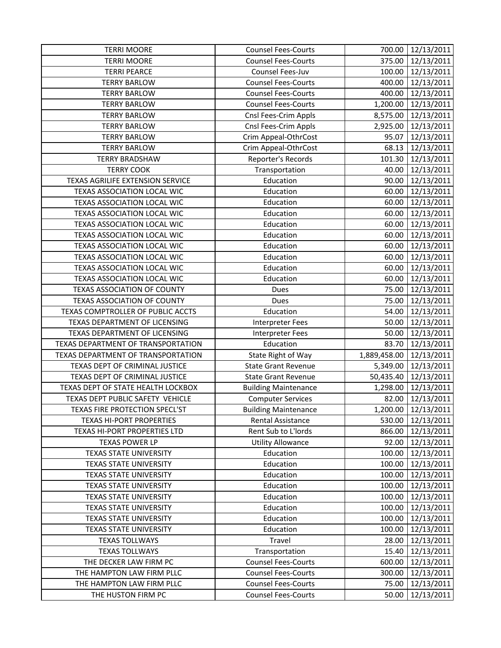| <b>TERRI MOORE</b>                 | <b>Counsel Fees-Courts</b>  | 700.00       | 12/13/2011          |
|------------------------------------|-----------------------------|--------------|---------------------|
| <b>TERRI MOORE</b>                 | <b>Counsel Fees-Courts</b>  | 375.00       | 12/13/2011          |
| <b>TERRI PEARCE</b>                | Counsel Fees-Juv            | 100.00       | 12/13/2011          |
| <b>TERRY BARLOW</b>                | <b>Counsel Fees-Courts</b>  | 400.00       | 12/13/2011          |
| <b>TERRY BARLOW</b>                | <b>Counsel Fees-Courts</b>  | 400.00       | 12/13/2011          |
| <b>TERRY BARLOW</b>                | <b>Counsel Fees-Courts</b>  | 1,200.00     | 12/13/2011          |
| <b>TERRY BARLOW</b>                | Cnsl Fees-Crim Appls        | 8,575.00     | 12/13/2011          |
| <b>TERRY BARLOW</b>                | Cnsl Fees-Crim Appls        | 2,925.00     | 12/13/2011          |
| <b>TERRY BARLOW</b>                | Crim Appeal-OthrCost        | 95.07        | 12/13/2011          |
| <b>TERRY BARLOW</b>                | Crim Appeal-OthrCost        | 68.13        | 12/13/2011          |
| <b>TERRY BRADSHAW</b>              | Reporter's Records          | 101.30       | 12/13/2011          |
| <b>TERRY COOK</b>                  | Transportation              | 40.00        | 12/13/2011          |
| TEXAS AGRILIFE EXTENSION SERVICE   | Education                   | 90.00        | 12/13/2011          |
| TEXAS ASSOCIATION LOCAL WIC        | Education                   | 60.00        | 12/13/2011          |
| TEXAS ASSOCIATION LOCAL WIC        | Education                   | 60.00        | 12/13/2011          |
| TEXAS ASSOCIATION LOCAL WIC        | Education                   | 60.00        | 12/13/2011          |
| <b>TEXAS ASSOCIATION LOCAL WIC</b> | Education                   | 60.00        | 12/13/2011          |
| TEXAS ASSOCIATION LOCAL WIC        | Education                   | 60.00        | 12/13/2011          |
| TEXAS ASSOCIATION LOCAL WIC        | Education                   | 60.00        | 12/13/2011          |
| TEXAS ASSOCIATION LOCAL WIC        | Education                   | 60.00        | 12/13/2011          |
| TEXAS ASSOCIATION LOCAL WIC        | Education                   | 60.00        | 12/13/2011          |
| TEXAS ASSOCIATION LOCAL WIC        | Education                   | 60.00        | 12/13/2011          |
| <b>TEXAS ASSOCIATION OF COUNTY</b> | Dues                        | 75.00        | 12/13/2011          |
| TEXAS ASSOCIATION OF COUNTY        | Dues                        | 75.00        | 12/13/2011          |
| TEXAS COMPTROLLER OF PUBLIC ACCTS  | Education                   | 54.00        | 12/13/2011          |
| TEXAS DEPARTMENT OF LICENSING      | Interpreter Fees            | 50.00        | 12/13/2011          |
| TEXAS DEPARTMENT OF LICENSING      | <b>Interpreter Fees</b>     | 50.00        | 12/13/2011          |
| TEXAS DEPARTMENT OF TRANSPORTATION | Education                   | 83.70        | 12/13/2011          |
| TEXAS DEPARTMENT OF TRANSPORTATION | State Right of Way          | 1,889,458.00 | 12/13/2011          |
| TEXAS DEPT OF CRIMINAL JUSTICE     | <b>State Grant Revenue</b>  | 5,349.00     | 12/13/2011          |
| TEXAS DEPT OF CRIMINAL JUSTICE     | <b>State Grant Revenue</b>  | 50,435.40    | 12/13/2011          |
| TEXAS DEPT OF STATE HEALTH LOCKBOX | <b>Building Maintenance</b> | 1,298.00     | 12/13/2011          |
| TEXAS DEPT PUBLIC SAFETY VEHICLE   | <b>Computer Services</b>    | 82.00        | 12/13/2011          |
| TEXAS FIRE PROTECTION SPECL'ST     | <b>Building Maintenance</b> |              | 1,200.00 12/13/2011 |
| <b>TEXAS HI-PORT PROPERTIES</b>    | Rental Assistance           | 530.00       | 12/13/2011          |
| TEXAS HI-PORT PROPERTIES LTD       | Rent Sub to L'Iords         | 866.00       | 12/13/2011          |
| <b>TEXAS POWER LP</b>              | <b>Utility Allowance</b>    | 92.00        | 12/13/2011          |
| TEXAS STATE UNIVERSITY             | Education                   | 100.00       | 12/13/2011          |
| TEXAS STATE UNIVERSITY             | Education                   | 100.00       | 12/13/2011          |
| <b>TEXAS STATE UNIVERSITY</b>      | Education                   | 100.00       | 12/13/2011          |
| <b>TEXAS STATE UNIVERSITY</b>      | Education                   | 100.00       | 12/13/2011          |
| <b>TEXAS STATE UNIVERSITY</b>      | Education                   | 100.00       | 12/13/2011          |
| <b>TEXAS STATE UNIVERSITY</b>      | Education                   | 100.00       | 12/13/2011          |
| <b>TEXAS STATE UNIVERSITY</b>      | Education                   | 100.00       | 12/13/2011          |
| <b>TEXAS STATE UNIVERSITY</b>      | Education                   | 100.00       | 12/13/2011          |
| <b>TEXAS TOLLWAYS</b>              | Travel                      | 28.00        | 12/13/2011          |
| <b>TEXAS TOLLWAYS</b>              | Transportation              | 15.40        | 12/13/2011          |
| THE DECKER LAW FIRM PC             | <b>Counsel Fees-Courts</b>  | 600.00       | 12/13/2011          |
| THE HAMPTON LAW FIRM PLLC          | <b>Counsel Fees-Courts</b>  | 300.00       | 12/13/2011          |
| THE HAMPTON LAW FIRM PLLC          | <b>Counsel Fees-Courts</b>  | 75.00        | 12/13/2011          |
| THE HUSTON FIRM PC                 | <b>Counsel Fees-Courts</b>  | 50.00        | 12/13/2011          |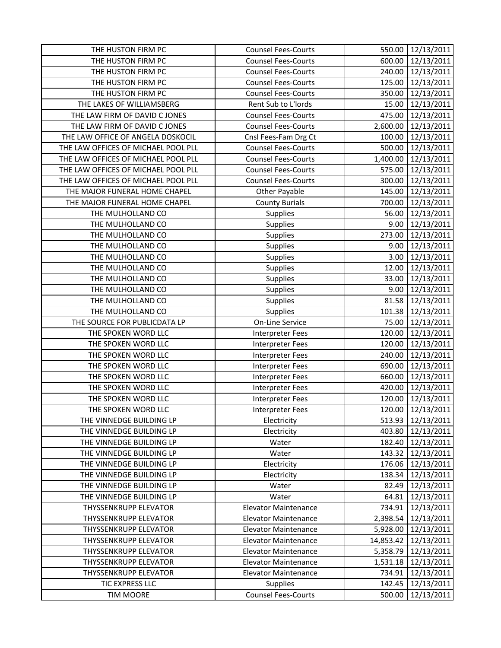| THE HUSTON FIRM PC                  | <b>Counsel Fees-Courts</b>  | 550.00    | 12/13/2011 |
|-------------------------------------|-----------------------------|-----------|------------|
| THE HUSTON FIRM PC                  | <b>Counsel Fees-Courts</b>  | 600.00    | 12/13/2011 |
| THE HUSTON FIRM PC                  | <b>Counsel Fees-Courts</b>  | 240.00    | 12/13/2011 |
| THE HUSTON FIRM PC                  | <b>Counsel Fees-Courts</b>  | 125.00    | 12/13/2011 |
| THE HUSTON FIRM PC                  | <b>Counsel Fees-Courts</b>  | 350.00    | 12/13/2011 |
| THE LAKES OF WILLIAMSBERG           | Rent Sub to L'Iords         | 15.00     | 12/13/2011 |
| THE LAW FIRM OF DAVID C JONES       | <b>Counsel Fees-Courts</b>  | 475.00    | 12/13/2011 |
| THE LAW FIRM OF DAVID C JONES       | <b>Counsel Fees-Courts</b>  | 2,600.00  | 12/13/2011 |
| THE LAW OFFICE OF ANGELA DOSKOCIL   | Cnsl Fees-Fam Drg Ct        | 100.00    | 12/13/2011 |
| THE LAW OFFICES OF MICHAEL POOL PLL | <b>Counsel Fees-Courts</b>  | 500.00    | 12/13/2011 |
| THE LAW OFFICES OF MICHAEL POOL PLL | <b>Counsel Fees-Courts</b>  | 1,400.00  | 12/13/2011 |
| THE LAW OFFICES OF MICHAEL POOL PLL | <b>Counsel Fees-Courts</b>  | 575.00    | 12/13/2011 |
| THE LAW OFFICES OF MICHAEL POOL PLL | <b>Counsel Fees-Courts</b>  | 300.00    | 12/13/2011 |
| THE MAJOR FUNERAL HOME CHAPEL       | Other Payable               | 145.00    | 12/13/2011 |
| THE MAJOR FUNERAL HOME CHAPEL       | <b>County Burials</b>       | 700.00    | 12/13/2011 |
| THE MULHOLLAND CO                   | Supplies                    | 56.00     | 12/13/2011 |
| THE MULHOLLAND CO                   | Supplies                    | 9.00      | 12/13/2011 |
| THE MULHOLLAND CO                   | Supplies                    | 273.00    | 12/13/2011 |
| THE MULHOLLAND CO                   | Supplies                    | 9.00      | 12/13/2011 |
| THE MULHOLLAND CO                   | Supplies                    | 3.00      | 12/13/2011 |
| THE MULHOLLAND CO                   | Supplies                    | 12.00     | 12/13/2011 |
| THE MULHOLLAND CO                   | Supplies                    | 33.00     | 12/13/2011 |
| THE MULHOLLAND CO                   | Supplies                    | 9.00      | 12/13/2011 |
| THE MULHOLLAND CO                   | Supplies                    | 81.58     | 12/13/2011 |
| THE MULHOLLAND CO                   | Supplies                    | 101.38    | 12/13/2011 |
| THE SOURCE FOR PUBLICDATA LP        | On-Line Service             | 75.00     | 12/13/2011 |
| THE SPOKEN WORD LLC                 | Interpreter Fees            | 120.00    | 12/13/2011 |
| THE SPOKEN WORD LLC                 | Interpreter Fees            | 120.00    | 12/13/2011 |
| THE SPOKEN WORD LLC                 | Interpreter Fees            | 240.00    | 12/13/2011 |
| THE SPOKEN WORD LLC                 | <b>Interpreter Fees</b>     | 690.00    | 12/13/2011 |
| THE SPOKEN WORD LLC                 | Interpreter Fees            | 660.00    | 12/13/2011 |
| THE SPOKEN WORD LLC                 | <b>Interpreter Fees</b>     | 420.00    | 12/13/2011 |
| THE SPOKEN WORD LLC                 | Interpreter Fees            | 120.00    | 12/13/2011 |
| THE SPOKEN WORD LLC                 | Interpreter Fees            | 120.00    | 12/13/2011 |
| THE VINNEDGE BUILDING LP            | Electricity                 | 513.93    | 12/13/2011 |
| THE VINNEDGE BUILDING LP            | Electricity                 | 403.80    | 12/13/2011 |
| THE VINNEDGE BUILDING LP            | Water                       | 182.40    | 12/13/2011 |
| THE VINNEDGE BUILDING LP            | Water                       | 143.32    | 12/13/2011 |
| THE VINNEDGE BUILDING LP            | Electricity                 | 176.06    | 12/13/2011 |
| THE VINNEDGE BUILDING LP            | Electricity                 | 138.34    | 12/13/2011 |
| THE VINNEDGE BUILDING LP            | Water                       | 82.49     | 12/13/2011 |
| THE VINNEDGE BUILDING LP            | Water                       | 64.81     | 12/13/2011 |
| THYSSENKRUPP ELEVATOR               | <b>Elevator Maintenance</b> | 734.91    | 12/13/2011 |
| THYSSENKRUPP ELEVATOR               | <b>Elevator Maintenance</b> | 2,398.54  | 12/13/2011 |
| THYSSENKRUPP ELEVATOR               | <b>Elevator Maintenance</b> | 5,928.00  | 12/13/2011 |
| THYSSENKRUPP ELEVATOR               | <b>Elevator Maintenance</b> | 14,853.42 | 12/13/2011 |
| THYSSENKRUPP ELEVATOR               | <b>Elevator Maintenance</b> | 5,358.79  | 12/13/2011 |
| <b>THYSSENKRUPP ELEVATOR</b>        | <b>Elevator Maintenance</b> | 1,531.18  | 12/13/2011 |
| THYSSENKRUPP ELEVATOR               | <b>Elevator Maintenance</b> | 734.91    | 12/13/2011 |
| TIC EXPRESS LLC                     | <b>Supplies</b>             | 142.45    | 12/13/2011 |
| <b>TIM MOORE</b>                    | <b>Counsel Fees-Courts</b>  | 500.00    | 12/13/2011 |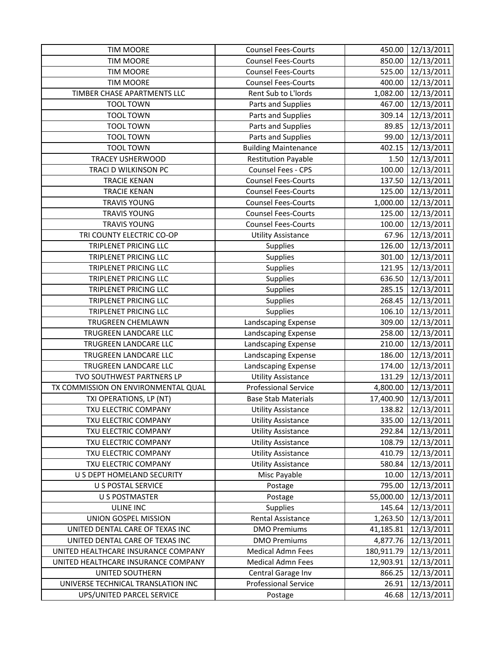| <b>TIM MOORE</b>                    | <b>Counsel Fees-Courts</b>  | 450.00     | 12/13/2011        |
|-------------------------------------|-----------------------------|------------|-------------------|
| <b>TIM MOORE</b>                    | <b>Counsel Fees-Courts</b>  | 850.00     | 12/13/2011        |
| <b>TIM MOORE</b>                    | <b>Counsel Fees-Courts</b>  | 525.00     | 12/13/2011        |
| <b>TIM MOORE</b>                    | <b>Counsel Fees-Courts</b>  | 400.00     | 12/13/2011        |
| TIMBER CHASE APARTMENTS LLC         | Rent Sub to L'Iords         | 1,082.00   | 12/13/2011        |
| <b>TOOL TOWN</b>                    | Parts and Supplies          | 467.00     | 12/13/2011        |
| <b>TOOL TOWN</b>                    | Parts and Supplies          | 309.14     | 12/13/2011        |
| <b>TOOL TOWN</b>                    | Parts and Supplies          | 89.85      | 12/13/2011        |
| <b>TOOL TOWN</b>                    | Parts and Supplies          | 99.00      | 12/13/2011        |
| <b>TOOL TOWN</b>                    | <b>Building Maintenance</b> | 402.15     | 12/13/2011        |
| <b>TRACEY USHERWOOD</b>             | <b>Restitution Payable</b>  | 1.50       | 12/13/2011        |
| TRACI D WILKINSON PC                | Counsel Fees - CPS          | 100.00     | 12/13/2011        |
| <b>TRACIE KENAN</b>                 | <b>Counsel Fees-Courts</b>  | 137.50     | 12/13/2011        |
| <b>TRACIE KENAN</b>                 | <b>Counsel Fees-Courts</b>  | 125.00     | 12/13/2011        |
| <b>TRAVIS YOUNG</b>                 | <b>Counsel Fees-Courts</b>  | 1,000.00   | 12/13/2011        |
| <b>TRAVIS YOUNG</b>                 | <b>Counsel Fees-Courts</b>  | 125.00     | 12/13/2011        |
| <b>TRAVIS YOUNG</b>                 | <b>Counsel Fees-Courts</b>  | 100.00     | 12/13/2011        |
| TRI COUNTY ELECTRIC CO-OP           | <b>Utility Assistance</b>   | 67.96      | 12/13/2011        |
| TRIPLENET PRICING LLC               | Supplies                    | 126.00     | 12/13/2011        |
| TRIPLENET PRICING LLC               | <b>Supplies</b>             | 301.00     | 12/13/2011        |
| TRIPLENET PRICING LLC               | Supplies                    | 121.95     | 12/13/2011        |
| <b>TRIPLENET PRICING LLC</b>        | Supplies                    | 636.50     | 12/13/2011        |
| TRIPLENET PRICING LLC               | Supplies                    | 285.15     | 12/13/2011        |
| TRIPLENET PRICING LLC               | Supplies                    | 268.45     | 12/13/2011        |
| TRIPLENET PRICING LLC               | Supplies                    | 106.10     | 12/13/2011        |
| <b>TRUGREEN CHEMLAWN</b>            | Landscaping Expense         | 309.00     | 12/13/2011        |
| TRUGREEN LANDCARE LLC               | Landscaping Expense         | 258.00     | 12/13/2011        |
| TRUGREEN LANDCARE LLC               | Landscaping Expense         | 210.00     | 12/13/2011        |
| TRUGREEN LANDCARE LLC               | Landscaping Expense         | 186.00     | 12/13/2011        |
| TRUGREEN LANDCARE LLC               | Landscaping Expense         | 174.00     | 12/13/2011        |
| TVO SOUTHWEST PARTNERS LP           | <b>Utility Assistance</b>   | 131.29     | 12/13/2011        |
| TX COMMISSION ON ENVIRONMENTAL QUAL | <b>Professional Service</b> | 4,800.00   | 12/13/2011        |
| TXI OPERATIONS, LP (NT)             | <b>Base Stab Materials</b>  | 17,400.90  | 12/13/2011        |
| TXU ELECTRIC COMPANY                | <b>Utility Assistance</b>   |            | 138.82 12/13/2011 |
| TXU ELECTRIC COMPANY                | <b>Utility Assistance</b>   | 335.00     | 12/13/2011        |
| TXU ELECTRIC COMPANY                | <b>Utility Assistance</b>   | 292.84     | 12/13/2011        |
| TXU ELECTRIC COMPANY                | <b>Utility Assistance</b>   | 108.79     | 12/13/2011        |
| TXU ELECTRIC COMPANY                | <b>Utility Assistance</b>   | 410.79     | 12/13/2011        |
| TXU ELECTRIC COMPANY                | <b>Utility Assistance</b>   | 580.84     | 12/13/2011        |
| U S DEPT HOMELAND SECURITY          | Misc Payable                | 10.00      | 12/13/2011        |
| <b>U S POSTAL SERVICE</b>           | Postage                     | 795.00     | 12/13/2011        |
| <b>U S POSTMASTER</b>               | Postage                     | 55,000.00  | 12/13/2011        |
| <b>ULINE INC</b>                    | Supplies                    | 145.64     | 12/13/2011        |
| UNION GOSPEL MISSION                | Rental Assistance           | 1,263.50   | 12/13/2011        |
| UNITED DENTAL CARE OF TEXAS INC     | <b>DMO Premiums</b>         | 41,185.81  | 12/13/2011        |
| UNITED DENTAL CARE OF TEXAS INC     | <b>DMO Premiums</b>         | 4,877.76   | 12/13/2011        |
| UNITED HEALTHCARE INSURANCE COMPANY | Medical Admn Fees           | 180,911.79 | 12/13/2011        |
| UNITED HEALTHCARE INSURANCE COMPANY | <b>Medical Admn Fees</b>    | 12,903.91  | 12/13/2011        |
| UNITED SOUTHERN                     | Central Garage Inv          | 866.25     | 12/13/2011        |
| UNIVERSE TECHNICAL TRANSLATION INC  | <b>Professional Service</b> | 26.91      | 12/13/2011        |
| UPS/UNITED PARCEL SERVICE           | Postage                     | 46.68      | 12/13/2011        |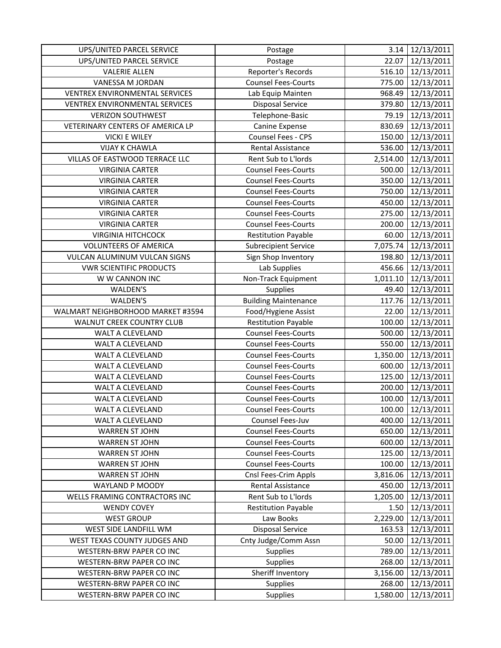| UPS/UNITED PARCEL SERVICE             | Postage                     | 3.14     | 12/13/2011        |
|---------------------------------------|-----------------------------|----------|-------------------|
| UPS/UNITED PARCEL SERVICE             | Postage                     | 22.07    | 12/13/2011        |
| <b>VALERIE ALLEN</b>                  | Reporter's Records          | 516.10   | 12/13/2011        |
| VANESSA M JORDAN                      | <b>Counsel Fees-Courts</b>  | 775.00   | 12/13/2011        |
| <b>VENTREX ENVIRONMENTAL SERVICES</b> | Lab Equip Mainten           | 968.49   | 12/13/2011        |
| VENTREX ENVIRONMENTAL SERVICES        | <b>Disposal Service</b>     | 379.80   | 12/13/2011        |
| <b>VERIZON SOUTHWEST</b>              | Telephone-Basic             | 79.19    | 12/13/2011        |
| VETERINARY CENTERS OF AMERICA LP      | Canine Expense              | 830.69   | 12/13/2011        |
| <b>VICKI E WILEY</b>                  | Counsel Fees - CPS          | 150.00   | 12/13/2011        |
| <b>VIJAY K CHAWLA</b>                 | Rental Assistance           | 536.00   | 12/13/2011        |
| VILLAS OF EASTWOOD TERRACE LLC        | Rent Sub to L'Iords         | 2,514.00 | 12/13/2011        |
| <b>VIRGINIA CARTER</b>                | <b>Counsel Fees-Courts</b>  | 500.00   | 12/13/2011        |
| <b>VIRGINIA CARTER</b>                | <b>Counsel Fees-Courts</b>  | 350.00   | 12/13/2011        |
| <b>VIRGINIA CARTER</b>                | <b>Counsel Fees-Courts</b>  | 750.00   | 12/13/2011        |
| <b>VIRGINIA CARTER</b>                | <b>Counsel Fees-Courts</b>  | 450.00   | 12/13/2011        |
| <b>VIRGINIA CARTER</b>                | <b>Counsel Fees-Courts</b>  | 275.00   | 12/13/2011        |
| <b>VIRGINIA CARTER</b>                | <b>Counsel Fees-Courts</b>  | 200.00   | 12/13/2011        |
| <b>VIRGINIA HITCHCOCK</b>             | <b>Restitution Payable</b>  | 60.00    | 12/13/2011        |
| <b>VOLUNTEERS OF AMERICA</b>          | <b>Subrecipient Service</b> | 7,075.74 | 12/13/2011        |
| VULCAN ALUMINUM VULCAN SIGNS          | Sign Shop Inventory         | 198.80   | 12/13/2011        |
| <b>VWR SCIENTIFIC PRODUCTS</b>        | Lab Supplies                | 456.66   | 12/13/2011        |
| W W CANNON INC                        | Non-Track Equipment         | 1,011.10 | 12/13/2011        |
| WALDEN'S                              | Supplies                    | 49.40    | 12/13/2011        |
| WALDEN'S                              | <b>Building Maintenance</b> | 117.76   | 12/13/2011        |
| WALMART NEIGHBORHOOD MARKET #3594     | Food/Hygiene Assist         | 22.00    | 12/13/2011        |
| WALNUT CREEK COUNTRY CLUB             | <b>Restitution Payable</b>  | 100.00   | 12/13/2011        |
| WALT A CLEVELAND                      | <b>Counsel Fees-Courts</b>  | 500.00   | 12/13/2011        |
| WALT A CLEVELAND                      | <b>Counsel Fees-Courts</b>  | 550.00   | 12/13/2011        |
| WALT A CLEVELAND                      | <b>Counsel Fees-Courts</b>  | 1,350.00 | 12/13/2011        |
| WALT A CLEVELAND                      | <b>Counsel Fees-Courts</b>  | 600.00   | 12/13/2011        |
| WALT A CLEVELAND                      | <b>Counsel Fees-Courts</b>  | 125.00   | 12/13/2011        |
| WALT A CLEVELAND                      | <b>Counsel Fees-Courts</b>  | 200.00   | 12/13/2011        |
| WALT A CLEVELAND                      | <b>Counsel Fees-Courts</b>  | 100.00   | 12/13/2011        |
| WALT A CLEVELAND                      | <b>Counsel Fees-Courts</b>  |          | 100.00 12/13/2011 |
| WALT A CLEVELAND                      | Counsel Fees-Juv            | 400.00   | 12/13/2011        |
| <b>WARREN ST JOHN</b>                 | <b>Counsel Fees-Courts</b>  | 650.00   | 12/13/2011        |
| <b>WARREN ST JOHN</b>                 | <b>Counsel Fees-Courts</b>  | 600.00   | 12/13/2011        |
| <b>WARREN ST JOHN</b>                 | <b>Counsel Fees-Courts</b>  | 125.00   | 12/13/2011        |
| <b>WARREN ST JOHN</b>                 | <b>Counsel Fees-Courts</b>  | 100.00   | 12/13/2011        |
| <b>WARREN ST JOHN</b>                 | Cnsl Fees-Crim Appls        | 3,816.06 | 12/13/2011        |
| WAYLAND P MOODY                       | Rental Assistance           | 450.00   | 12/13/2011        |
| WELLS FRAMING CONTRACTORS INC         | Rent Sub to L'Iords         | 1,205.00 | 12/13/2011        |
| <b>WENDY COVEY</b>                    | <b>Restitution Payable</b>  | 1.50     | 12/13/2011        |
| <b>WEST GROUP</b>                     | Law Books                   | 2,229.00 | 12/13/2011        |
| WEST SIDE LANDFILL WM                 | <b>Disposal Service</b>     | 163.53   | 12/13/2011        |
| WEST TEXAS COUNTY JUDGES AND          | Cnty Judge/Comm Assn        | 50.00    | 12/13/2011        |
| WESTERN-BRW PAPER CO INC              | Supplies                    | 789.00   | 12/13/2011        |
| WESTERN-BRW PAPER CO INC              | Supplies                    | 268.00   | 12/13/2011        |
| WESTERN-BRW PAPER CO INC              | Sheriff Inventory           | 3,156.00 | 12/13/2011        |
| WESTERN-BRW PAPER CO INC              | Supplies                    | 268.00   | 12/13/2011        |
| WESTERN-BRW PAPER CO INC              | Supplies                    | 1,580.00 | 12/13/2011        |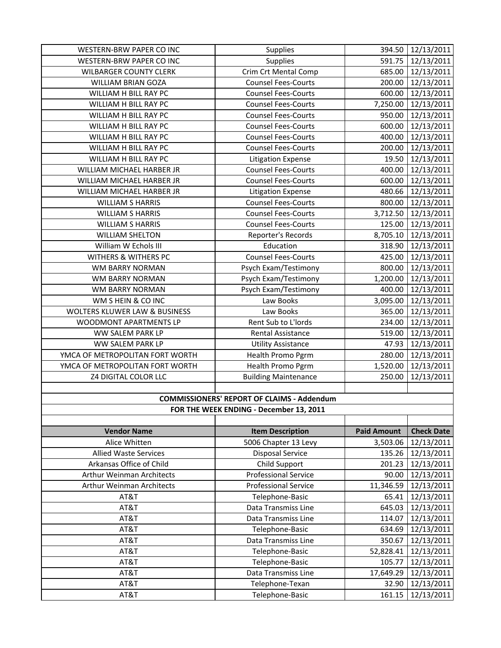| WESTERN-BRW PAPER CO INC         | Supplies                                          | 394.50             | 12/13/2011          |
|----------------------------------|---------------------------------------------------|--------------------|---------------------|
| WESTERN-BRW PAPER CO INC         | Supplies                                          | 591.75             | 12/13/2011          |
| <b>WILBARGER COUNTY CLERK</b>    | Crim Crt Mental Comp                              | 685.00             | 12/13/2011          |
| WILLIAM BRIAN GOZA               | <b>Counsel Fees-Courts</b>                        | 200.00             | 12/13/2011          |
| WILLIAM H BILL RAY PC            | <b>Counsel Fees-Courts</b>                        | 600.00             | 12/13/2011          |
| WILLIAM H BILL RAY PC            | <b>Counsel Fees-Courts</b>                        | 7,250.00           | 12/13/2011          |
| WILLIAM H BILL RAY PC            | <b>Counsel Fees-Courts</b>                        | 950.00             | 12/13/2011          |
| WILLIAM H BILL RAY PC            | <b>Counsel Fees-Courts</b>                        | 600.00             | 12/13/2011          |
| WILLIAM H BILL RAY PC            | <b>Counsel Fees-Courts</b>                        | 400.00             | 12/13/2011          |
| WILLIAM H BILL RAY PC            | <b>Counsel Fees-Courts</b>                        | 200.00             | 12/13/2011          |
| WILLIAM H BILL RAY PC            | <b>Litigation Expense</b>                         | 19.50              | 12/13/2011          |
| WILLIAM MICHAEL HARBER JR        | <b>Counsel Fees-Courts</b>                        | 400.00             | 12/13/2011          |
| WILLIAM MICHAEL HARBER JR        | <b>Counsel Fees-Courts</b>                        | 600.00             | 12/13/2011          |
| WILLIAM MICHAEL HARBER JR        | <b>Litigation Expense</b>                         | 480.66             | 12/13/2011          |
| <b>WILLIAM S HARRIS</b>          | <b>Counsel Fees-Courts</b>                        | 800.00             | 12/13/2011          |
| <b>WILLIAM S HARRIS</b>          | <b>Counsel Fees-Courts</b>                        | 3,712.50           | 12/13/2011          |
| <b>WILLIAM S HARRIS</b>          | <b>Counsel Fees-Courts</b>                        | 125.00             | 12/13/2011          |
| <b>WILLIAM SHELTON</b>           | Reporter's Records                                |                    | 8,705.10 12/13/2011 |
| William W Echols III             | Education                                         | 318.90             | 12/13/2011          |
| WITHERS & WITHERS PC             | <b>Counsel Fees-Courts</b>                        | 425.00             | 12/13/2011          |
| WM BARRY NORMAN                  | Psych Exam/Testimony                              | 800.00             | 12/13/2011          |
| WM BARRY NORMAN                  | Psych Exam/Testimony                              | 1,200.00           | 12/13/2011          |
| WM BARRY NORMAN                  | Psych Exam/Testimony                              | 400.00             | 12/13/2011          |
| WM S HEIN & CO INC               | Law Books                                         | 3,095.00           | 12/13/2011          |
| WOLTERS KLUWER LAW & BUSINESS    | Law Books                                         | 365.00             | 12/13/2011          |
| WOODMONT APARTMENTS LP           | Rent Sub to L'Iords                               | 234.00             | 12/13/2011          |
| WW SALEM PARK LP                 | Rental Assistance                                 | 519.00             | 12/13/2011          |
| WW SALEM PARK LP                 | <b>Utility Assistance</b>                         | 47.93              | 12/13/2011          |
| YMCA OF METROPOLITAN FORT WORTH  | Health Promo Pgrm                                 | 280.00             | 12/13/2011          |
| YMCA OF METROPOLITAN FORT WORTH  | <b>Health Promo Pgrm</b>                          | 1,520.00           | 12/13/2011          |
| <b>Z4 DIGITAL COLOR LLC</b>      | <b>Building Maintenance</b>                       | 250.00             | 12/13/2011          |
|                                  |                                                   |                    |                     |
|                                  | <b>COMMISSIONERS' REPORT OF CLAIMS - Addendum</b> |                    |                     |
|                                  | FOR THE WEEK ENDING - December 13, 2011           |                    |                     |
|                                  |                                                   |                    |                     |
| <b>Vendor Name</b>               | <b>Item Description</b>                           | <b>Paid Amount</b> | <b>Check Date</b>   |
| Alice Whitten                    | 5006 Chapter 13 Levy                              | 3,503.06           | 12/13/2011          |
| <b>Allied Waste Services</b>     | <b>Disposal Service</b>                           | 135.26             | 12/13/2011          |
| Arkansas Office of Child         | Child Support                                     | 201.23             | 12/13/2011          |
| Arthur Weinman Architects        | <b>Professional Service</b>                       | 90.00              | 12/13/2011          |
| <b>Arthur Weinman Architects</b> | <b>Professional Service</b>                       | 11,346.59          | 12/13/2011          |
| AT&T                             | Telephone-Basic                                   | 65.41              | 12/13/2011          |
| AT&T                             | Data Transmiss Line                               | 645.03             | 12/13/2011          |
| AT&T                             |                                                   |                    |                     |
|                                  | Data Transmiss Line                               | 114.07             | 12/13/2011          |
| AT&T                             | Telephone-Basic                                   | 634.69             | 12/13/2011          |
| AT&T                             | Data Transmiss Line                               | 350.67             | 12/13/2011          |
| AT&T                             | Telephone-Basic                                   | 52,828.41          | 12/13/2011          |
| AT&T                             | Telephone-Basic                                   | 105.77             | 12/13/2011          |
| AT&T                             | Data Transmiss Line                               | 17,649.29          | 12/13/2011          |
| AT&T                             | Telephone-Texan                                   | 32.90              | 12/13/2011          |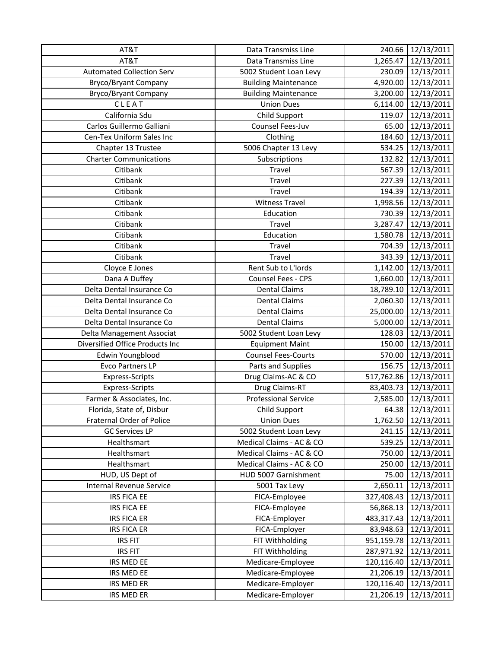| AT&T                             | Data Transmiss Line         | 240.66     | 12/13/2011       |
|----------------------------------|-----------------------------|------------|------------------|
| AT&T                             | Data Transmiss Line         | 1,265.47   | 12/13/2011       |
| <b>Automated Collection Serv</b> | 5002 Student Loan Levy      | 230.09     | 12/13/2011       |
| <b>Bryco/Bryant Company</b>      | <b>Building Maintenance</b> | 4,920.00   | 12/13/2011       |
| <b>Bryco/Bryant Company</b>      | <b>Building Maintenance</b> | 3,200.00   | 12/13/2011       |
| CLEAT                            | <b>Union Dues</b>           | 6,114.00   | 12/13/2011       |
| California Sdu                   | Child Support               | 119.07     | 12/13/2011       |
| Carlos Guillermo Galliani        | Counsel Fees-Juv            | 65.00      | 12/13/2011       |
| Cen-Tex Uniform Sales Inc        | Clothing                    | 184.60     | 12/13/2011       |
| Chapter 13 Trustee               | 5006 Chapter 13 Levy        | 534.25     | 12/13/2011       |
| <b>Charter Communications</b>    | Subscriptions               | 132.82     | 12/13/2011       |
| Citibank                         | Travel                      | 567.39     | 12/13/2011       |
| Citibank                         | Travel                      | 227.39     | 12/13/2011       |
| Citibank                         | Travel                      | 194.39     | 12/13/2011       |
| Citibank                         | <b>Witness Travel</b>       | 1,998.56   | 12/13/2011       |
| Citibank                         | Education                   | 730.39     | 12/13/2011       |
| Citibank                         | <b>Travel</b>               | 3,287.47   | 12/13/2011       |
| Citibank                         | Education                   | 1,580.78   | 12/13/2011       |
| Citibank                         | Travel                      | 704.39     | 12/13/2011       |
| Citibank                         | <b>Travel</b>               | 343.39     | 12/13/2011       |
| Cloyce E Jones                   | Rent Sub to L'Iords         | 1,142.00   | 12/13/2011       |
| Dana A Duffey                    | Counsel Fees - CPS          | 1,660.00   | 12/13/2011       |
| Delta Dental Insurance Co        | <b>Dental Claims</b>        | 18,789.10  | 12/13/2011       |
| Delta Dental Insurance Co        | <b>Dental Claims</b>        | 2,060.30   | 12/13/2011       |
| Delta Dental Insurance Co        | <b>Dental Claims</b>        | 25,000.00  | 12/13/2011       |
| Delta Dental Insurance Co        | <b>Dental Claims</b>        | 5,000.00   | 12/13/2011       |
| Delta Management Associat        | 5002 Student Loan Levy      | 128.03     | 12/13/2011       |
| Diversified Office Products Inc  | <b>Equipment Maint</b>      | 150.00     | 12/13/2011       |
| Edwin Youngblood                 | <b>Counsel Fees-Courts</b>  | 570.00     | 12/13/2011       |
| <b>Evco Partners LP</b>          | Parts and Supplies          | 156.75     | 12/13/2011       |
| Express-Scripts                  | Drug Claims-AC & CO         | 517,762.86 | 12/13/2011       |
| Express-Scripts                  | Drug Claims-RT              | 83,403.73  | 12/13/2011       |
| Farmer & Associates, Inc.        | <b>Professional Service</b> | 2,585.00   | 12/13/2011       |
| Florida, State of, Disbur        | Child Support               |            | 64.38 12/13/2011 |
| Fraternal Order of Police        | <b>Union Dues</b>           | 1,762.50   | 12/13/2011       |
| <b>GC Services LP</b>            | 5002 Student Loan Levy      | 241.15     | 12/13/2011       |
| Healthsmart                      | Medical Claims - AC & CO    | 539.25     | 12/13/2011       |
| Healthsmart                      | Medical Claims - AC & CO    | 750.00     | 12/13/2011       |
| Healthsmart                      | Medical Claims - AC & CO    | 250.00     | 12/13/2011       |
| HUD, US Dept of                  | HUD 5007 Garnishment        | 75.00      | 12/13/2011       |
| <b>Internal Revenue Service</b>  | 5001 Tax Levy               | 2,650.11   | 12/13/2011       |
| IRS FICA EE                      | FICA-Employee               | 327,408.43 | 12/13/2011       |
| IRS FICA EE                      | FICA-Employee               | 56,868.13  | 12/13/2011       |
| <b>IRS FICA ER</b>               | FICA-Employer               | 483,317.43 | 12/13/2011       |
| <b>IRS FICA ER</b>               | FICA-Employer               | 83,948.63  | 12/13/2011       |
| <b>IRS FIT</b>                   | FIT Withholding             | 951,159.78 | 12/13/2011       |
| <b>IRS FIT</b>                   | FIT Withholding             | 287,971.92 | 12/13/2011       |
| IRS MED EE                       | Medicare-Employee           | 120,116.40 | 12/13/2011       |
| IRS MED EE                       | Medicare-Employee           | 21,206.19  | 12/13/2011       |
| IRS MED ER                       | Medicare-Employer           | 120,116.40 | 12/13/2011       |
| IRS MED ER                       | Medicare-Employer           | 21,206.19  | 12/13/2011       |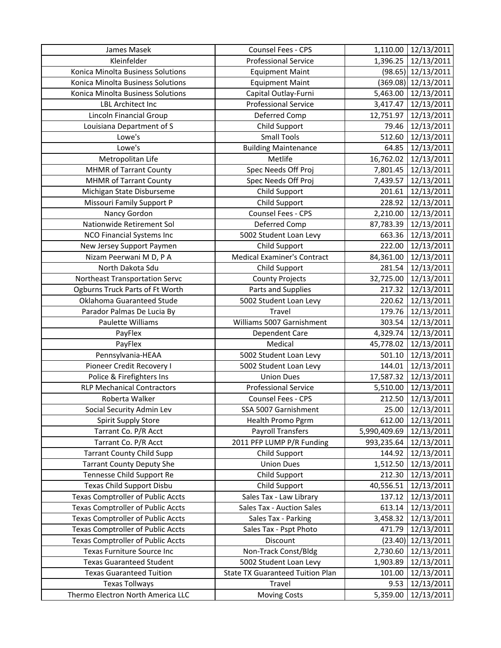| James Masek                              | Counsel Fees - CPS                      | 1,110.00     | 12/13/2011            |
|------------------------------------------|-----------------------------------------|--------------|-----------------------|
| Kleinfelder                              | <b>Professional Service</b>             | 1,396.25     | 12/13/2011            |
| Konica Minolta Business Solutions        | <b>Equipment Maint</b>                  |              | $(98.65)$ 12/13/2011  |
| Konica Minolta Business Solutions        | <b>Equipment Maint</b>                  |              | $(369.08)$ 12/13/2011 |
| Konica Minolta Business Solutions        | Capital Outlay-Furni                    | 5,463.00     | 12/13/2011            |
| <b>LBL Architect Inc</b>                 | <b>Professional Service</b>             | 3,417.47     | 12/13/2011            |
| Lincoln Financial Group                  | Deferred Comp                           | 12,751.97    | 12/13/2011            |
| Louisiana Department of S                | Child Support                           | 79.46        | 12/13/2011            |
| Lowe's                                   | <b>Small Tools</b>                      | 512.60       | 12/13/2011            |
| Lowe's                                   | <b>Building Maintenance</b>             | 64.85        | 12/13/2011            |
| Metropolitan Life                        | Metlife                                 | 16,762.02    | 12/13/2011            |
| <b>MHMR of Tarrant County</b>            | Spec Needs Off Proj                     | 7,801.45     | 12/13/2011            |
| <b>MHMR of Tarrant County</b>            | Spec Needs Off Proj                     | 7,439.57     | 12/13/2011            |
| Michigan State Disburseme                | Child Support                           | 201.61       | 12/13/2011            |
| Missouri Family Support P                | Child Support                           | 228.92       | 12/13/2011            |
| Nancy Gordon                             | Counsel Fees - CPS                      | 2,210.00     | 12/13/2011            |
| Nationwide Retirement Sol                | Deferred Comp                           | 87,783.39    | 12/13/2011            |
| <b>NCO Financial Systems Inc</b>         | 5002 Student Loan Levy                  | 663.36       | 12/13/2011            |
| New Jersey Support Paymen                | Child Support                           | 222.00       | 12/13/2011            |
| Nizam Peerwani M D, P A                  | <b>Medical Examiner's Contract</b>      | 84,361.00    | 12/13/2011            |
| North Dakota Sdu                         | Child Support                           | 281.54       | 12/13/2011            |
| Northeast Transportation Servc           | <b>County Projects</b>                  | 32,725.00    | 12/13/2011            |
| Ogburns Truck Parts of Ft Worth          | Parts and Supplies                      | 217.32       | 12/13/2011            |
| Oklahoma Guaranteed Stude                | 5002 Student Loan Levy                  | 220.62       | 12/13/2011            |
| Parador Palmas De Lucia By               | <b>Travel</b>                           | 179.76       | 12/13/2011            |
| Paulette Williams                        | Williams 5007 Garnishment               | 303.54       | 12/13/2011            |
| PayFlex                                  | Dependent Care                          | 4,329.74     | 12/13/2011            |
| PayFlex                                  | Medical                                 | 45,778.02    | 12/13/2011            |
| Pennsylvania-HEAA                        | 5002 Student Loan Levy                  | 501.10       | 12/13/2011            |
| Pioneer Credit Recovery I                | 5002 Student Loan Levy                  | 144.01       | 12/13/2011            |
| Police & Firefighters Ins                | <b>Union Dues</b>                       | 17,587.32    | 12/13/2011            |
| <b>RLP Mechanical Contractors</b>        | <b>Professional Service</b>             | 5,510.00     | 12/13/2011            |
| Roberta Walker                           | Counsel Fees - CPS                      | 212.50       | 12/13/2011            |
| Social Security Admin Lev                | SSA 5007 Garnishment                    |              | 25.00 12/13/2011      |
| <b>Spirit Supply Store</b>               | Health Promo Pgrm                       | 612.00       | 12/13/2011            |
| Tarrant Co. P/R Acct                     | Payroll Transfers                       | 5,990,409.69 | 12/13/2011            |
| Tarrant Co. P/R Acct                     | 2011 PFP LUMP P/R Funding               | 993,235.64   | 12/13/2011            |
| <b>Tarrant County Child Supp</b>         | Child Support                           | 144.92       | 12/13/2011            |
| <b>Tarrant County Deputy She</b>         | <b>Union Dues</b>                       | 1,512.50     | 12/13/2011            |
| Tennesse Child Support Re                | Child Support                           | 212.30       | 12/13/2011            |
| <b>Texas Child Support Disbu</b>         | Child Support                           | 40,556.51    | 12/13/2011            |
| <b>Texas Comptroller of Public Accts</b> | Sales Tax - Law Library                 | 137.12       | 12/13/2011            |
| <b>Texas Comptroller of Public Accts</b> | Sales Tax - Auction Sales               | 613.14       | 12/13/2011            |
| <b>Texas Comptroller of Public Accts</b> | Sales Tax - Parking                     | 3,458.32     | 12/13/2011            |
| <b>Texas Comptroller of Public Accts</b> | Sales Tax - Pspt Photo                  | 471.79       | 12/13/2011            |
| <b>Texas Comptroller of Public Accts</b> | Discount                                | (23.40)      | 12/13/2011            |
| Texas Furniture Source Inc               | Non-Track Const/Bldg                    | 2,730.60     | 12/13/2011            |
| <b>Texas Guaranteed Student</b>          | 5002 Student Loan Levy                  | 1,903.89     | 12/13/2011            |
| <b>Texas Guaranteed Tuition</b>          | <b>State TX Guaranteed Tuition Plan</b> | 101.00       | 12/13/2011            |
| <b>Texas Tollways</b>                    | Travel                                  | 9.53         | 12/13/2011            |
| Thermo Electron North America LLC        | <b>Moving Costs</b>                     | 5,359.00     | 12/13/2011            |